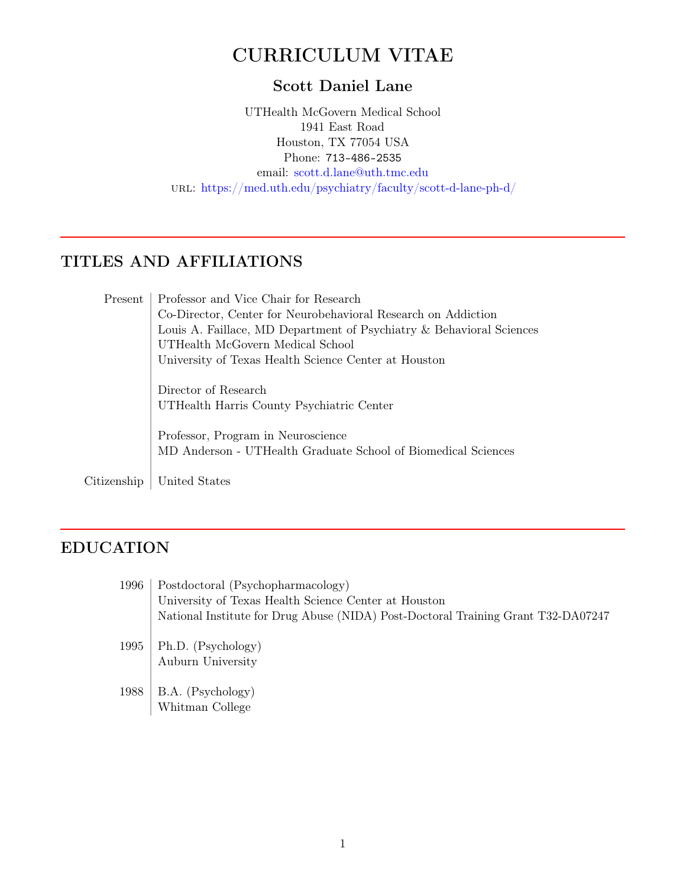# CURRICULUM VITAE

### Scott Daniel Lane

UTHealth McGovern Medical School 1941 East Road Houston, TX 77054 USA Phone: 713-486-2535 email: [scott.d.lane@uth.tmc.edu](mailto:scott.d.lane@uth.tmc.edu) url: <https://med.uth.edu/psychiatry/faculty/scott-d-lane-ph-d/>

## TITLES AND AFFILIATIONS

| Present     | Professor and Vice Chair for Research                                                               |
|-------------|-----------------------------------------------------------------------------------------------------|
|             | Co-Director, Center for Neurobehavioral Research on Addiction                                       |
|             | Louis A. Faillace, MD Department of Psychiatry & Behavioral Sciences                                |
|             | UTHealth McGovern Medical School                                                                    |
|             | University of Texas Health Science Center at Houston                                                |
|             | Director of Research                                                                                |
|             | UTHealth Harris County Psychiatric Center                                                           |
|             | Professor, Program in Neuroscience<br>MD Anderson - UTHealth Graduate School of Biomedical Sciences |
| Citizenship | United States                                                                                       |

# EDUCATION

| 1996 | Postdoctoral (Psychopharmacology)                                                 |  |
|------|-----------------------------------------------------------------------------------|--|
|      | University of Texas Health Science Center at Houston                              |  |
|      | National Institute for Drug Abuse (NIDA) Post-Doctoral Training Grant T32-DA07247 |  |
| 1995 | Ph.D. (Psychology)<br>Auburn University                                           |  |
| 1988 | B.A. (Psychology)<br>Whitman College                                              |  |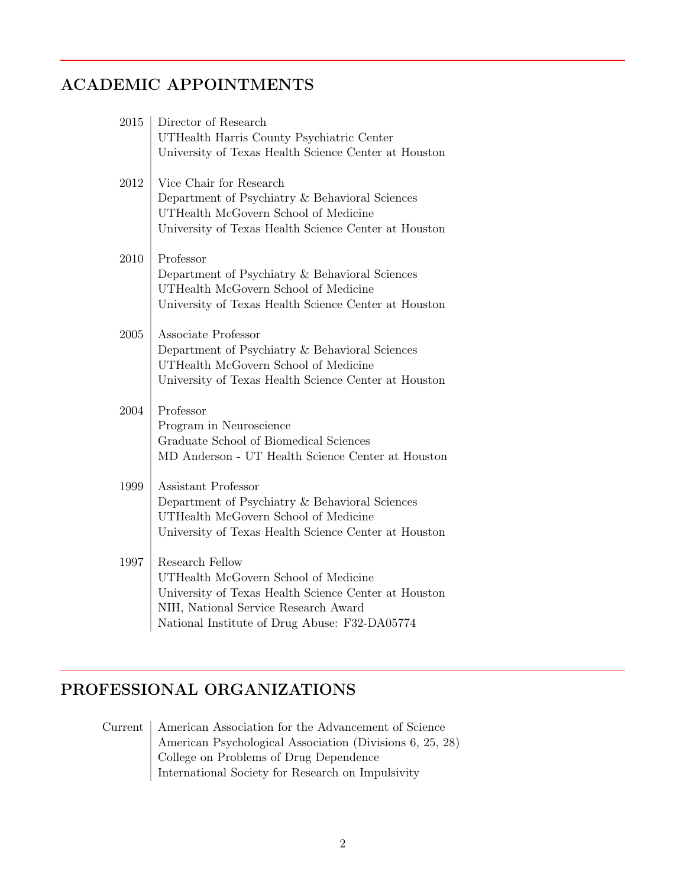# ACADEMIC APPOINTMENTS

| 2015 | Director of Research                                 |
|------|------------------------------------------------------|
|      | UTHealth Harris County Psychiatric Center            |
|      | University of Texas Health Science Center at Houston |
|      |                                                      |
| 2012 | Vice Chair for Research                              |
|      | Department of Psychiatry & Behavioral Sciences       |
|      | UTHealth McGovern School of Medicine                 |
|      | University of Texas Health Science Center at Houston |
|      |                                                      |
| 2010 | Professor                                            |
|      | Department of Psychiatry & Behavioral Sciences       |
|      | UTHealth McGovern School of Medicine                 |
|      | University of Texas Health Science Center at Houston |
| 2005 | Associate Professor                                  |
|      | Department of Psychiatry & Behavioral Sciences       |
|      | UTHealth McGovern School of Medicine                 |
|      | University of Texas Health Science Center at Houston |
|      |                                                      |
| 2004 | Professor                                            |
|      | Program in Neuroscience                              |
|      | Graduate School of Biomedical Sciences               |
|      | MD Anderson - UT Health Science Center at Houston    |
|      |                                                      |
| 1999 | Assistant Professor                                  |
|      | Department of Psychiatry & Behavioral Sciences       |
|      | UTHealth McGovern School of Medicine                 |
|      | University of Texas Health Science Center at Houston |
| 1997 | Research Fellow                                      |
|      | UTHealth McGovern School of Medicine                 |
|      | University of Texas Health Science Center at Houston |
|      | NIH, National Service Research Award                 |
|      | National Institute of Drug Abuse: F32-DA05774        |
|      |                                                      |

## PROFESSIONAL ORGANIZATIONS

Current | American Association for the Advancement of Science American Psychological Association (Divisions 6, 25, 28) College on Problems of Drug Dependence International Society for Research on Impulsivity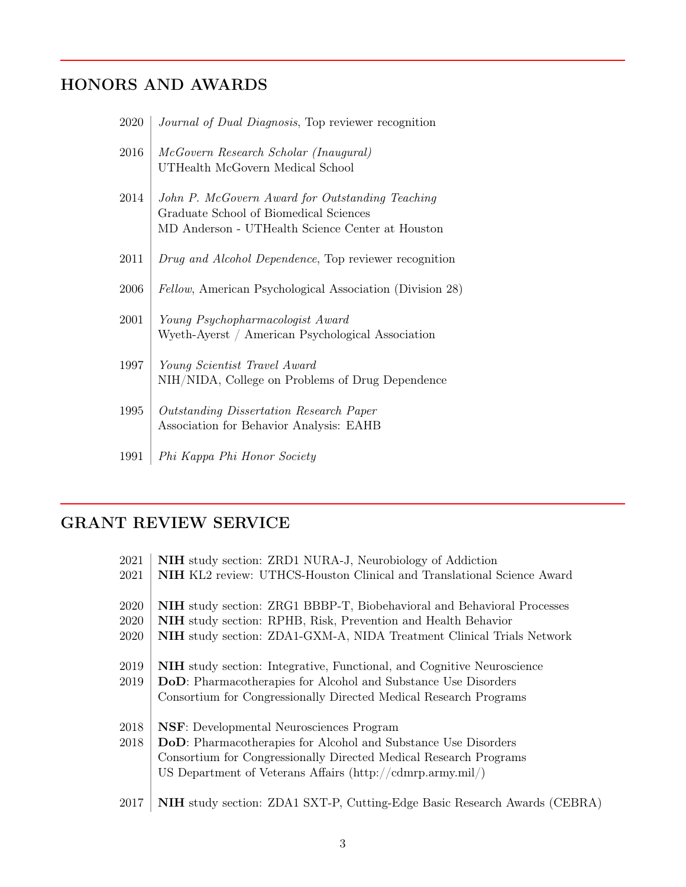# HONORS AND AWARDS

| 2020 | <i>Journal of Dual Diagnosis</i> , Top reviewer recognition                                                                                   |
|------|-----------------------------------------------------------------------------------------------------------------------------------------------|
| 2016 | McGovern Research Scholar (Inaugural)<br>UTHealth McGovern Medical School                                                                     |
| 2014 | John P. McGovern Award for Outstanding Teaching<br>Graduate School of Biomedical Sciences<br>MD Anderson - UTHealth Science Center at Houston |
| 2011 | Drug and Alcohol Dependence, Top reviewer recognition                                                                                         |
| 2006 | <i>Fellow</i> , American Psychological Association (Division 28)                                                                              |
| 2001 | Young Psychopharmacologist Award<br>Wyeth-Ayerst / American Psychological Association                                                         |
| 1997 | Young Scientist Travel Award<br>NIH/NIDA, College on Problems of Drug Dependence                                                              |
| 1995 | Outstanding Dissertation Research Paper<br>Association for Behavior Analysis: EAHB                                                            |
| 1991 | Phi Kappa Phi Honor Society                                                                                                                   |

## GRANT REVIEW SERVICE

| 2021 | <b>NIH</b> study section: ZRD1 NURA-J, Neurobiology of Addiction                                |
|------|-------------------------------------------------------------------------------------------------|
| 2021 | NIH KL2 review: UTHCS-Houston Clinical and Translational Science Award                          |
| 2020 | <b>NIH</b> study section: ZRG1 BBBP-T, Biobehavioral and Behavioral Processes                   |
| 2020 | NIH study section: RPHB, Risk, Prevention and Health Behavior                                   |
| 2020 | <b>NIH</b> study section: ZDA1-GXM-A, NIDA Treatment Clinical Trials Network                    |
| 2019 | <b>NIH</b> study section: Integrative, Functional, and Cognitive Neuroscience                   |
| 2019 | DoD: Pharmacotherapies for Alcohol and Substance Use Disorders                                  |
|      | Consortium for Congressionally Directed Medical Research Programs                               |
| 2018 | <b>NSF</b> : Developmental Neurosciences Program                                                |
| 2018 | DoD: Pharmacotherapies for Alcohol and Substance Use Disorders                                  |
|      | Consortium for Congressionally Directed Medical Research Programs                               |
|      | US Department of Veterans Affairs $\langle \hat{h} \rangle / \langle \hat{c} \rangle$ army.mil/ |
| 2017 | NIH study section: ZDA1 SXT-P, Cutting-Edge Basic Research Awards (CEBRA)                       |
|      |                                                                                                 |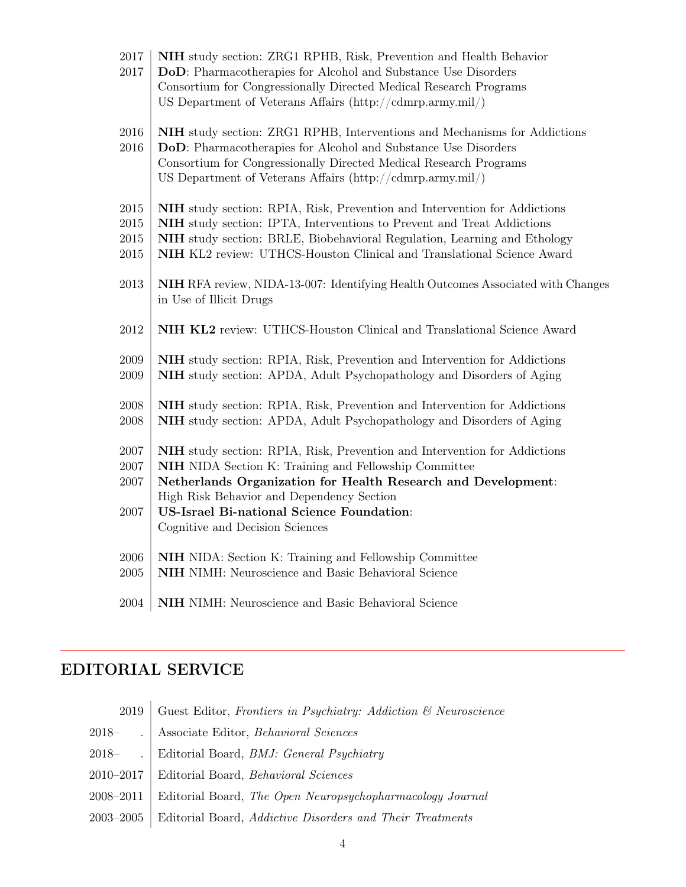| 2017<br>2017                         | NIH study section: ZRG1 RPHB, Risk, Prevention and Health Behavior<br>DoD: Pharmacotherapies for Alcohol and Substance Use Disorders<br>Consortium for Congressionally Directed Medical Research Programs<br>US Department of Veterans Affairs $\frac{\text{http://cdmrp.army.mil/}}{\text{http://cdmrp.army.mil/}}$                           |
|--------------------------------------|------------------------------------------------------------------------------------------------------------------------------------------------------------------------------------------------------------------------------------------------------------------------------------------------------------------------------------------------|
| $\,2016$<br>2016                     | NIH study section: ZRG1 RPHB, Interventions and Mechanisms for Addictions<br>DoD: Pharmacotherapies for Alcohol and Substance Use Disorders<br>Consortium for Congressionally Directed Medical Research Programs<br>US Department of Veterans Affairs (http://cdmrp.army.mil/)                                                                 |
| 2015<br>$2015\,$<br>2015<br>$\,2015$ | <b>NIH</b> study section: RPIA, Risk, Prevention and Intervention for Addictions<br>NIH study section: IPTA, Interventions to Prevent and Treat Addictions<br>NIH study section: BRLE, Biobehavioral Regulation, Learning and Ethology<br>NIH KL2 review: UTHCS-Houston Clinical and Translational Science Award                               |
| 2013                                 | <b>NIH</b> RFA review, NIDA-13-007: Identifying Health Outcomes Associated with Changes<br>in Use of Illicit Drugs                                                                                                                                                                                                                             |
| 2012                                 | NIH KL2 review: UTHCS-Houston Clinical and Translational Science Award                                                                                                                                                                                                                                                                         |
| 2009<br>$\,2009\,$                   | NIH study section: RPIA, Risk, Prevention and Intervention for Addictions<br><b>NIH</b> study section: APDA, Adult Psychopathology and Disorders of Aging                                                                                                                                                                                      |
| 2008<br>2008                         | NIH study section: RPIA, Risk, Prevention and Intervention for Addictions<br>NIH study section: APDA, Adult Psychopathology and Disorders of Aging                                                                                                                                                                                             |
| 2007<br>2007<br>$2007\,$<br>$2007\,$ | NIH study section: RPIA, Risk, Prevention and Intervention for Addictions<br><b>NIH</b> NIDA Section K: Training and Fellowship Committee<br>Netherlands Organization for Health Research and Development:<br>High Risk Behavior and Dependency Section<br><b>US-Israel Bi-national Science Foundation:</b><br>Cognitive and Decision Sciences |
| 2006<br>$\,2005\,$                   | NIH NIDA: Section K: Training and Fellowship Committee<br>NIH NIMH: Neuroscience and Basic Behavioral Science                                                                                                                                                                                                                                  |
| 2004                                 | NIH NIMH: Neuroscience and Basic Behavioral Science                                                                                                                                                                                                                                                                                            |

# EDITORIAL SERVICE

| Guest Editor, Frontiers in Psychiatry: Addiction $\mathcal{C}$ Neuroscience |
|-----------------------------------------------------------------------------|
| Associate Editor, Behavioral Sciences                                       |
| Editorial Board, <i>BMJ: General Psychiatry</i>                             |
| Editorial Board, <i>Behavioral Sciences</i>                                 |
| Editorial Board, The Open Neuropsychopharmacology Journal                   |
| Editorial Board, Addictive Disorders and Their Treatments                   |
|                                                                             |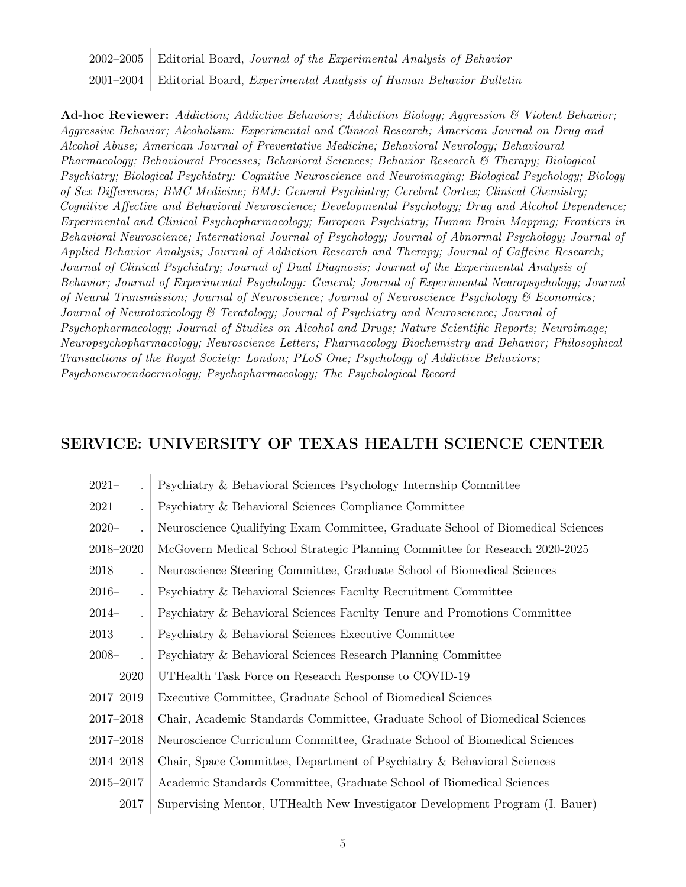2002–2005 Editorial Board, Journal of the Experimental Analysis of Behavior 2001–2004 Editorial Board, Experimental Analysis of Human Behavior Bulletin

Ad-hoc Reviewer: Addiction; Addictive Behaviors; Addiction Biology; Aggression & Violent Behavior; Aggressive Behavior; Alcoholism: Experimental and Clinical Research; American Journal on Drug and Alcohol Abuse; American Journal of Preventative Medicine; Behavioral Neurology; Behavioural Pharmacology; Behavioural Processes; Behavioral Sciences; Behavior Research & Therapy; Biological Psychiatry; Biological Psychiatry: Cognitive Neuroscience and Neuroimaging; Biological Psychology; Biology of Sex Differences; BMC Medicine; BMJ: General Psychiatry; Cerebral Cortex; Clinical Chemistry; Cognitive Affective and Behavioral Neuroscience; Developmental Psychology; Drug and Alcohol Dependence; Experimental and Clinical Psychopharmacology; European Psychiatry; Human Brain Mapping; Frontiers in Behavioral Neuroscience; International Journal of Psychology; Journal of Abnormal Psychology; Journal of Applied Behavior Analysis; Journal of Addiction Research and Therapy; Journal of Caffeine Research; Journal of Clinical Psychiatry; Journal of Dual Diagnosis; Journal of the Experimental Analysis of Behavior; Journal of Experimental Psychology: General; Journal of Experimental Neuropsychology; Journal of Neural Transmission; Journal of Neuroscience; Journal of Neuroscience Psychology & Economics; Journal of Neurotoxicology & Teratology; Journal of Psychiatry and Neuroscience; Journal of Psychopharmacology; Journal of Studies on Alcohol and Drugs; Nature Scientific Reports; Neuroimage; Neuropsychopharmacology; Neuroscience Letters; Pharmacology Biochemistry and Behavior; Philosophical Transactions of the Royal Society: London; PLoS One; Psychology of Addictive Behaviors; Psychoneuroendocrinology; Psychopharmacology; The Psychological Record

### SERVICE: UNIVERSITY OF TEXAS HEALTH SCIENCE CENTER

| $2021 -$  | Psychiatry & Behavioral Sciences Psychology Internship Committee               |
|-----------|--------------------------------------------------------------------------------|
| $2021 -$  | Psychiatry & Behavioral Sciences Compliance Committee                          |
| $2020 -$  | Neuroscience Qualifying Exam Committee, Graduate School of Biomedical Sciences |
| 2018-2020 | McGovern Medical School Strategic Planning Committee for Research 2020-2025    |
| $2018-$   | Neuroscience Steering Committee, Graduate School of Biomedical Sciences        |
| $2016-$   | Psychiatry & Behavioral Sciences Faculty Recruitment Committee                 |
| $2014-$   | Psychiatry & Behavioral Sciences Faculty Tenure and Promotions Committee       |
| $2013-$   | Psychiatry & Behavioral Sciences Executive Committee                           |
| $2008 -$  | Psychiatry & Behavioral Sciences Research Planning Committee                   |
| 2020      | UTHealth Task Force on Research Response to COVID-19                           |
| 2017-2019 | Executive Committee, Graduate School of Biomedical Sciences                    |
| 2017-2018 | Chair, Academic Standards Committee, Graduate School of Biomedical Sciences    |
| 2017-2018 | Neuroscience Curriculum Committee, Graduate School of Biomedical Sciences      |
| 2014-2018 | Chair, Space Committee, Department of Psychiatry & Behavioral Sciences         |
| 2015-2017 | Academic Standards Committee, Graduate School of Biomedical Sciences           |
| 2017      | Supervising Mentor, UTHealth New Investigator Development Program (I. Bauer)   |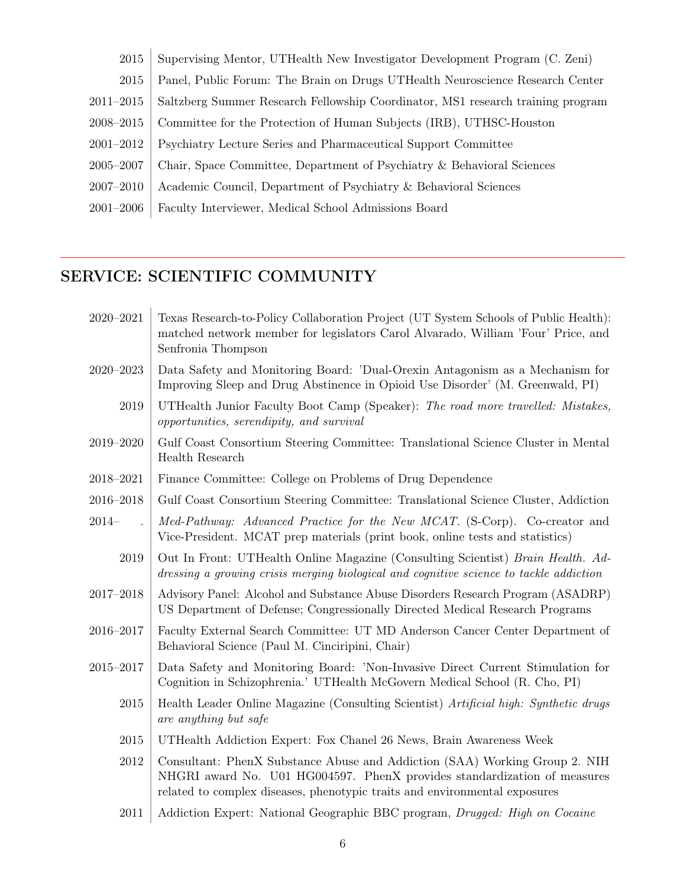| 2015          | Supervising Mentor, UTHealth New Investigator Development Program (C. Zeni)     |
|---------------|---------------------------------------------------------------------------------|
| 2015          | Panel, Public Forum: The Brain on Drugs UTHealth Neuroscience Research Center   |
| $2011 - 2015$ | Saltzberg Summer Research Fellowship Coordinator, MS1 research training program |
| 2008-2015     | Committee for the Protection of Human Subjects (IRB), UTHSC-Houston             |
| 2001-2012     | Psychiatry Lecture Series and Pharmaceutical Support Committee                  |
| 2005-2007     | Chair, Space Committee, Department of Psychiatry & Behavioral Sciences          |
| 2007-2010     | Academic Council, Department of Psychiatry & Behavioral Sciences                |
| $2001 - 2006$ | Faculty Interviewer, Medical School Admissions Board                            |
|               |                                                                                 |

# SERVICE: SCIENTIFIC COMMUNITY

| 2020-2021     | Texas Research-to-Policy Collaboration Project (UT System Schools of Public Health):<br>matched network member for legislators Carol Alvarado, William 'Four' Price, and<br>Senfronia Thompson                                       |
|---------------|--------------------------------------------------------------------------------------------------------------------------------------------------------------------------------------------------------------------------------------|
| 2020-2023     | Data Safety and Monitoring Board: 'Dual-Orexin Antagonism as a Mechanism for<br>Improving Sleep and Drug Abstinence in Opioid Use Disorder' (M. Greenwald, PI)                                                                       |
| 2019          | UTHealth Junior Faculty Boot Camp (Speaker): The road more travelled: Mistakes,<br>opportunities, serendipity, and survival                                                                                                          |
| 2019-2020     | Gulf Coast Consortium Steering Committee: Translational Science Cluster in Mental<br>Health Research                                                                                                                                 |
| 2018-2021     | Finance Committee: College on Problems of Drug Dependence                                                                                                                                                                            |
| 2016-2018     | Gulf Coast Consortium Steering Committee: Translational Science Cluster, Addiction                                                                                                                                                   |
| $2014-$       | Med-Pathway: Advanced Practice for the New MCAT. (S-Corp). Co-creator and<br>Vice-President. MCAT prep materials (print book, online tests and statistics)                                                                           |
| 2019          | Out In Front: UTHealth Online Magazine (Consulting Scientist) Brain Health. Ad-<br>dressing a growing crisis merging biological and cognitive science to tackle addiction                                                            |
| $2017 - 2018$ | Advisory Panel: Alcohol and Substance Abuse Disorders Research Program (ASADRP)<br>US Department of Defense; Congressionally Directed Medical Research Programs                                                                      |
| 2016-2017     | Faculty External Search Committee: UT MD Anderson Cancer Center Department of<br>Behavioral Science (Paul M. Cinciripini, Chair)                                                                                                     |
| 2015-2017     | Data Safety and Monitoring Board: 'Non-Invasive Direct Current Stimulation for<br>Cognition in Schizophrenia.' UTHealth McGovern Medical School (R. Cho, PI)                                                                         |
| 2015          | Health Leader Online Magazine (Consulting Scientist) Artificial high: Synthetic drugs<br>are anything but safe                                                                                                                       |
| 2015          | UTHealth Addiction Expert: Fox Chanel 26 News, Brain Awareness Week                                                                                                                                                                  |
| 2012          | Consultant: PhenX Substance Abuse and Addiction (SAA) Working Group 2. NIH<br>NHGRI award No. U01 HG004597. PhenX provides standardization of measures<br>related to complex diseases, phenotypic traits and environmental exposures |
| 2011          | Addiction Expert: National Geographic BBC program, Drugged: High on Cocaine                                                                                                                                                          |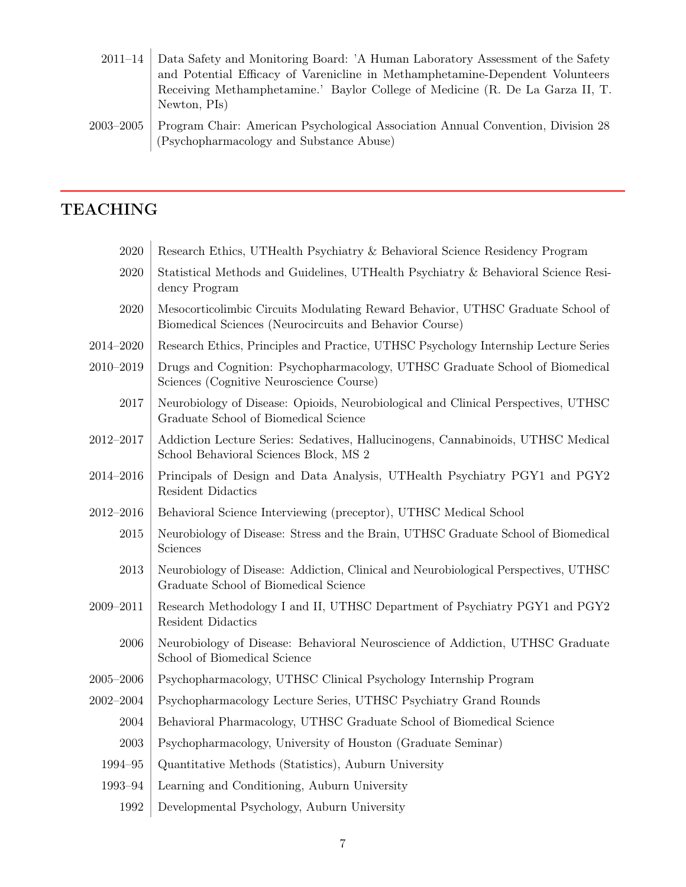- 2011–14 Data Safety and Monitoring Board: 'A Human Laboratory Assessment of the Safety and Potential Efficacy of Varenicline in Methamphetamine-Dependent Volunteers Receiving Methamphetamine.' Baylor College of Medicine (R. De La Garza II, T. Newton, PIs)
- 2003–2005 Program Chair: American Psychological Association Annual Convention, Division 28 (Psychopharmacology and Substance Abuse)

### TEACHING

| 2020          | Research Ethics, UTHealth Psychiatry & Behavioral Science Residency Program                                                                |
|---------------|--------------------------------------------------------------------------------------------------------------------------------------------|
| $2020\,$      | Statistical Methods and Guidelines, UTHealth Psychiatry & Behavioral Science Resi-<br>dency Program                                        |
| $2020\,$      | Mesocorticolimbic Circuits Modulating Reward Behavior, UTHSC Graduate School of<br>Biomedical Sciences (Neurocircuits and Behavior Course) |
| 2014–2020     | Research Ethics, Principles and Practice, UTHSC Psychology Internship Lecture Series                                                       |
| 2010-2019     | Drugs and Cognition: Psychopharmacology, UTHSC Graduate School of Biomedical<br>Sciences (Cognitive Neuroscience Course)                   |
| $2017\,$      | Neurobiology of Disease: Opioids, Neurobiological and Clinical Perspectives, UTHSC<br>Graduate School of Biomedical Science                |
| 2012-2017     | Addiction Lecture Series: Sedatives, Hallucinogens, Cannabinoids, UTHSC Medical<br>School Behavioral Sciences Block, MS 2                  |
| 2014-2016     | Principals of Design and Data Analysis, UTHealth Psychiatry PGY1 and PGY2<br>Resident Didactics                                            |
| $2012 - 2016$ | Behavioral Science Interviewing (preceptor), UTHSC Medical School                                                                          |
| 2015          | Neurobiology of Disease: Stress and the Brain, UTHSC Graduate School of Biomedical<br>Sciences                                             |
| 2013          | Neurobiology of Disease: Addiction, Clinical and Neurobiological Perspectives, UTHSC<br>Graduate School of Biomedical Science              |
| 2009-2011     | Research Methodology I and II, UTHSC Department of Psychiatry PGY1 and PGY2<br><b>Resident Didactics</b>                                   |
| 2006          | Neurobiology of Disease: Behavioral Neuroscience of Addiction, UTHSC Graduate<br>School of Biomedical Science                              |
| $2005 - 2006$ | Psychopharmacology, UTHSC Clinical Psychology Internship Program                                                                           |
| 2002-2004     | Psychopharmacology Lecture Series, UTHSC Psychiatry Grand Rounds                                                                           |
| 2004          | Behavioral Pharmacology, UTHSC Graduate School of Biomedical Science                                                                       |
| $\,2003\,$    | Psychopharmacology, University of Houston (Graduate Seminar)                                                                               |
| 1994-95       | Quantitative Methods (Statistics), Auburn University                                                                                       |
| 1993-94       | Learning and Conditioning, Auburn University                                                                                               |
| 1992          | Developmental Psychology, Auburn University                                                                                                |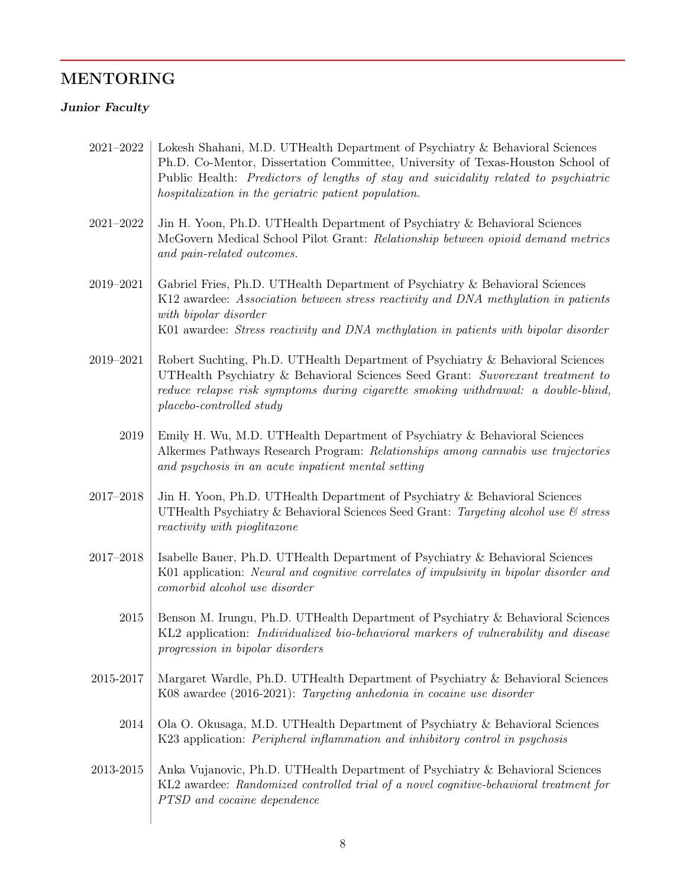# MENTORING

### Junior Faculty

| 2021-2022     | Lokesh Shahani, M.D. UTHealth Department of Psychiatry & Behavioral Sciences<br>Ph.D. Co-Mentor, Dissertation Committee, University of Texas-Houston School of<br>Public Health: Predictors of lengths of stay and suicidality related to psychiatric<br>hospitalization in the geriatric patient population. |
|---------------|---------------------------------------------------------------------------------------------------------------------------------------------------------------------------------------------------------------------------------------------------------------------------------------------------------------|
| $2021 - 2022$ | Jin H. Yoon, Ph.D. UTHealth Department of Psychiatry & Behavioral Sciences<br>McGovern Medical School Pilot Grant: Relationship between opioid demand metrics<br>and pain-related outcomes.                                                                                                                   |
| 2019-2021     | Gabriel Fries, Ph.D. UTHealth Department of Psychiatry & Behavioral Sciences<br>K12 awardee: Association between stress reactivity and DNA methylation in patients<br>with bipolar disorder<br>K01 awardee: Stress reactivity and DNA methylation in patients with bipolar disorder                           |
| 2019-2021     | Robert Suchting, Ph.D. UTHealth Department of Psychiatry & Behavioral Sciences<br>UTHealth Psychiatry & Behavioral Sciences Seed Grant: Suvorexant treatment to<br>reduce relapse risk symptoms during cigarette smoking withdrawal: a double-blind,<br>placebo-controlled study                              |
| 2019          | Emily H. Wu, M.D. UTHealth Department of Psychiatry & Behavioral Sciences<br>Alkermes Pathways Research Program: Relationships among cannabis use trajectories<br>and psychosis in an acute inpatient mental setting                                                                                          |
| $2017 - 2018$ | Jin H. Yoon, Ph.D. UTHealth Department of Psychiatry & Behavioral Sciences<br>UTHealth Psychiatry & Behavioral Sciences Seed Grant: Targeting alcohol use & stress<br>reactivity with pioglitazone                                                                                                            |
| $2017 - 2018$ | Isabelle Bauer, Ph.D. UTHealth Department of Psychiatry & Behavioral Sciences<br>K01 application: Neural and cognitive correlates of impulsivity in bipolar disorder and<br>comorbid alcohol use disorder                                                                                                     |
| 2015          | Benson M. Irungu, Ph.D. UTHealth Department of Psychiatry & Behavioral Sciences<br>KL2 application: Individualized bio-behavioral markers of vulnerability and disease<br>progression in bipolar disorders                                                                                                    |
| 2015-2017     | Margaret Wardle, Ph.D. UTHealth Department of Psychiatry & Behavioral Sciences<br>K08 awardee (2016-2021): Targeting anhedonia in cocaine use disorder                                                                                                                                                        |
| 2014          | Ola O. Okusaga, M.D. UTHealth Department of Psychiatry & Behavioral Sciences<br>K23 application: Peripheral inflammation and inhibitory control in psychosis                                                                                                                                                  |
| 2013-2015     | Anka Vujanovic, Ph.D. UTHealth Department of Psychiatry & Behavioral Sciences<br>KL2 awardee: Randomized controlled trial of a novel cognitive-behavioral treatment for<br>PTSD and cocaine dependence                                                                                                        |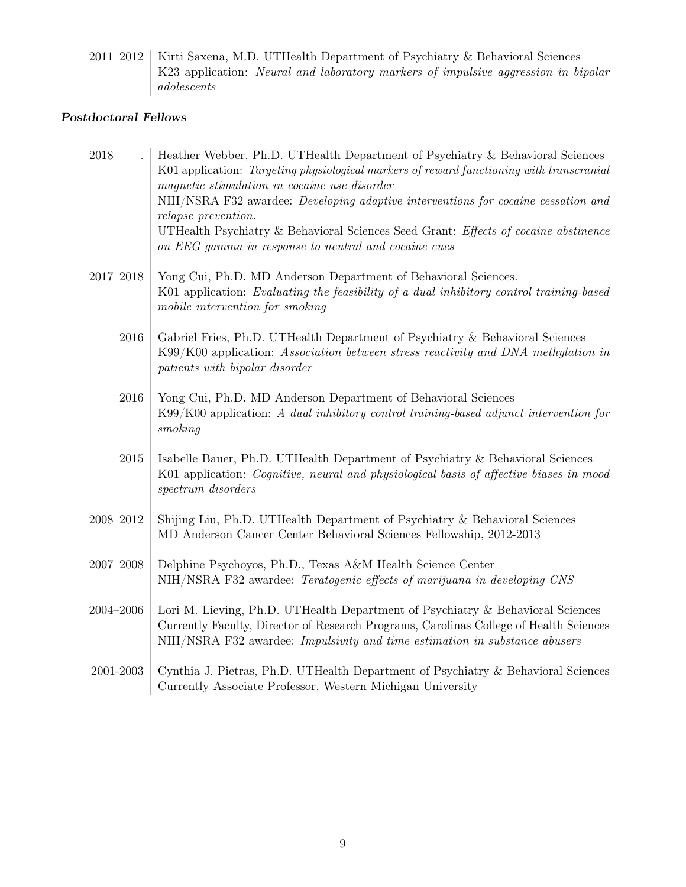2011–2012 | Kirti Saxena, M.D. UTHealth Department of Psychiatry & Behavioral Sciences K23 application: Neural and laboratory markers of impulsive aggression in bipolar adolescents

#### Postdoctoral Fellows

| $2018 -$            | Heather Webber, Ph.D. UTHealth Department of Psychiatry & Behavioral Sciences<br>K01 application: Targeting physiological markers of reward functioning with transcranial<br>magnetic stimulation in cocaine use disorder<br>NIH/NSRA F32 awardee: Developing adaptive interventions for cocaine cessation and<br>relapse prevention.<br>UTHealth Psychiatry & Behavioral Sciences Seed Grant: Effects of cocaine abstinence<br>on EEG gamma in response to neutral and cocaine cues |
|---------------------|--------------------------------------------------------------------------------------------------------------------------------------------------------------------------------------------------------------------------------------------------------------------------------------------------------------------------------------------------------------------------------------------------------------------------------------------------------------------------------------|
| $2017 - 2018$       | Yong Cui, Ph.D. MD Anderson Department of Behavioral Sciences.<br>K01 application: Evaluating the feasibility of a dual inhibitory control training-based<br>mobile intervention for smoking                                                                                                                                                                                                                                                                                         |
| 2016                | Gabriel Fries, Ph.D. UTHealth Department of Psychiatry & Behavioral Sciences<br>K99/K00 application: Association between stress reactivity and DNA methylation in<br>patients with bipolar disorder                                                                                                                                                                                                                                                                                  |
| 2016                | Yong Cui, Ph.D. MD Anderson Department of Behavioral Sciences<br>$K99/K00$ application: A dual inhibitory control training-based adjunct intervention for<br>smoking                                                                                                                                                                                                                                                                                                                 |
| 2015                | Isabelle Bauer, Ph.D. UTHealth Department of Psychiatry & Behavioral Sciences<br>K01 application: Cognitive, neural and physiological basis of affective biases in mood<br>spectrum disorders                                                                                                                                                                                                                                                                                        |
| $2008 - 2012$       | Shijing Liu, Ph.D. UTHealth Department of Psychiatry & Behavioral Sciences<br>MD Anderson Cancer Center Behavioral Sciences Fellowship, 2012-2013                                                                                                                                                                                                                                                                                                                                    |
| $2007\hbox{--}2008$ | Delphine Psychoyos, Ph.D., Texas A&M Health Science Center<br>NIH/NSRA F32 awardee: Teratogenic effects of marijuana in developing CNS                                                                                                                                                                                                                                                                                                                                               |
| $2004 - 2006$       | Lori M. Lieving, Ph.D. UTHealth Department of Psychiatry & Behavioral Sciences<br>Currently Faculty, Director of Research Programs, Carolinas College of Health Sciences<br>NIH/NSRA F32 awardee: Impulsivity and time estimation in substance abusers                                                                                                                                                                                                                               |
| 2001-2003           | Cynthia J. Pietras, Ph.D. UTHealth Department of Psychiatry & Behavioral Sciences<br>Currently Associate Professor, Western Michigan University                                                                                                                                                                                                                                                                                                                                      |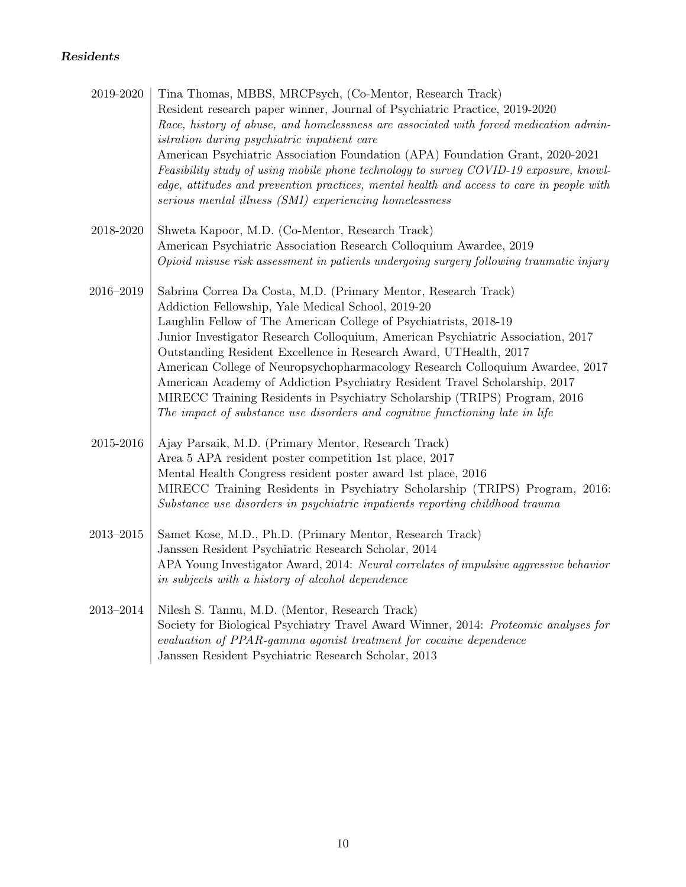### Residents

| 2019-2020     | Tina Thomas, MBBS, MRCPsych, (Co-Mentor, Research Track)<br>Resident research paper winner, Journal of Psychiatric Practice, 2019-2020<br>Race, history of abuse, and homelessness are associated with forced medication admin-<br><i>istration during psychiatric inpatient care</i><br>American Psychiatric Association Foundation (APA) Foundation Grant, 2020-2021<br>Feasibility study of using mobile phone technology to survey COVID-19 exposure, knowl-<br>edge, attitudes and prevention practices, mental health and access to care in people with<br>serious mental illness (SMI) experiencing homelessness                                                       |
|---------------|-------------------------------------------------------------------------------------------------------------------------------------------------------------------------------------------------------------------------------------------------------------------------------------------------------------------------------------------------------------------------------------------------------------------------------------------------------------------------------------------------------------------------------------------------------------------------------------------------------------------------------------------------------------------------------|
| 2018-2020     | Shweta Kapoor, M.D. (Co-Mentor, Research Track)<br>American Psychiatric Association Research Colloquium Awardee, 2019<br>Opioid misuse risk assessment in patients undergoing surgery following traumatic injury                                                                                                                                                                                                                                                                                                                                                                                                                                                              |
| $2016 - 2019$ | Sabrina Correa Da Costa, M.D. (Primary Mentor, Research Track)<br>Addiction Fellowship, Yale Medical School, 2019-20<br>Laughlin Fellow of The American College of Psychiatrists, 2018-19<br>Junior Investigator Research Colloquium, American Psychiatric Association, 2017<br>Outstanding Resident Excellence in Research Award, UTHealth, 2017<br>American College of Neuropsychopharmacology Research Colloquium Awardee, 2017<br>American Academy of Addiction Psychiatry Resident Travel Scholarship, 2017<br>MIRECC Training Residents in Psychiatry Scholarship (TRIPS) Program, 2016<br>The impact of substance use disorders and cognitive functioning late in life |
| 2015-2016     | Ajay Parsaik, M.D. (Primary Mentor, Research Track)<br>Area 5 APA resident poster competition 1st place, 2017<br>Mental Health Congress resident poster award 1st place, 2016<br>MIRECC Training Residents in Psychiatry Scholarship (TRIPS) Program, 2016:<br>Substance use disorders in psychiatric inpatients reporting childhood trauma                                                                                                                                                                                                                                                                                                                                   |
| $2013 - 2015$ | Samet Kose, M.D., Ph.D. (Primary Mentor, Research Track)<br>Janssen Resident Psychiatric Research Scholar, 2014<br>APA Young Investigator Award, 2014: Neural correlates of impulsive aggressive behavior<br>in subjects with a history of alcohol dependence                                                                                                                                                                                                                                                                                                                                                                                                                 |
| $2013 - 2014$ | Nilesh S. Tannu, M.D. (Mentor, Research Track)<br>Society for Biological Psychiatry Travel Award Winner, 2014: Proteomic analyses for<br>evaluation of PPAR-gamma agonist treatment for cocaine dependence<br>Janssen Resident Psychiatric Research Scholar, 2013                                                                                                                                                                                                                                                                                                                                                                                                             |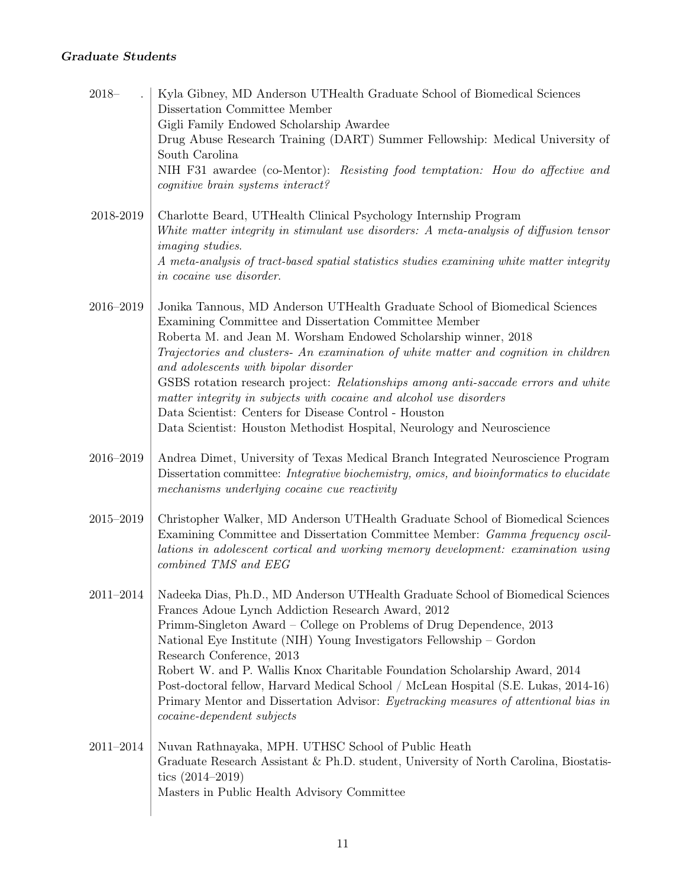#### Graduate Students

| $2018 -$      | Kyla Gibney, MD Anderson UTHealth Graduate School of Biomedical Sciences<br>Dissertation Committee Member<br>Gigli Family Endowed Scholarship Awardee                                                                                                                                                                                                                                                                                                                                                                                                                                                                                  |
|---------------|----------------------------------------------------------------------------------------------------------------------------------------------------------------------------------------------------------------------------------------------------------------------------------------------------------------------------------------------------------------------------------------------------------------------------------------------------------------------------------------------------------------------------------------------------------------------------------------------------------------------------------------|
|               | Drug Abuse Research Training (DART) Summer Fellowship: Medical University of<br>South Carolina                                                                                                                                                                                                                                                                                                                                                                                                                                                                                                                                         |
|               | NIH F31 awardee (co-Mentor): Resisting food temptation: How do affective and<br>cognitive brain systems interact?                                                                                                                                                                                                                                                                                                                                                                                                                                                                                                                      |
| 2018-2019     | Charlotte Beard, UTHealth Clinical Psychology Internship Program<br>White matter integrity in stimulant use disorders: A meta-analysis of diffusion tensor<br><i>imaging studies.</i><br>A meta-analysis of tract-based spatial statistics studies examining white matter integrity<br>in cocaine use disorder.                                                                                                                                                                                                                                                                                                                        |
| 2016-2019     | Jonika Tannous, MD Anderson UTHealth Graduate School of Biomedical Sciences<br>Examining Committee and Dissertation Committee Member<br>Roberta M. and Jean M. Worsham Endowed Scholarship winner, 2018<br>Trajectories and clusters- An examination of white matter and cognition in children<br>and adolescents with bipolar disorder<br>GSBS rotation research project: Relationships among anti-saccade errors and white<br>matter integrity in subjects with cocaine and alcohol use disorders<br>Data Scientist: Centers for Disease Control - Houston<br>Data Scientist: Houston Methodist Hospital, Neurology and Neuroscience |
| $2016 - 2019$ | Andrea Dimet, University of Texas Medical Branch Integrated Neuroscience Program<br>Dissertation committee: Integrative biochemistry, omics, and bioinformatics to elucidate<br>mechanisms underlying cocaine cue reactivity                                                                                                                                                                                                                                                                                                                                                                                                           |
| $2015 - 2019$ | Christopher Walker, MD Anderson UTHealth Graduate School of Biomedical Sciences<br>Examining Committee and Dissertation Committee Member: <i>Gamma frequency oscil-</i><br>lations in adolescent cortical and working memory development: examination using<br>combined TMS and EEG                                                                                                                                                                                                                                                                                                                                                    |
| $2011 - 2014$ | Nadeeka Dias, Ph.D., MD Anderson UTHealth Graduate School of Biomedical Sciences<br>Frances Adoue Lynch Addiction Research Award, 2012<br>Primm-Singleton Award – College on Problems of Drug Dependence, 2013<br>National Eye Institute (NIH) Young Investigators Fellowship - Gordon<br>Research Conference, 2013<br>Robert W. and P. Wallis Knox Charitable Foundation Scholarship Award, 2014<br>Post-doctoral fellow, Harvard Medical School / McLean Hospital (S.E. Lukas, 2014-16)<br>Primary Mentor and Dissertation Advisor: Eyetracking measures of attentional bias in<br><i>cocaine-dependent subjects</i>                 |
| $2011 - 2014$ | Nuvan Rathnayaka, MPH. UTHSC School of Public Heath<br>Graduate Research Assistant & Ph.D. student, University of North Carolina, Biostatis-<br>tics $(2014-2019)$<br>Masters in Public Health Advisory Committee                                                                                                                                                                                                                                                                                                                                                                                                                      |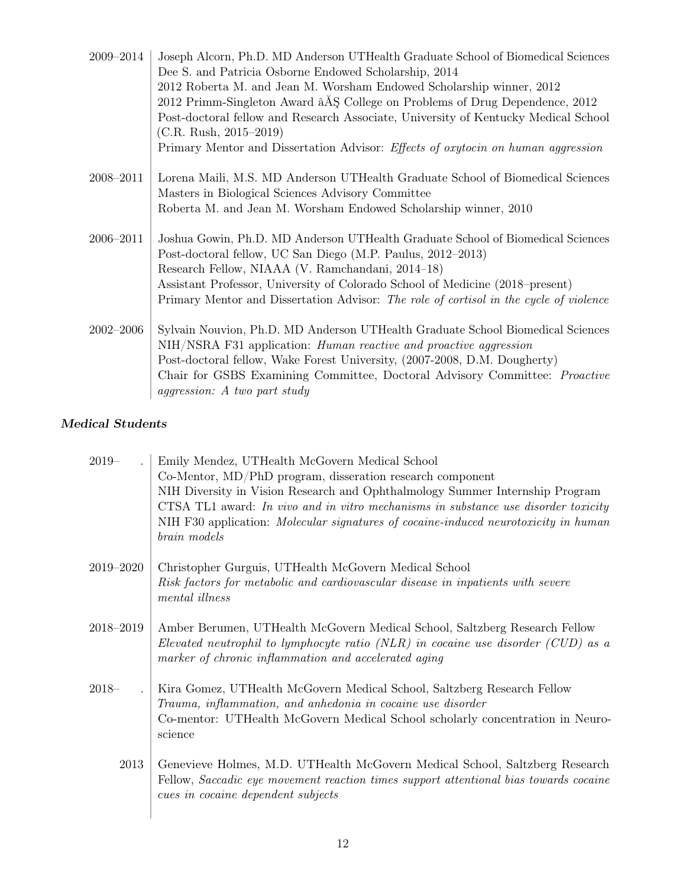| 2009–2014     | Joseph Alcorn, Ph.D. MD Anderson UTHealth Graduate School of Biomedical Sciences<br>Dee S. and Patricia Osborne Endowed Scholarship, 2014<br>2012 Roberta M. and Jean M. Worsham Endowed Scholarship winner, 2012<br>2012 Primm-Singleton Award $\angle$ AS College on Problems of Drug Dependence, 2012<br>Post-doctoral fellow and Research Associate, University of Kentucky Medical School<br>$(C.R. Rush, 2015-2019)$<br>Primary Mentor and Dissertation Advisor: Effects of oxytocin on human aggression |
|---------------|----------------------------------------------------------------------------------------------------------------------------------------------------------------------------------------------------------------------------------------------------------------------------------------------------------------------------------------------------------------------------------------------------------------------------------------------------------------------------------------------------------------|
| 2008-2011     | Lorena Maili, M.S. MD Anderson UTHealth Graduate School of Biomedical Sciences<br>Masters in Biological Sciences Advisory Committee<br>Roberta M. and Jean M. Worsham Endowed Scholarship winner, 2010                                                                                                                                                                                                                                                                                                         |
| 2006-2011     | Joshua Gowin, Ph.D. MD Anderson UTHealth Graduate School of Biomedical Sciences<br>Post-doctoral fellow, UC San Diego (M.P. Paulus, 2012–2013)<br>Research Fellow, NIAAA (V. Ramchandani, 2014–18)<br>Assistant Professor, University of Colorado School of Medicine (2018–present)<br>Primary Mentor and Dissertation Advisor: The role of cortisol in the cycle of violence                                                                                                                                  |
| $2002 - 2006$ | Sylvain Nouvion, Ph.D. MD Anderson UTHealth Graduate School Biomedical Sciences<br>NIH/NSRA F31 application: <i>Human reactive and proactive aggression</i><br>Post-doctoral fellow, Wake Forest University, (2007-2008, D.M. Dougherty)<br>Chair for GSBS Examining Committee, Doctoral Advisory Committee: <i>Proactive</i><br><i>aggression:</i> A two part study                                                                                                                                           |

### Medical Students

| $2019-$       | Emily Mendez, UTHealth McGovern Medical School<br>Co-Mentor, MD/PhD program, disseration research component<br>NIH Diversity in Vision Research and Ophthalmology Summer Internship Program<br>CTSA TL1 award: In vivo and in vitro mechanisms in substance use disorder toxicity<br>NIH F30 application: Molecular signatures of cocaine-induced neurotoxicity in human<br>brain models |
|---------------|------------------------------------------------------------------------------------------------------------------------------------------------------------------------------------------------------------------------------------------------------------------------------------------------------------------------------------------------------------------------------------------|
| $2019 - 2020$ | Christopher Gurguis, UTHealth McGovern Medical School<br>Risk factors for metabolic and cardiovascular disease in inpatients with severe<br>mental illness                                                                                                                                                                                                                               |
| 2018-2019     | Amber Berumen, UTHealth McGovern Medical School, Saltzberg Research Fellow<br>Elevated neutrophil to lymphocyte ratio (NLR) in cocaine use disorder (CUD) as a<br>marker of chronic inflammation and accelerated aging                                                                                                                                                                   |
| $2018-$       | Kira Gomez, UTHealth McGovern Medical School, Saltzberg Research Fellow<br>Trauma, inflammation, and anhedonia in cocaine use disorder<br>Co-mentor: UTHealth McGovern Medical School scholarly concentration in Neuro-<br>science                                                                                                                                                       |
| 2013          | Genevieve Holmes, M.D. UTHealth McGovern Medical School, Saltzberg Research<br>Fellow, Saccadic eye movement reaction times support attentional bias towards cocaine<br>cues in cocaine dependent subjects                                                                                                                                                                               |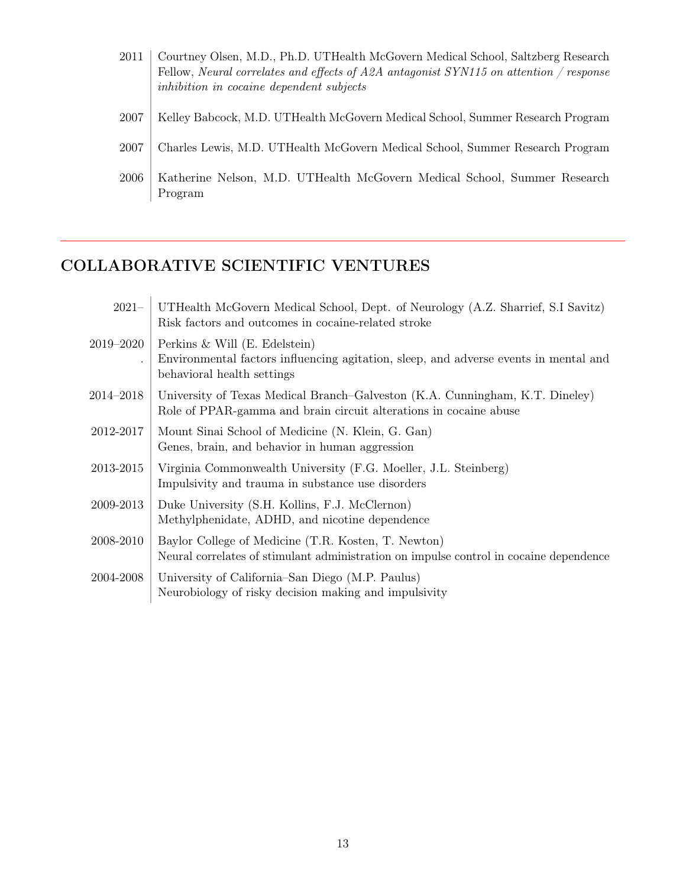| 2011 | Courtney Olsen, M.D., Ph.D. UTHealth McGovern Medical School, Saltzberg Research<br>Fellow, Neural correlates and effects of A2A antagonist SYN115 on attention / response<br>inhibition in cocaine dependent subjects |
|------|------------------------------------------------------------------------------------------------------------------------------------------------------------------------------------------------------------------------|
| 2007 | Kelley Babcock, M.D. UTHealth McGovern Medical School, Summer Research Program                                                                                                                                         |
| 2007 | Charles Lewis, M.D. UTHealth McGovern Medical School, Summer Research Program                                                                                                                                          |
| 2006 | Katherine Nelson, M.D. UTHealth McGovern Medical School, Summer Research<br>Program                                                                                                                                    |

# COLLABORATIVE SCIENTIFIC VENTURES

| $2021 -$  | UTHealth McGovern Medical School, Dept. of Neurology (A.Z. Sharrief, S.I Savitz)<br>Risk factors and outcomes in cocaine-related stroke               |
|-----------|-------------------------------------------------------------------------------------------------------------------------------------------------------|
| 2019–2020 | Perkins $&$ Will (E. Edelstein)<br>Environmental factors influencing agitation, sleep, and adverse events in mental and<br>behavioral health settings |
| 2014–2018 | University of Texas Medical Branch–Galveston (K.A. Cunningham, K.T. Dineley)<br>Role of PPAR-gamma and brain circuit alterations in cocaine abuse     |
| 2012-2017 | Mount Sinai School of Medicine (N. Klein, G. Gan)<br>Genes, brain, and behavior in human aggression                                                   |
| 2013-2015 | Virginia Commonwealth University (F.G. Moeller, J.L. Steinberg)<br>Impulsivity and trauma in substance use disorders                                  |
| 2009-2013 | Duke University (S.H. Kollins, F.J. McClernon)<br>Methylphenidate, ADHD, and nicotine dependence                                                      |
| 2008-2010 | Baylor College of Medicine (T.R. Kosten, T. Newton)<br>Neural correlates of stimulant administration on impulse control in cocaine dependence         |
| 2004-2008 | University of California–San Diego (M.P. Paulus)<br>Neurobiology of risky decision making and impulsivity                                             |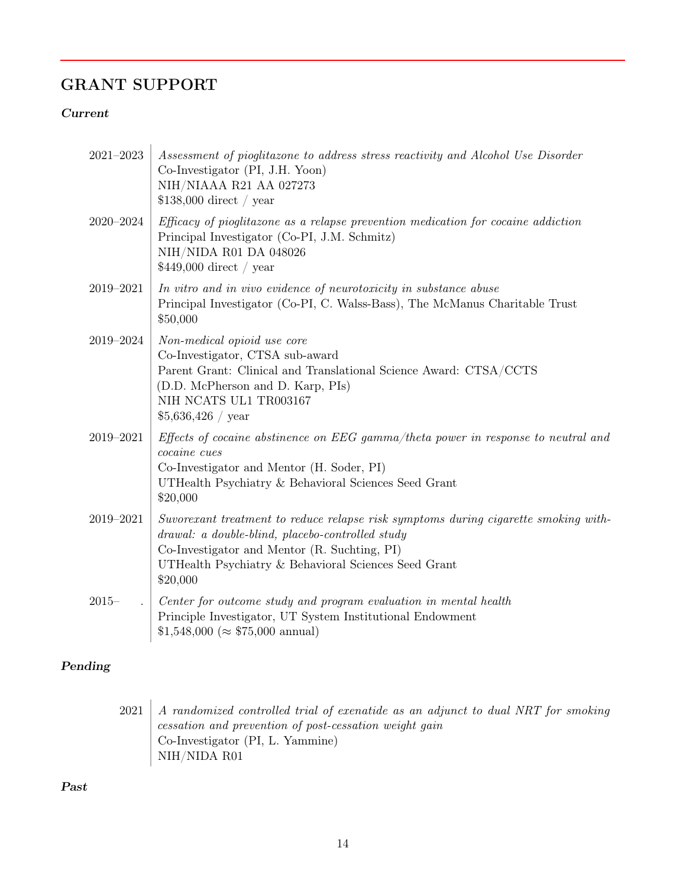# GRANT SUPPORT

#### Current

| $2021 - 2023$ | Assessment of pioglitazone to address stress reactivity and Alcohol Use Disorder<br>Co-Investigator (PI, J.H. Yoon)<br>NIH/NIAAA R21 AA 027273<br>$$138,000$ direct / year                                                                                  |
|---------------|-------------------------------------------------------------------------------------------------------------------------------------------------------------------------------------------------------------------------------------------------------------|
| 2020-2024     | Efficacy of pioglitazone as a relapse prevention medication for cocaine addiction<br>Principal Investigator (Co-PI, J.M. Schmitz)<br>$\rm NIH/NIDA$ R01 $\rm DA$ 048026<br>$$449,000$ direct / year                                                         |
| 2019-2021     | In vitro and in vivo evidence of neurotoxicity in substance abuse<br>Principal Investigator (Co-PI, C. Walss-Bass), The McManus Charitable Trust<br>\$50,000                                                                                                |
| 2019-2024     | Non-medical opioid use core<br>Co-Investigator, CTSA sub-award<br>Parent Grant: Clinical and Translational Science Award: CTSA/CCTS<br>(D.D. McPherson and D. Karp, PIs)<br>NIH NCATS UL1 TR003167<br>$$5,636,426$ / year                                   |
| 2019-2021     | Effects of cocaine abstinence on EEG gamma/theta power in response to neutral and<br>cocaine cues<br>Co-Investigator and Mentor (H. Soder, PI)<br>UTHealth Psychiatry & Behavioral Sciences Seed Grant<br>\$20,000                                          |
| 2019-2021     | Suvorexant treatment to reduce relapse risk symptoms during cigarette smoking with-<br>drawal: a double-blind, placebo-controlled study<br>Co-Investigator and Mentor (R. Suchting, PI)<br>UTHealth Psychiatry & Behavioral Sciences Seed Grant<br>\$20,000 |
| $2015 -$      | Center for outcome study and program evaluation in mental health<br>Principle Investigator, UT System Institutional Endowment<br>$$1,548,000 \; (\approx $75,000 \; \text{annual})$                                                                         |

### Pending

 $2021$  A randomized controlled trial of exenatide as an adjunct to dual NRT for smoking cessation and prevention of post-cessation weight gain Co-Investigator (PI, L. Yammine) NIH/NIDA R01

Past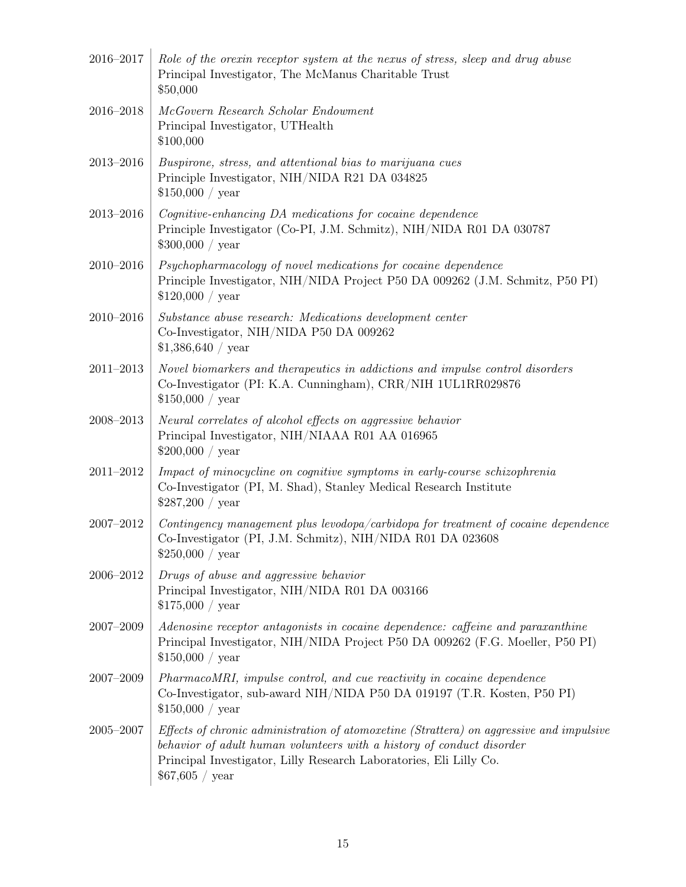| 2016-2017     | Role of the orexin receptor system at the nexus of stress, sleep and drug abuse<br>Principal Investigator, The McManus Charitable Trust<br>\$50,000                                                                                                        |
|---------------|------------------------------------------------------------------------------------------------------------------------------------------------------------------------------------------------------------------------------------------------------------|
| 2016-2018     | McGovern Research Scholar Endowment<br>Principal Investigator, UTHealth<br>\$100,000                                                                                                                                                                       |
| 2013-2016     | Buspirone, stress, and attentional bias to marijuana cues<br>Principle Investigator, NIH/NIDA R21 DA 034825<br>\$150,000 / year                                                                                                                            |
| 2013-2016     | Cognitive-enhancing DA medications for cocaine dependence<br>Principle Investigator (Co-PI, J.M. Schmitz), NIH/NIDA R01 DA 030787<br>\$300,000 / year                                                                                                      |
| 2010-2016     | Psychopharmacology of novel medications for cocaine dependence<br>Principle Investigator, NIH/NIDA Project P50 DA 009262 (J.M. Schmitz, P50 PI)<br>\$120,000 / year                                                                                        |
| $2010 - 2016$ | Substance abuse research: Medications development center<br>Co-Investigator, NIH/NIDA P50 DA 009262<br>\$1,386,640 / year                                                                                                                                  |
| $2011 - 2013$ | Novel biomarkers and therapeutics in addictions and impulse control disorders<br>Co-Investigator (PI: K.A. Cunningham), CRR/NIH 1UL1RR029876<br>\$150,000 / year                                                                                           |
| $2008 - 2013$ | Neural correlates of alcohol effects on aggressive behavior<br>Principal Investigator, NIH/NIAAA R01 AA 016965<br>\$200,000 / year                                                                                                                         |
| $2011 - 2012$ | Impact of minocycline on cognitive symptoms in early-course schizophrenia<br>Co-Investigator (PI, M. Shad), Stanley Medical Research Institute<br>\$287,200 / year                                                                                         |
| $2007 - 2012$ | Contingency management plus levodopa/carbidopa for treatment of cocaine dependence<br>Co-Investigator (PI, J.M. Schmitz), NIH/NIDA R01 DA 023608<br>\$250,000 / year                                                                                       |
| 2006-2012     | Drugs of abuse and aggressive behavior<br>Principal Investigator, NIH/NIDA R01 DA 003166<br>\$175,000 / year                                                                                                                                               |
| 2007-2009     | Adenosine receptor antagonists in cocaine dependence: caffeine and paraxanthine<br>Principal Investigator, NIH/NIDA Project P50 DA 009262 (F.G. Moeller, P50 PI)<br>\$150,000 / year                                                                       |
| 2007-2009     | PharmacoMRI, impulse control, and cue reactivity in cocaine dependence<br>Co-Investigator, sub-award NIH/NIDA P50 DA 019197 (T.R. Kosten, P50 PI)<br>\$150,000 / year                                                                                      |
| $2005 - 2007$ | Effects of chronic administration of atomoxetine (Strattera) on aggressive and impulsive<br>behavior of adult human volunteers with a history of conduct disorder<br>Principal Investigator, Lilly Research Laboratories, Eli Lilly Co.<br>\$67,605 / year |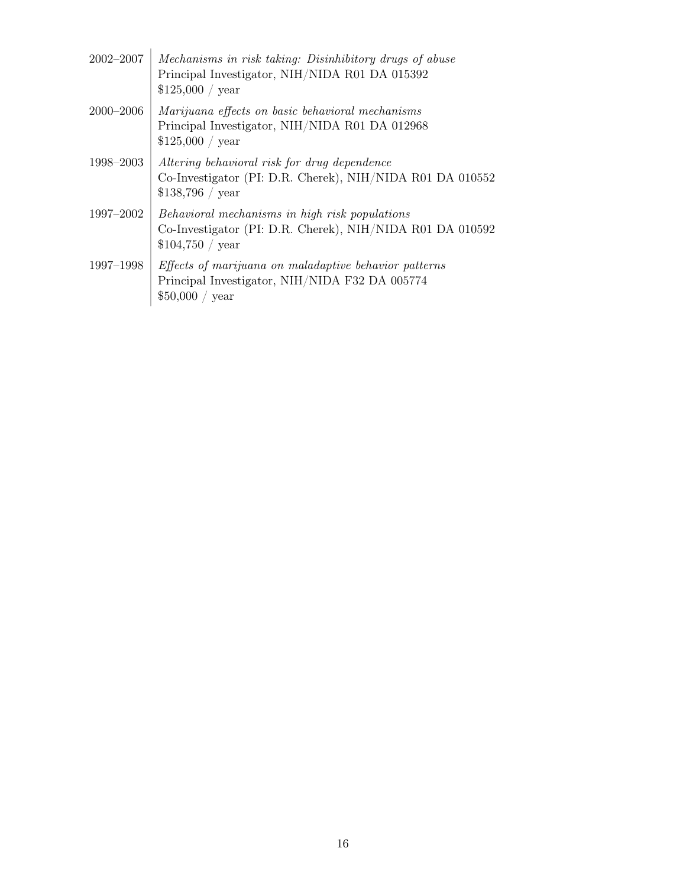| $2002 - 2007$ | Mechanisms in risk taking: Disinhibitory drugs of abuse<br>Principal Investigator, NIH/NIDA R01 DA 015392<br>\$125,000 / year     |
|---------------|-----------------------------------------------------------------------------------------------------------------------------------|
| $2000 - 2006$ | Marijuana effects on basic behavioral mechanisms<br>Principal Investigator, NIH/NIDA R01 DA 012968<br>\$125,000 / year            |
| 1998–2003     | Altering behavioral risk for drug dependence<br>Co-Investigator (PI: D.R. Cherek), NIH/NIDA R01 DA 010552<br>\$138,796 / year     |
| 1997–2002     | Behavioral mechanisms in high risk populations<br>Co-Investigator (PI: D.R. Cherek), NIH/NIDA R01 DA 010592<br>\$104,750 / year   |
| 1997-1998     | <i>Effects of marijuana on maladaptive behavior patterns</i><br>Principal Investigator, NIH/NIDA F32 DA 005774<br>\$50,000 / year |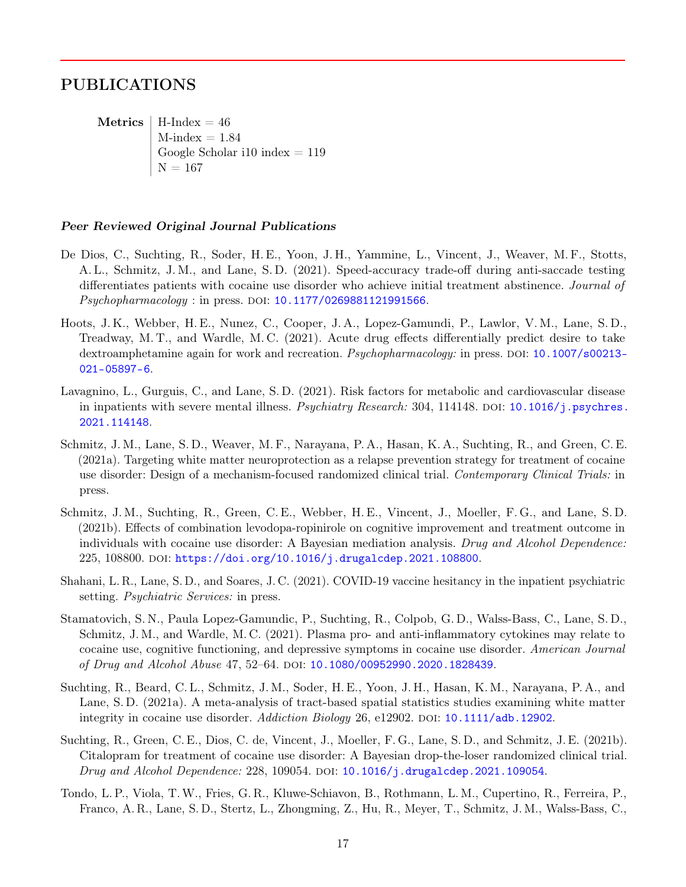### PUBLICATIONS

Metrics  $H$ -Index = 46  $M$ -index  $= 1.84$ Google Scholar i10 index  $= 119$  $N = 167$ 

#### Peer Reviewed Original Journal Publications

- De Dios, C., Suchting, R., Soder, H. E., Yoon, J. H., Yammine, L., Vincent, J., Weaver, M. F., Stotts, A. L., Schmitz, J. M., and Lane, S. D. (2021). Speed-accuracy trade-off during anti-saccade testing differentiates patients with cocaine use disorder who achieve initial treatment abstinence. Journal of Psychopharmacology : in press. DOI: [10.1177/0269881121991566](https://doi.org/10.1177/0269881121991566).
- Hoots, J. K., Webber, H. E., Nunez, C., Cooper, J. A., Lopez-Gamundi, P., Lawlor, V. M., Lane, S. D., Treadway, M. T., and Wardle, M. C. (2021). Acute drug effects differentially predict desire to take dextroamphetamine again for work and recreation. *Psychopharmacology:* in press. DOI: [10.1007/s00213-](https://doi.org/10.1007/s00213-021-05897-6) [021-05897-6](https://doi.org/10.1007/s00213-021-05897-6).
- Lavagnino, L., Gurguis, C., and Lane, S. D. (2021). Risk factors for metabolic and cardiovascular disease in inpatients with severe mental illness. Psychiatry Research: 304, 114148. DOI: [10.1016/j.psychres.](https://doi.org/10.1016/j.psychres.2021.114148) [2021.114148](https://doi.org/10.1016/j.psychres.2021.114148).
- Schmitz, J. M., Lane, S. D., Weaver, M. F., Narayana, P. A., Hasan, K. A., Suchting, R., and Green, C. E. (2021a). Targeting white matter neuroprotection as a relapse prevention strategy for treatment of cocaine use disorder: Design of a mechanism-focused randomized clinical trial. Contemporary Clinical Trials: in press.
- Schmitz, J. M., Suchting, R., Green, C. E., Webber, H. E., Vincent, J., Moeller, F. G., and Lane, S. D. (2021b). Effects of combination levodopa-ropinirole on cognitive improvement and treatment outcome in individuals with cocaine use disorder: A Bayesian mediation analysis. Drug and Alcohol Dependence: 225, 108800. doi: [https://doi.org/10.1016/j.drugalcdep.2021.108800](https://doi.org/https://doi.org/10.1016/j.drugalcdep.2021.108800).
- Shahani, L. R., Lane, S. D., and Soares, J. C. (2021). COVID-19 vaccine hesitancy in the inpatient psychiatric setting. *Psychiatric Services:* in press.
- Stamatovich, S. N., Paula Lopez-Gamundic, P., Suchting, R., Colpob, G. D., Walss-Bass, C., Lane, S. D., Schmitz, J. M., and Wardle, M. C. (2021). Plasma pro- and anti-inflammatory cytokines may relate to cocaine use, cognitive functioning, and depressive symptoms in cocaine use disorder. American Journal of Drug and Alcohol Abuse 47, 52–64. poi: [10.1080/00952990.2020.1828439](https://doi.org/10.1080/00952990.2020.1828439).
- Suchting, R., Beard, C. L., Schmitz, J. M., Soder, H. E., Yoon, J. H., Hasan, K. M., Narayana, P. A., and Lane, S. D. (2021a). A meta-analysis of tract-based spatial statistics studies examining white matter integrity in cocaine use disorder. Addiction Biology 26, e12902. DOI: [10.1111/adb.12902](https://doi.org/10.1111/adb.12902).
- Suchting, R., Green, C. E., Dios, C. de, Vincent, J., Moeller, F. G., Lane, S. D., and Schmitz, J. E. (2021b). Citalopram for treatment of cocaine use disorder: A Bayesian drop-the-loser randomized clinical trial. Drug and Alcohol Dependence: 228, 109054. DOI: [10.1016/j.drugalcdep.2021.109054](https://doi.org/10.1016/j.drugalcdep.2021.109054).
- Tondo, L. P., Viola, T.W., Fries, G. R., Kluwe-Schiavon, B., Rothmann, L. M., Cupertino, R., Ferreira, P., Franco, A. R., Lane, S. D., Stertz, L., Zhongming, Z., Hu, R., Meyer, T., Schmitz, J. M., Walss-Bass, C.,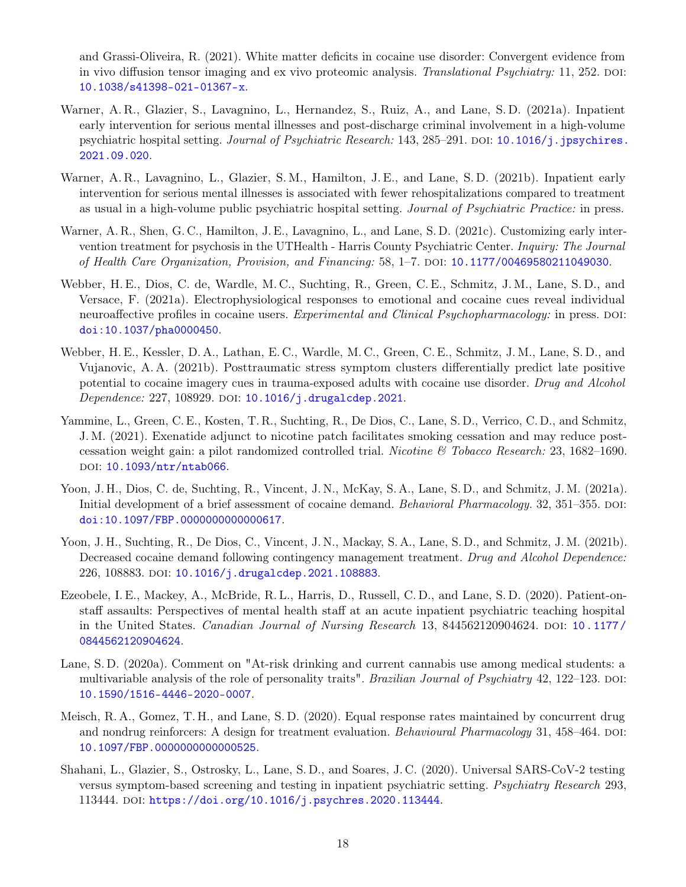and Grassi-Oliveira, R. (2021). White matter deficits in cocaine use disorder: Convergent evidence from in vivo diffusion tensor imaging and ex vivo proteomic analysis. Translational Psychiatry: 11, 252. DOI: [10.1038/s41398-021-01367-x](https://doi.org/10.1038/s41398-021-01367-x).

- Warner, A. R., Glazier, S., Lavagnino, L., Hernandez, S., Ruiz, A., and Lane, S. D. (2021a). Inpatient early intervention for serious mental illnesses and post-discharge criminal involvement in a high-volume psychiatric hospital setting. Journal of Psychiatric Research: 143, 285-291. DOI: [10.1016/j.jpsychires.](https://doi.org/10.1016/j.jpsychires.2021.09.020) [2021.09.020](https://doi.org/10.1016/j.jpsychires.2021.09.020).
- Warner, A. R., Lavagnino, L., Glazier, S. M., Hamilton, J. E., and Lane, S. D. (2021b). Inpatient early intervention for serious mental illnesses is associated with fewer rehospitalizations compared to treatment as usual in a high-volume public psychiatric hospital setting. Journal of Psychiatric Practice: in press.
- Warner, A. R., Shen, G. C., Hamilton, J. E., Lavagnino, L., and Lane, S. D. (2021c). Customizing early intervention treatment for psychosis in the UTHealth - Harris County Psychiatric Center. Inquiry: The Journal of Health Care Organization, Provision, and Financing: 58, 1–7. doi: [10.1177/00469580211049030](https://doi.org/10.1177/00469580211049030).
- Webber, H. E., Dios, C. de, Wardle, M. C., Suchting, R., Green, C. E., Schmitz, J. M., Lane, S. D., and Versace, F. (2021a). Electrophysiological responses to emotional and cocaine cues reveal individual neuroaffective profiles in cocaine users. Experimental and Clinical Psychopharmacology: in press. DOI: [doi:10.1037/pha0000450](https://doi.org/doi: 10.1037/pha0000450).
- Webber, H. E., Kessler, D. A., Lathan, E. C., Wardle, M. C., Green, C. E., Schmitz, J. M., Lane, S. D., and Vujanovic, A. A. (2021b). Posttraumatic stress symptom clusters differentially predict late positive potential to cocaine imagery cues in trauma-exposed adults with cocaine use disorder. Drug and Alcohol  $Dependence: 227, 108929.$  DOI:  $10.1016/j.drugalcdep.2021.$  $10.1016/j.drugalcdep.2021.$
- Yammine, L., Green, C. E., Kosten, T. R., Suchting, R., De Dios, C., Lane, S. D., Verrico, C. D., and Schmitz, J. M. (2021). Exenatide adjunct to nicotine patch facilitates smoking cessation and may reduce postcessation weight gain: a pilot randomized controlled trial. Nicotine & Tobacco Research: 23, 1682–1690. DOI: [10.1093/ntr/ntab066](https://doi.org/10.1093/ntr/ntab066).
- Yoon, J. H., Dios, C. de, Suchting, R., Vincent, J. N., McKay, S. A., Lane, S. D., and Schmitz, J. M. (2021a). Initial development of a brief assessment of cocaine demand. Behavioral Pharmacology. 32, 351–355. DOI: [doi:10.1097/FBP.0000000000000617](https://doi.org/doi: 10.1097/FBP.0000000000000617).
- Yoon, J. H., Suchting, R., De Dios, C., Vincent, J. N., Mackay, S. A., Lane, S. D., and Schmitz, J. M. (2021b). Decreased cocaine demand following contingency management treatment. Drug and Alcohol Dependence: 226, 108883. DOI: [10.1016/j.drugalcdep.2021.108883](https://doi.org/10.1016/j.drugalcdep.2021.108883).
- Ezeobele, I. E., Mackey, A., McBride, R. L., Harris, D., Russell, C. D., and Lane, S. D. (2020). Patient-onstaff assaults: Perspectives of mental health staff at an acute inpatient psychiatric teaching hospital in the United States. *Canadian Journal of Nursing Research* 13, 844562120904624. DOI: [10.1177/](https://doi.org/10.1177/0844562120904624) [0844562120904624](https://doi.org/10.1177/0844562120904624).
- Lane, S. D. (2020a). Comment on "At-risk drinking and current cannabis use among medical students: a multivariable analysis of the role of personality traits". *Brazilian Journal of Psychiatry* 42, 122–123. DOI: [10.1590/1516-4446-2020-0007](https://doi.org/10.1590/1516-4446-2020-0007).
- Meisch, R. A., Gomez, T. H., and Lane, S. D. (2020). Equal response rates maintained by concurrent drug and nondrug reinforcers: A design for treatment evaluation. *Behavioural Pharmacology* 31, 458–464. DOI: [10.1097/FBP.0000000000000525](https://doi.org/10.1097/FBP.0000000000000525).
- Shahani, L., Glazier, S., Ostrosky, L., Lane, S. D., and Soares, J. C. (2020). Universal SARS-CoV-2 testing versus symptom-based screening and testing in inpatient psychiatric setting. Psychiatry Research 293, 113444. doi: [https://doi.org/10.1016/j.psychres.2020.113444](https://doi.org/https://doi.org/10.1016/j.psychres.2020.113444).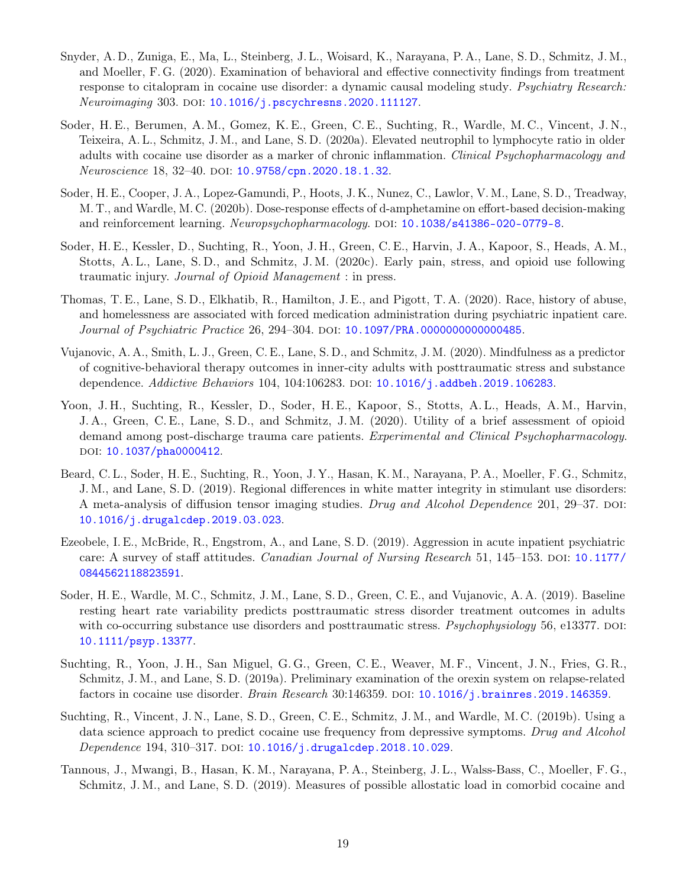- Snyder, A. D., Zuniga, E., Ma, L., Steinberg, J. L., Woisard, K., Narayana, P. A., Lane, S. D., Schmitz, J. M., and Moeller, F. G. (2020). Examination of behavioral and effective connectivity findings from treatment response to citalopram in cocaine use disorder: a dynamic causal modeling study. Psychiatry Research: Neuroimaging 303. DOI: [10.1016/j.pscychresns.2020.111127](https://doi.org/10.1016/j.pscychresns.2020.111127).
- Soder, H. E., Berumen, A. M., Gomez, K. E., Green, C. E., Suchting, R., Wardle, M. C., Vincent, J. N., Teixeira, A. L., Schmitz, J. M., and Lane, S. D. (2020a). Elevated neutrophil to lymphocyte ratio in older adults with cocaine use disorder as a marker of chronic inflammation. Clinical Psychopharmacology and Neuroscience 18, 32-40. DOI: [10.9758/cpn.2020.18.1.32](https://doi.org/10.9758/cpn.2020.18.1.32).
- Soder, H. E., Cooper, J. A., Lopez-Gamundi, P., Hoots, J. K., Nunez, C., Lawlor, V. M., Lane, S. D., Treadway, M. T., and Wardle, M. C. (2020b). Dose-response effects of d-amphetamine on effort-based decision-making and reinforcement learning. Neuropsychopharmacology. DOI: [10.1038/s41386-020-0779-8](https://doi.org/10.1038/s41386-020-0779-8).
- Soder, H. E., Kessler, D., Suchting, R., Yoon, J. H., Green, C. E., Harvin, J. A., Kapoor, S., Heads, A. M., Stotts, A. L., Lane, S. D., and Schmitz, J. M. (2020c). Early pain, stress, and opioid use following traumatic injury. Journal of Opioid Management : in press.
- Thomas, T. E., Lane, S. D., Elkhatib, R., Hamilton, J. E., and Pigott, T. A. (2020). Race, history of abuse, and homelessness are associated with forced medication administration during psychiatric inpatient care. Journal of Psychiatric Practice 26, 294-304. DOI: [10.1097/PRA.0000000000000485](https://doi.org/10.1097/PRA.0000000000000485).
- Vujanovic, A. A., Smith, L. J., Green, C. E., Lane, S. D., and Schmitz, J. M. (2020). Mindfulness as a predictor of cognitive-behavioral therapy outcomes in inner-city adults with posttraumatic stress and substance dependence. Addictive Behaviors 104, 104:106283. DOI: [10.1016/j.addbeh.2019.106283](https://doi.org/10.1016/j.addbeh.2019.106283).
- Yoon, J. H., Suchting, R., Kessler, D., Soder, H. E., Kapoor, S., Stotts, A. L., Heads, A. M., Harvin, J. A., Green, C. E., Lane, S. D., and Schmitz, J. M. (2020). Utility of a brief assessment of opioid demand among post-discharge trauma care patients. Experimental and Clinical Psychopharmacology. DOI: [10.1037/pha0000412](https://doi.org/10.1037/pha0000412).
- Beard, C. L., Soder, H. E., Suchting, R., Yoon, J. Y., Hasan, K. M., Narayana, P. A., Moeller, F. G., Schmitz, J. M., and Lane, S. D. (2019). Regional differences in white matter integrity in stimulant use disorders: A meta-analysis of diffusion tensor imaging studies. Drug and Alcohol Dependence 201, 29–37. DOI: [10.1016/j.drugalcdep.2019.03.023](https://doi.org/10.1016/j.drugalcdep.2019.03.023).
- Ezeobele, I. E., McBride, R., Engstrom, A., and Lane, S. D. (2019). Aggression in acute inpatient psychiatric care: A survey of staff attitudes. *Canadian Journal of Nursing Research* 51, 145–153. DOI: [10.1177/](https://doi.org/10.1177/0844562118823591) [0844562118823591](https://doi.org/10.1177/0844562118823591).
- Soder, H. E., Wardle, M. C., Schmitz, J. M., Lane, S. D., Green, C. E., and Vujanovic, A. A. (2019). Baseline resting heart rate variability predicts posttraumatic stress disorder treatment outcomes in adults with co-occurring substance use disorders and posttraumatic stress. Psychophysiology 56, e13377. DOI: [10.1111/psyp.13377](https://doi.org/10.1111/psyp.13377).
- Suchting, R., Yoon, J. H., San Miguel, G. G., Green, C. E., Weaver, M. F., Vincent, J. N., Fries, G. R., Schmitz, J. M., and Lane, S. D. (2019a). Preliminary examination of the orexin system on relapse-related factors in cocaine use disorder. Brain Research  $30:146359$ . DOI:  $10.1016/j$ . brainres. 2019. 146359.
- Suchting, R., Vincent, J. N., Lane, S. D., Green, C. E., Schmitz, J. M., and Wardle, M. C. (2019b). Using a data science approach to predict cocaine use frequency from depressive symptoms. Drug and Alcohol Dependence 194, 310–317. DOI:  $10.1016/j$ .drugalcdep.2018.10.029.
- Tannous, J., Mwangi, B., Hasan, K. M., Narayana, P. A., Steinberg, J. L., Walss-Bass, C., Moeller, F. G., Schmitz, J. M., and Lane, S. D. (2019). Measures of possible allostatic load in comorbid cocaine and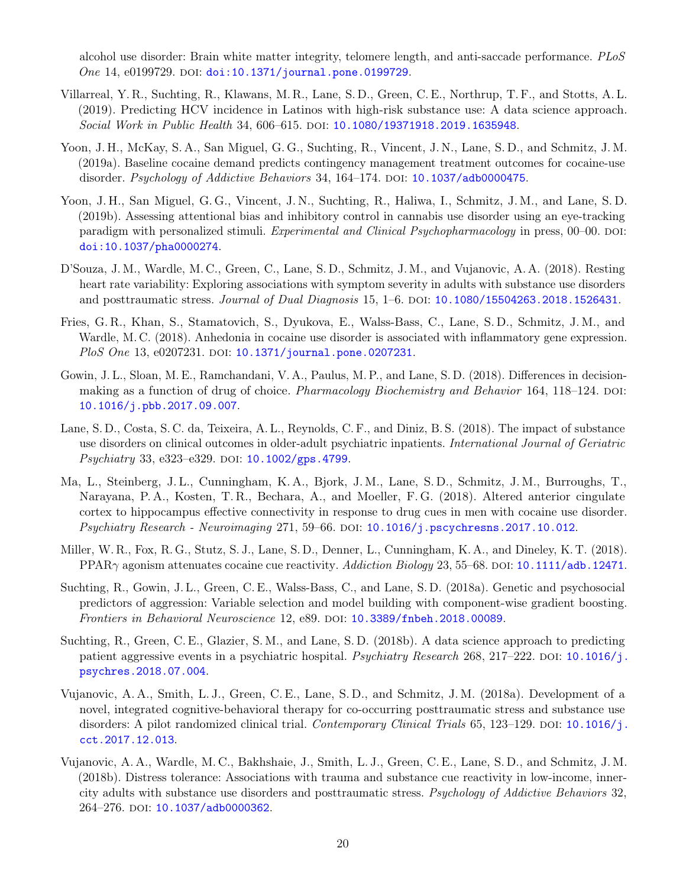alcohol use disorder: Brain white matter integrity, telomere length, and anti-saccade performance. PLoS One 14, e0199729. DOI: [doi:10.1371/journal.pone.0199729](https://doi.org/doi: 10.1371/journal.pone.0199729).

- Villarreal, Y. R., Suchting, R., Klawans, M. R., Lane, S. D., Green, C. E., Northrup, T. F., and Stotts, A. L. (2019). Predicting HCV incidence in Latinos with high-risk substance use: A data science approach. Social Work in Public Health 34, 606–615. DOI: [10.1080/19371918.2019.1635948](https://doi.org/10.1080/19371918.2019.1635948).
- Yoon, J. H., McKay, S. A., San Miguel, G. G., Suchting, R., Vincent, J. N., Lane, S. D., and Schmitz, J. M. (2019a). Baseline cocaine demand predicts contingency management treatment outcomes for cocaine-use disorder. Psychology of Addictive Behaviors 34, 164–174. DOI: [10.1037/adb0000475](https://doi.org/10.1037/adb0000475).
- Yoon, J. H., San Miguel, G. G., Vincent, J. N., Suchting, R., Haliwa, I., Schmitz, J. M., and Lane, S. D. (2019b). Assessing attentional bias and inhibitory control in cannabis use disorder using an eye-tracking paradigm with personalized stimuli. Experimental and Clinical Psychopharmacology in press, 00–00. DOI: [doi:10.1037/pha0000274](https://doi.org/doi: 10.1037/pha0000274).
- D'Souza, J. M., Wardle, M. C., Green, C., Lane, S. D., Schmitz, J. M., and Vujanovic, A. A. (2018). Resting heart rate variability: Exploring associations with symptom severity in adults with substance use disorders and posttraumatic stress. *Journal of Dual Diagnosis* 15, 1–6. DOI: [10.1080/15504263.2018.1526431](https://doi.org/10.1080/15504263.2018.1526431).
- Fries, G. R., Khan, S., Stamatovich, S., Dyukova, E., Walss-Bass, C., Lane, S. D., Schmitz, J. M., and Wardle, M. C. (2018). Anhedonia in cocaine use disorder is associated with inflammatory gene expression.  $PloS$  One 13, e0207231. DOI: [10.1371/journal.pone.0207231](https://doi.org/10.1371/journal.pone.0207231).
- Gowin, J. L., Sloan, M. E., Ramchandani, V. A., Paulus, M. P., and Lane, S. D. (2018). Differences in decisionmaking as a function of drug of choice. *Pharmacology Biochemistry and Behavior* 164, 118–124. DOI: [10.1016/j.pbb.2017.09.007](https://doi.org/10.1016/j.pbb.2017.09.007).
- Lane, S. D., Costa, S. C. da, Teixeira, A. L., Reynolds, C. F., and Diniz, B. S. (2018). The impact of substance use disorders on clinical outcomes in older-adult psychiatric inpatients. International Journal of Geriatric  $Psychiatry 33, e323–e329. DOI: 10.1002/gps.4799.$  $Psychiatry 33, e323–e329. DOI: 10.1002/gps.4799.$  $Psychiatry 33, e323–e329. DOI: 10.1002/gps.4799.$
- Ma, L., Steinberg, J. L., Cunningham, K. A., Bjork, J. M., Lane, S. D., Schmitz, J. M., Burroughs, T., Narayana, P. A., Kosten, T. R., Bechara, A., and Moeller, F. G. (2018). Altered anterior cingulate cortex to hippocampus effective connectivity in response to drug cues in men with cocaine use disorder. Psychiatry Research - Neuroimaging 271, 59–66. doi: [10.1016/j.pscychresns.2017.10.012](https://doi.org/10.1016/j.pscychresns.2017.10.012).
- Miller, W. R., Fox, R. G., Stutz, S. J., Lane, S. D., Denner, L., Cunningham, K. A., and Dineley, K. T. (2018). PPAR $\gamma$  agonism attenuates cocaine cue reactivity. Addiction Biology 23, 55–68. DOI: [10.1111/adb.12471](https://doi.org/10.1111/adb.12471).
- Suchting, R., Gowin, J. L., Green, C. E., Walss-Bass, C., and Lane, S. D. (2018a). Genetic and psychosocial predictors of aggression: Variable selection and model building with component-wise gradient boosting. Frontiers in Behavioral Neuroscience 12, e89. DOI: [10.3389/fnbeh.2018.00089](https://doi.org/10.3389/fnbeh.2018.00089).
- Suchting, R., Green, C. E., Glazier, S. M., and Lane, S. D. (2018b). A data science approach to predicting patient aggressive events in a psychiatric hospital. Psychiatry Research 268, 217–222. DOI: [10.1016/j.](https://doi.org/10.1016/j.psychres.2018.07.004) [psychres.2018.07.004](https://doi.org/10.1016/j.psychres.2018.07.004).
- Vujanovic, A. A., Smith, L. J., Green, C. E., Lane, S. D., and Schmitz, J. M. (2018a). Development of a novel, integrated cognitive-behavioral therapy for co-occurring posttraumatic stress and substance use disorders: A pilot randomized clinical trial. Contemporary Clinical Trials 65, 123–129. DOI: [10.1016/j.](https://doi.org/10.1016/j.cct.2017.12.013) [cct.2017.12.013](https://doi.org/10.1016/j.cct.2017.12.013).
- Vujanovic, A. A., Wardle, M. C., Bakhshaie, J., Smith, L. J., Green, C. E., Lane, S. D., and Schmitz, J. M. (2018b). Distress tolerance: Associations with trauma and substance cue reactivity in low-income, innercity adults with substance use disorders and posttraumatic stress. Psychology of Addictive Behaviors 32, 264-276. DOI: [10.1037/adb0000362](https://doi.org/10.1037/adb0000362).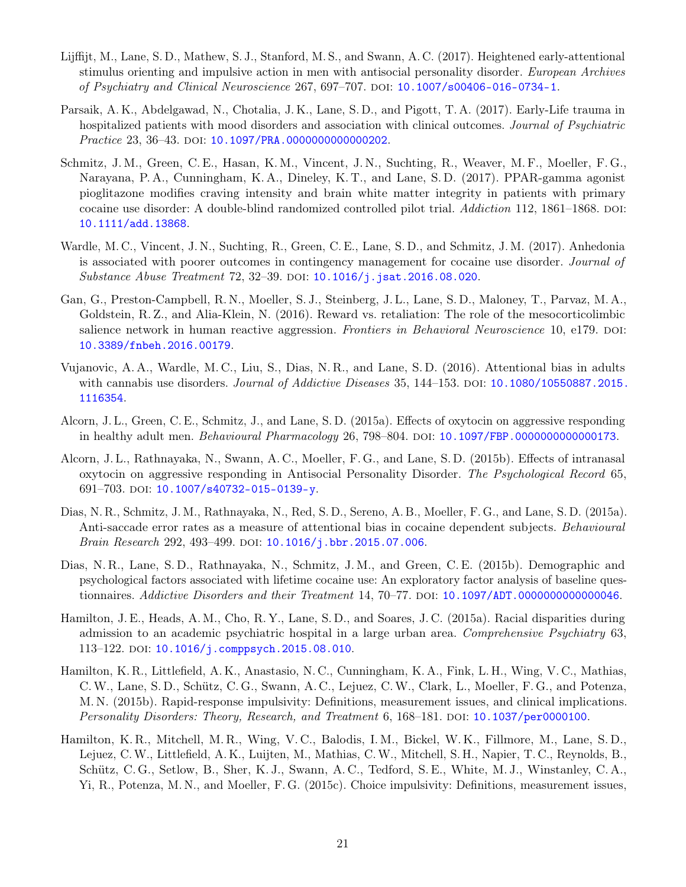- Lijffijt, M., Lane, S. D., Mathew, S. J., Stanford, M. S., and Swann, A. C. (2017). Heightened early-attentional stimulus orienting and impulsive action in men with antisocial personality disorder. European Archives of Psychiatry and Clinical Neuroscience 267, 697–707. doi: [10.1007/s00406-016-0734-1](https://doi.org/10.1007/s00406-016-0734-1).
- Parsaik, A. K., Abdelgawad, N., Chotalia, J. K., Lane, S. D., and Pigott, T. A. (2017). Early-Life trauma in hospitalized patients with mood disorders and association with clinical outcomes. Journal of Psychiatric Practice 23, 36-43. DOI: [10.1097/PRA.0000000000000202](https://doi.org/10.1097/PRA.0000000000000202).
- Schmitz, J. M., Green, C. E., Hasan, K. M., Vincent, J. N., Suchting, R., Weaver, M. F., Moeller, F. G., Narayana, P. A., Cunningham, K. A., Dineley, K. T., and Lane, S. D. (2017). PPAR-gamma agonist pioglitazone modifies craving intensity and brain white matter integrity in patients with primary cocaine use disorder: A double-blind randomized controlled pilot trial. Addiction 112, 1861–1868. DOI: [10.1111/add.13868](https://doi.org/10.1111/add.13868).
- Wardle, M. C., Vincent, J. N., Suchting, R., Green, C. E., Lane, S. D., and Schmitz, J. M. (2017). Anhedonia is associated with poorer outcomes in contingency management for cocaine use disorder. Journal of Substance Abuse Treatment 72, 32-39. DOI: [10.1016/j.jsat.2016.08.020](https://doi.org/10.1016/j.jsat.2016.08.020).
- Gan, G., Preston-Campbell, R. N., Moeller, S. J., Steinberg, J. L., Lane, S. D., Maloney, T., Parvaz, M. A., Goldstein, R. Z., and Alia-Klein, N. (2016). Reward vs. retaliation: The role of the mesocorticolimbic salience network in human reactive aggression. Frontiers in Behavioral Neuroscience 10, e179. DOI: [10.3389/fnbeh.2016.00179](https://doi.org/10.3389/fnbeh.2016.00179).
- Vujanovic, A. A., Wardle, M. C., Liu, S., Dias, N. R., and Lane, S. D. (2016). Attentional bias in adults with cannabis use disorders. *Journal of Addictive Diseases* 35, 144–153. DOI:  $10.1080/10550887.2015$ . [1116354](https://doi.org/10.1080/10550887.2015.1116354).
- Alcorn, J. L., Green, C. E., Schmitz, J., and Lane, S. D. (2015a). Effects of oxytocin on aggressive responding in healthy adult men. Behavioural Pharmacology 26, 798–804. DOI: [10.1097/FBP.0000000000000173](https://doi.org/10.1097/FBP.0000000000000173).
- Alcorn, J. L., Rathnayaka, N., Swann, A. C., Moeller, F. G., and Lane, S. D. (2015b). Effects of intranasal oxytocin on aggressive responding in Antisocial Personality Disorder. The Psychological Record 65, 691–703. doi:  $10.1007/s40732-015-0139-y$ .
- Dias, N. R., Schmitz, J. M., Rathnayaka, N., Red, S. D., Sereno, A. B., Moeller, F. G., and Lane, S. D. (2015a). Anti-saccade error rates as a measure of attentional bias in cocaine dependent subjects. Behavioural Brain Research 292, 493-499. DOI: [10.1016/j.bbr.2015.07.006](https://doi.org/10.1016/j.bbr.2015.07.006).
- Dias, N. R., Lane, S. D., Rathnayaka, N., Schmitz, J. M., and Green, C. E. (2015b). Demographic and psychological factors associated with lifetime cocaine use: An exploratory factor analysis of baseline ques-tionnaires. Addictive Disorders and their Treatment 14, 70–77. DOI: [10.1097/ADT.0000000000000046](https://doi.org/10.1097/ADT.0000000000000046).
- Hamilton, J. E., Heads, A. M., Cho, R. Y., Lane, S. D., and Soares, J. C. (2015a). Racial disparities during admission to an academic psychiatric hospital in a large urban area. Comprehensive Psychiatry 63, 113–122. DOI: [10.1016/j.comppsych.2015.08.010](https://doi.org/10.1016/j.comppsych.2015.08.010).
- Hamilton, K. R., Littlefield, A. K., Anastasio, N. C., Cunningham, K. A., Fink, L. H., Wing, V. C., Mathias, C.W., Lane, S. D., Schütz, C. G., Swann, A. C., Lejuez, C.W., Clark, L., Moeller, F. G., and Potenza, M. N. (2015b). Rapid-response impulsivity: Definitions, measurement issues, and clinical implications. Personality Disorders: Theory, Research, and Treatment 6, 168–181. DOI: [10.1037/per0000100](https://doi.org/10.1037/per0000100).
- Hamilton, K. R., Mitchell, M. R., Wing, V. C., Balodis, I. M., Bickel, W. K., Fillmore, M., Lane, S. D., Lejuez, C.W., Littlefield, A. K., Luijten, M., Mathias, C.W., Mitchell, S. H., Napier, T. C., Reynolds, B., Schütz, C. G., Setlow, B., Sher, K. J., Swann, A. C., Tedford, S. E., White, M. J., Winstanley, C. A., Yi, R., Potenza, M. N., and Moeller, F. G. (2015c). Choice impulsivity: Definitions, measurement issues,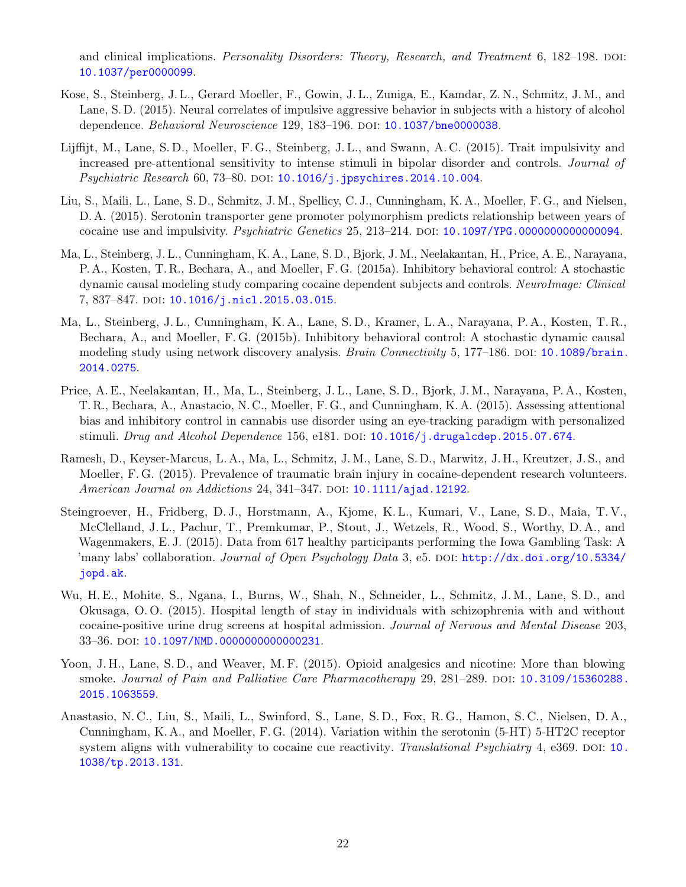and clinical implications. Personality Disorders: Theory, Research, and Treatment 6, 182–198. DOI: [10.1037/per0000099](https://doi.org/10.1037/per0000099).

- Kose, S., Steinberg, J. L., Gerard Moeller, F., Gowin, J. L., Zuniga, E., Kamdar, Z. N., Schmitz, J. M., and Lane, S. D. (2015). Neural correlates of impulsive aggressive behavior in subjects with a history of alcohol dependence. Behavioral Neuroscience 129, 183-196. DOI: [10.1037/bne0000038](https://doi.org/10.1037/bne0000038).
- Lijffijt, M., Lane, S.D., Moeller, F.G., Steinberg, J.L., and Swann, A.C. (2015). Trait impulsivity and increased pre-attentional sensitivity to intense stimuli in bipolar disorder and controls. Journal of Psychiatric Research 60, 73-80. DOI: [10.1016/j.jpsychires.2014.10.004](https://doi.org/10.1016/j.jpsychires.2014.10.004).
- Liu, S., Maili, L., Lane, S. D., Schmitz, J. M., Spellicy, C. J., Cunningham, K. A., Moeller, F. G., and Nielsen, D. A. (2015). Serotonin transporter gene promoter polymorphism predicts relationship between years of cocaine use and impulsivity. *Psychiatric Genetics*  $25, 213-214$ . DOI:  $10.1097/\text{YPG}.000000000000094$ .
- Ma, L., Steinberg, J. L., Cunningham, K. A., Lane, S. D., Bjork, J. M., Neelakantan, H., Price, A. E., Narayana, P. A., Kosten, T. R., Bechara, A., and Moeller, F. G. (2015a). Inhibitory behavioral control: A stochastic dynamic causal modeling study comparing cocaine dependent subjects and controls. NeuroImage: Clinical 7, 837-847. DOI: [10.1016/j.nicl.2015.03.015](https://doi.org/10.1016/j.nicl.2015.03.015).
- Ma, L., Steinberg, J. L., Cunningham, K. A., Lane, S. D., Kramer, L. A., Narayana, P. A., Kosten, T. R., Bechara, A., and Moeller, F. G. (2015b). Inhibitory behavioral control: A stochastic dynamic causal modeling study using network discovery analysis. Brain Connectivity 5, 177–186. DOI: [10.1089/brain.](https://doi.org/10.1089/brain.2014.0275) [2014.0275](https://doi.org/10.1089/brain.2014.0275).
- Price, A. E., Neelakantan, H., Ma, L., Steinberg, J. L., Lane, S. D., Bjork, J. M., Narayana, P. A., Kosten, T. R., Bechara, A., Anastacio, N. C., Moeller, F. G., and Cunningham, K. A. (2015). Assessing attentional bias and inhibitory control in cannabis use disorder using an eye-tracking paradigm with personalized stimuli. Drug and Alcohol Dependence 156, e181. DOI:  $10.1016/j$ .drugalcdep.2015.07.674.
- Ramesh, D., Keyser-Marcus, L. A., Ma, L., Schmitz, J. M., Lane, S. D., Marwitz, J. H., Kreutzer, J. S., and Moeller, F. G. (2015). Prevalence of traumatic brain injury in cocaine-dependent research volunteers. American Journal on Addictions 24, 341–347. DOI:  $10.1111/a$ jad.12192.
- Steingroever, H., Fridberg, D. J., Horstmann, A., Kjome, K. L., Kumari, V., Lane, S. D., Maia, T. V., McClelland, J. L., Pachur, T., Premkumar, P., Stout, J., Wetzels, R., Wood, S., Worthy, D. A., and Wagenmakers, E. J. (2015). Data from 617 healthy participants performing the Iowa Gambling Task: A 'many labs' collaboration. Journal of Open Psychology Data 3, e5. DOI: [http://dx.doi.org/10.5334/](https://doi.org/http://dx.doi.org/10.5334/jopd.ak) [jopd.ak](https://doi.org/http://dx.doi.org/10.5334/jopd.ak).
- Wu, H. E., Mohite, S., Ngana, I., Burns, W., Shah, N., Schneider, L., Schmitz, J. M., Lane, S. D., and Okusaga, O. O. (2015). Hospital length of stay in individuals with schizophrenia with and without cocaine-positive urine drug screens at hospital admission. Journal of Nervous and Mental Disease 203, 33–36. doi: [10.1097/NMD.0000000000000231](https://doi.org/10.1097/NMD.0000000000000231).
- Yoon, J. H., Lane, S. D., and Weaver, M. F. (2015). Opioid analgesics and nicotine: More than blowing smoke. Journal of Pain and Palliative Care Pharmacotherapy 29, 281–289. DOI: [10.3109/15360288.](https://doi.org/10.3109/15360288.2015.1063559) [2015.1063559](https://doi.org/10.3109/15360288.2015.1063559).
- Anastasio, N. C., Liu, S., Maili, L., Swinford, S., Lane, S. D., Fox, R. G., Hamon, S. C., Nielsen, D. A., Cunningham, K. A., and Moeller, F. G. (2014). Variation within the serotonin (5-HT) 5-HT2C receptor system aligns with vulnerability to cocaine cue reactivity. Translational Psychiatry 4, e369. DOI: [10.](https://doi.org/10.1038/tp.2013.131) [1038/tp.2013.131](https://doi.org/10.1038/tp.2013.131).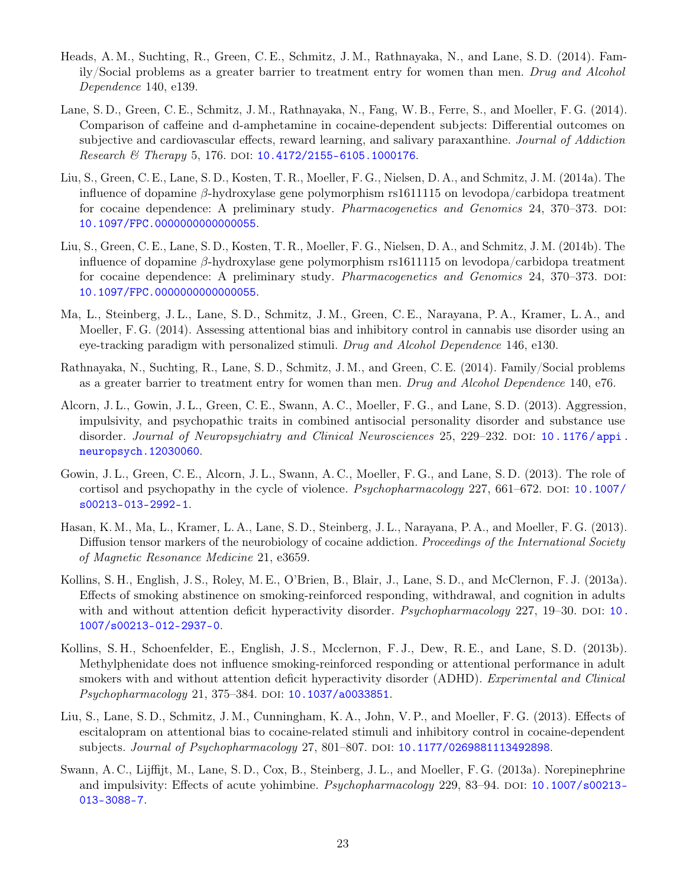- Heads, A. M., Suchting, R., Green, C. E., Schmitz, J. M., Rathnayaka, N., and Lane, S. D. (2014). Family/Social problems as a greater barrier to treatment entry for women than men. Drug and Alcohol Dependence 140, e139.
- Lane, S. D., Green, C. E., Schmitz, J. M., Rathnayaka, N., Fang, W. B., Ferre, S., and Moeller, F. G. (2014). Comparison of caffeine and d-amphetamine in cocaine-dependent subjects: Differential outcomes on subjective and cardiovascular effects, reward learning, and salivary paraxanthine. Journal of Addiction  $Research & The$   $Therapy 5, 176. DOI: 10.4172/2155-6105.1000176.$  $Therapy 5, 176. DOI: 10.4172/2155-6105.1000176.$  $Therapy 5, 176. DOI: 10.4172/2155-6105.1000176.$
- Liu, S., Green, C. E., Lane, S. D., Kosten, T. R., Moeller, F. G., Nielsen, D. A., and Schmitz, J. M. (2014a). The influence of dopamine β-hydroxylase gene polymorphism rs1611115 on levodopa/carbidopa treatment for cocaine dependence: A preliminary study. *Pharmacogenetics and Genomics* 24, 370–373. DOI: [10.1097/FPC.0000000000000055](https://doi.org/10.1097/FPC.0000000000000055).
- Liu, S., Green, C. E., Lane, S. D., Kosten, T. R., Moeller, F. G., Nielsen, D. A., and Schmitz, J. M. (2014b). The influence of dopamine β-hydroxylase gene polymorphism rs1611115 on levodopa/carbidopa treatment for cocaine dependence: A preliminary study. *Pharmacogenetics and Genomics* 24, 370–373. DOI: [10.1097/FPC.0000000000000055](https://doi.org/10.1097/FPC.0000000000000055).
- Ma, L., Steinberg, J. L., Lane, S. D., Schmitz, J. M., Green, C. E., Narayana, P. A., Kramer, L. A., and Moeller, F. G. (2014). Assessing attentional bias and inhibitory control in cannabis use disorder using an eye-tracking paradigm with personalized stimuli. Drug and Alcohol Dependence 146, e130.
- Rathnayaka, N., Suchting, R., Lane, S. D., Schmitz, J. M., and Green, C. E. (2014). Family/Social problems as a greater barrier to treatment entry for women than men. Drug and Alcohol Dependence 140, e76.
- Alcorn, J. L., Gowin, J. L., Green, C. E., Swann, A. C., Moeller, F. G., and Lane, S. D. (2013). Aggression, impulsivity, and psychopathic traits in combined antisocial personality disorder and substance use disorder. Journal of Neuropsychiatry and Clinical Neurosciences 25, 229–232. DOI: [10.1176/appi.](https://doi.org/10.1176/appi.neuropsych.12030060) [neuropsych.12030060](https://doi.org/10.1176/appi.neuropsych.12030060).
- Gowin, J. L., Green, C. E., Alcorn, J. L., Swann, A. C., Moeller, F. G., and Lane, S. D. (2013). The role of cortisol and psychopathy in the cycle of violence.  $Psychopharmacology$  227, 661–672. DOI: [10.1007/](https://doi.org/10.1007/s00213-013-2992-1) [s00213-013-2992-1](https://doi.org/10.1007/s00213-013-2992-1).
- Hasan, K. M., Ma, L., Kramer, L. A., Lane, S. D., Steinberg, J. L., Narayana, P. A., and Moeller, F. G. (2013). Diffusion tensor markers of the neurobiology of cocaine addiction. Proceedings of the International Society of Magnetic Resonance Medicine 21, e3659.
- Kollins, S. H., English, J. S., Roley, M. E., O'Brien, B., Blair, J., Lane, S. D., and McClernon, F. J. (2013a). Effects of smoking abstinence on smoking-reinforced responding, withdrawal, and cognition in adults with and without attention deficit hyperactivity disorder. Psychopharmacology  $227$ ,  $19-30$ . DOI: [10.](https://doi.org/10.1007/s00213-012-2937-0) [1007/s00213-012-2937-0](https://doi.org/10.1007/s00213-012-2937-0).
- Kollins, S. H., Schoenfelder, E., English, J. S., Mcclernon, F. J., Dew, R. E., and Lane, S. D. (2013b). Methylphenidate does not influence smoking-reinforced responding or attentional performance in adult smokers with and without attention deficit hyperactivity disorder (ADHD). Experimental and Clinical Psychopharmacology 21, 375-384. DOI: [10.1037/a0033851](https://doi.org/10.1037/a0033851).
- Liu, S., Lane, S. D., Schmitz, J. M., Cunningham, K. A., John, V. P., and Moeller, F. G. (2013). Effects of escitalopram on attentional bias to cocaine-related stimuli and inhibitory control in cocaine-dependent subjects. Journal of Psychopharmacology 27, 801–807. DOI: [10.1177/0269881113492898](https://doi.org/10.1177/0269881113492898).
- Swann, A. C., Lijffijt, M., Lane, S. D., Cox, B., Steinberg, J. L., and Moeller, F. G. (2013a). Norepinephrine and impulsivity: Effects of acute yohimbine. *Psychopharmacology* 229, 83–94. DOI: [10.1007/s00213-](https://doi.org/10.1007/s00213-013-3088-7) [013-3088-7](https://doi.org/10.1007/s00213-013-3088-7).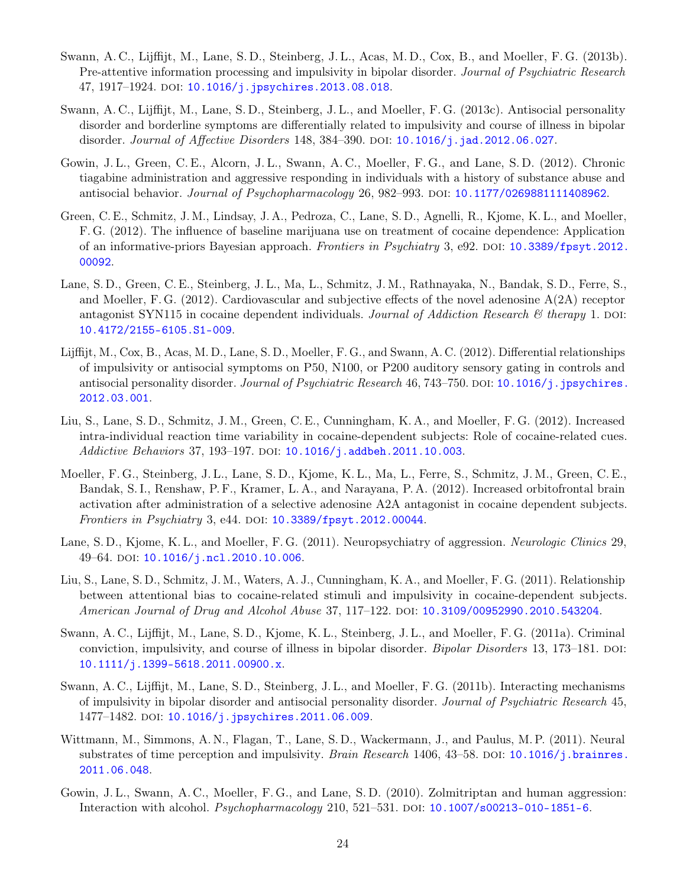- Swann, A. C., Lijffijt, M., Lane, S. D., Steinberg, J. L., Acas, M. D., Cox, B., and Moeller, F. G. (2013b). Pre-attentive information processing and impulsivity in bipolar disorder. Journal of Psychiatric Research 47, 1917-1924. DOI: [10.1016/j.jpsychires.2013.08.018](https://doi.org/10.1016/j.jpsychires.2013.08.018).
- Swann, A. C., Lijffijt, M., Lane, S. D., Steinberg, J. L., and Moeller, F. G. (2013c). Antisocial personality disorder and borderline symptoms are differentially related to impulsivity and course of illness in bipolar disorder. Journal of Affective Disorders 148, 384-390. DOI:  $10.1016/j$ .jad.2012.06.027.
- Gowin, J. L., Green, C. E., Alcorn, J. L., Swann, A. C., Moeller, F. G., and Lane, S. D. (2012). Chronic tiagabine administration and aggressive responding in individuals with a history of substance abuse and antisocial behavior. Journal of Psychopharmacology 26, 982–993. doi: [10.1177/0269881111408962](https://doi.org/10.1177/0269881111408962).
- Green, C. E., Schmitz, J. M., Lindsay, J. A., Pedroza, C., Lane, S. D., Agnelli, R., Kjome, K. L., and Moeller, F. G. (2012). The influence of baseline marijuana use on treatment of cocaine dependence: Application of an informative-priors Bayesian approach. Frontiers in Psychiatry 3, e92. DOI: [10.3389/fpsyt.2012.](https://doi.org/10.3389/fpsyt.2012.00092) [00092](https://doi.org/10.3389/fpsyt.2012.00092).
- Lane, S. D., Green, C. E., Steinberg, J. L., Ma, L., Schmitz, J. M., Rathnayaka, N., Bandak, S. D., Ferre, S., and Moeller, F. G. (2012). Cardiovascular and subjective effects of the novel adenosine A(2A) receptor antagonist SYN115 in cocaine dependent individuals. Journal of Addiction Research  $\mathcal{C}$  therapy 1. DOI: [10.4172/2155-6105.S1-009](https://doi.org/10.4172/2155-6105.S1-009).
- Lijffijt, M., Cox, B., Acas, M. D., Lane, S. D., Moeller, F. G., and Swann, A. C. (2012). Differential relationships of impulsivity or antisocial symptoms on P50, N100, or P200 auditory sensory gating in controls and antisocial personality disorder. Journal of Psychiatric Research 46, 743–750. DOI: 10.1016/j. jpsychires. [2012.03.001](https://doi.org/10.1016/j.jpsychires.2012.03.001).
- Liu, S., Lane, S. D., Schmitz, J. M., Green, C. E., Cunningham, K. A., and Moeller, F. G. (2012). Increased intra-individual reaction time variability in cocaine-dependent subjects: Role of cocaine-related cues. Addictive Behaviors 37, 193-197. pol:  $10.1016/j$ .addbeh.2011.10.003.
- Moeller, F. G., Steinberg, J. L., Lane, S. D., Kjome, K. L., Ma, L., Ferre, S., Schmitz, J. M., Green, C. E., Bandak, S. I., Renshaw, P. F., Kramer, L. A., and Narayana, P. A. (2012). Increased orbitofrontal brain activation after administration of a selective adenosine A2A antagonist in cocaine dependent subjects. Frontiers in Psychiatry 3, e44. DOI:  $10.3389/f$ psyt.2012.00044.
- Lane, S. D., Kjome, K. L., and Moeller, F. G. (2011). Neuropsychiatry of aggression. Neurologic Clinics 29, 49–64. DOI: [10.1016/j.ncl.2010.10.006](https://doi.org/10.1016/j.ncl.2010.10.006).
- Liu, S., Lane, S. D., Schmitz, J. M., Waters, A. J., Cunningham, K. A., and Moeller, F. G. (2011). Relationship between attentional bias to cocaine-related stimuli and impulsivity in cocaine-dependent subjects. American Journal of Drug and Alcohol Abuse 37, 117–122. doi: [10.3109/00952990.2010.543204](https://doi.org/10.3109/00952990.2010.543204).
- Swann, A. C., Lijffijt, M., Lane, S. D., Kjome, K. L., Steinberg, J. L., and Moeller, F. G. (2011a). Criminal conviction, impulsivity, and course of illness in bipolar disorder. *Bipolar Disorders* 13, 173–181. DOI: [10.1111/j.1399-5618.2011.00900.x](https://doi.org/10.1111/j.1399-5618.2011.00900.x).
- Swann, A. C., Lijffijt, M., Lane, S. D., Steinberg, J. L., and Moeller, F. G. (2011b). Interacting mechanisms of impulsivity in bipolar disorder and antisocial personality disorder. Journal of Psychiatric Research 45, 1477-1482. DOI: [10.1016/j.jpsychires.2011.06.009](https://doi.org/10.1016/j.jpsychires.2011.06.009).
- Wittmann, M., Simmons, A. N., Flagan, T., Lane, S. D., Wackermann, J., and Paulus, M. P. (2011). Neural substrates of time perception and impulsivity. Brain Research 1406, 43–58. DOI: [10.1016/j.brainres.](https://doi.org/10.1016/j.brainres.2011.06.048) [2011.06.048](https://doi.org/10.1016/j.brainres.2011.06.048).
- Gowin, J. L., Swann, A. C., Moeller, F. G., and Lane, S. D. (2010). Zolmitriptan and human aggression: Interaction with alcohol. *Psychopharmacology* 210, 521–531. DOI: [10.1007/s00213-010-1851-6](https://doi.org/10.1007/s00213-010-1851-6).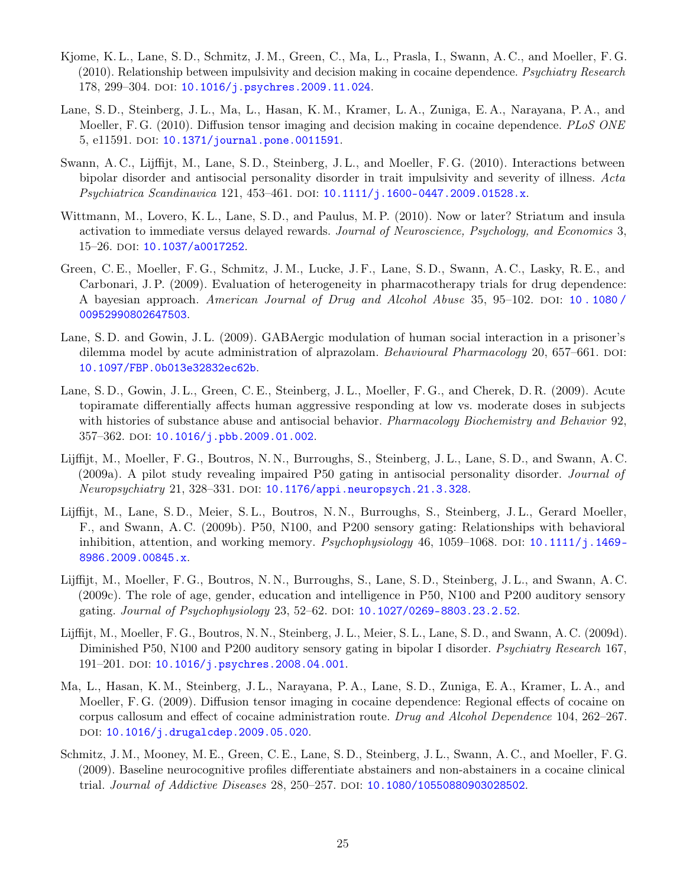- Kjome, K. L., Lane, S. D., Schmitz, J. M., Green, C., Ma, L., Prasla, I., Swann, A. C., and Moeller, F. G. (2010). Relationship between impulsivity and decision making in cocaine dependence. Psychiatry Research 178, 299-304. DOI: [10.1016/j.psychres.2009.11.024](https://doi.org/10.1016/j.psychres.2009.11.024).
- Lane, S. D., Steinberg, J. L., Ma, L., Hasan, K. M., Kramer, L. A., Zuniga, E. A., Narayana, P. A., and Moeller, F. G. (2010). Diffusion tensor imaging and decision making in cocaine dependence. PLoS ONE 5, e11591. DOI: [10.1371/journal.pone.0011591](https://doi.org/10.1371/journal.pone.0011591).
- Swann, A. C., Lijffijt, M., Lane, S. D., Steinberg, J. L., and Moeller, F. G. (2010). Interactions between bipolar disorder and antisocial personality disorder in trait impulsivity and severity of illness. Acta Psychiatrica Scandinavica 121, 453-461. DOI: [10.1111/j.1600-0447.2009.01528.x](https://doi.org/10.1111/j.1600-0447.2009.01528.x).
- Wittmann, M., Lovero, K. L., Lane, S. D., and Paulus, M. P. (2010). Now or later? Striatum and insula activation to immediate versus delayed rewards. Journal of Neuroscience, Psychology, and Economics 3, 15–26. doi: [10.1037/a0017252](https://doi.org/10.1037/a0017252).
- Green, C. E., Moeller, F. G., Schmitz, J. M., Lucke, J. F., Lane, S. D., Swann, A. C., Lasky, R. E., and Carbonari, J. P. (2009). Evaluation of heterogeneity in pharmacotherapy trials for drug dependence: A bayesian approach. American Journal of Drug and Alcohol Abuse 35, 95–102. doi: 10.1080/ [00952990802647503](https://doi.org/10.1080/00952990802647503).
- Lane, S. D. and Gowin, J. L. (2009). GABAergic modulation of human social interaction in a prisoner's dilemma model by acute administration of alprazolam. Behavioural Pharmacology 20, 657–661. DOI: [10.1097/FBP.0b013e32832ec62b](https://doi.org/10.1097/FBP.0b013e32832ec62b).
- Lane, S. D., Gowin, J. L., Green, C. E., Steinberg, J. L., Moeller, F. G., and Cherek, D. R. (2009). Acute topiramate differentially affects human aggressive responding at low vs. moderate doses in subjects with histories of substance abuse and antisocial behavior. Pharmacology Biochemistry and Behavior 92, 357-362. DOI: [10.1016/j.pbb.2009.01.002](https://doi.org/10.1016/j.pbb.2009.01.002).
- Lijffijt, M., Moeller, F. G., Boutros, N. N., Burroughs, S., Steinberg, J. L., Lane, S. D., and Swann, A. C. (2009a). A pilot study revealing impaired P50 gating in antisocial personality disorder. Journal of Neuropsychiatry 21, 328–331. doi: [10.1176/appi.neuropsych.21.3.328](https://doi.org/10.1176/appi.neuropsych.21.3.328).
- Lijffijt, M., Lane, S. D., Meier, S. L., Boutros, N. N., Burroughs, S., Steinberg, J. L., Gerard Moeller, F., and Swann, A. C. (2009b). P50, N100, and P200 sensory gating: Relationships with behavioral inhibition, attention, and working memory. Psychophysiology 46, 1059–1068. DOI: 10.1111/j.1469– [8986.2009.00845.x](https://doi.org/10.1111/j.1469-8986.2009.00845.x).
- Lijffijt, M., Moeller, F. G., Boutros, N. N., Burroughs, S., Lane, S. D., Steinberg, J. L., and Swann, A. C. (2009c). The role of age, gender, education and intelligence in P50, N100 and P200 auditory sensory gating. *Journal of Psychophysiology* 23, 52–62. DOI: [10.1027/0269-8803.23.2.52](https://doi.org/10.1027/0269-8803.23.2.52).
- Lijffijt, M., Moeller, F. G., Boutros, N. N., Steinberg, J. L., Meier, S. L., Lane, S. D., and Swann, A. C. (2009d). Diminished P50, N100 and P200 auditory sensory gating in bipolar I disorder. *Psychiatry Research* 167, 191-201. DOI: [10.1016/j.psychres.2008.04.001](https://doi.org/10.1016/j.psychres.2008.04.001).
- Ma, L., Hasan, K. M., Steinberg, J. L., Narayana, P. A., Lane, S. D., Zuniga, E. A., Kramer, L. A., and Moeller, F. G. (2009). Diffusion tensor imaging in cocaine dependence: Regional effects of cocaine on corpus callosum and effect of cocaine administration route. Drug and Alcohol Dependence 104, 262–267. doi: [10.1016/j.drugalcdep.2009.05.020](https://doi.org/10.1016/j.drugalcdep.2009.05.020).
- Schmitz, J. M., Mooney, M. E., Green, C. E., Lane, S. D., Steinberg, J. L., Swann, A. C., and Moeller, F. G. (2009). Baseline neurocognitive profiles differentiate abstainers and non-abstainers in a cocaine clinical trial. Journal of Addictive Diseases 28, 250-257. pol: [10.1080/10550880903028502](https://doi.org/10.1080/10550880903028502).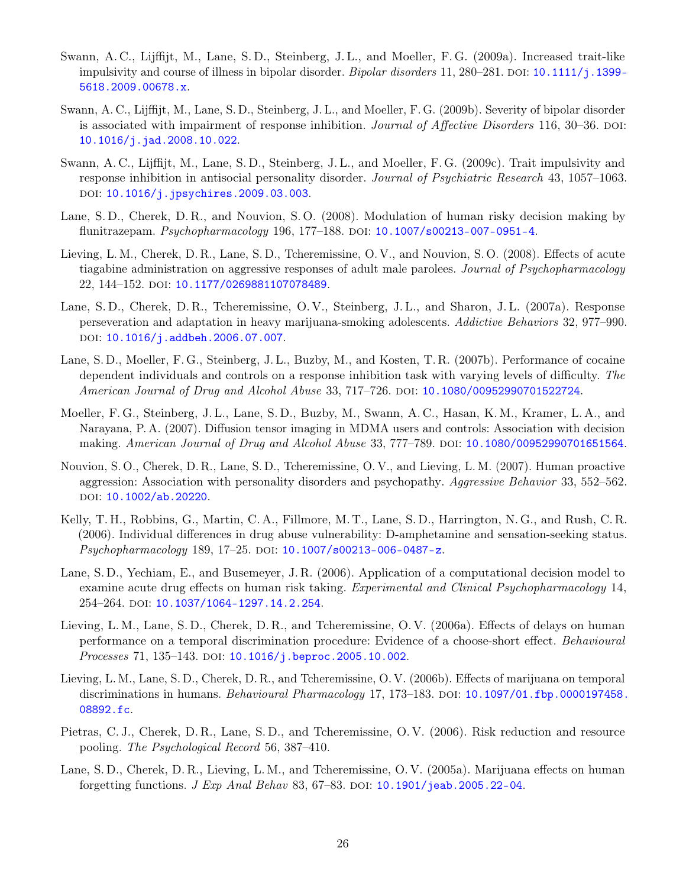- Swann, A. C., Lijffijt, M., Lane, S. D., Steinberg, J. L., and Moeller, F. G. (2009a). Increased trait-like impulsivity and course of illness in bipolar disorder. *Bipolar disorders* 11, 280–281. DOI: [10.1111/j.1399-](https://doi.org/10.1111/j.1399-5618.2009.00678.x) [5618.2009.00678.x](https://doi.org/10.1111/j.1399-5618.2009.00678.x).
- Swann, A. C., Lijffijt, M., Lane, S. D., Steinberg, J. L., and Moeller, F. G. (2009b). Severity of bipolar disorder is associated with impairment of response inhibition. *Journal of Affective Disorders* 116, 30–36. DOI: [10.1016/j.jad.2008.10.022](https://doi.org/10.1016/j.jad.2008.10.022).
- Swann, A. C., Lijffijt, M., Lane, S. D., Steinberg, J. L., and Moeller, F. G. (2009c). Trait impulsivity and response inhibition in antisocial personality disorder. Journal of Psychiatric Research 43, 1057–1063. DOI: [10.1016/j.jpsychires.2009.03.003](https://doi.org/10.1016/j.jpsychires.2009.03.003).
- Lane, S. D., Cherek, D. R., and Nouvion, S. O. (2008). Modulation of human risky decision making by flunitrazepam. Psychopharmacology 196, 177-188. DOI: [10.1007/s00213-007-0951-4](https://doi.org/10.1007/s00213-007-0951-4).
- Lieving, L. M., Cherek, D. R., Lane, S. D., Tcheremissine, O. V., and Nouvion, S. O. (2008). Effects of acute tiagabine administration on aggressive responses of adult male parolees. Journal of Psychopharmacology 22, 144-152. doi: [10.1177/0269881107078489](https://doi.org/10.1177/0269881107078489).
- Lane, S. D., Cherek, D. R., Tcheremissine, O. V., Steinberg, J. L., and Sharon, J. L. (2007a). Response perseveration and adaptation in heavy marijuana-smoking adolescents. Addictive Behaviors 32, 977–990. DOI: [10.1016/j.addbeh.2006.07.007](https://doi.org/10.1016/j.addbeh.2006.07.007).
- Lane, S. D., Moeller, F. G., Steinberg, J. L., Buzby, M., and Kosten, T. R. (2007b). Performance of cocaine dependent individuals and controls on a response inhibition task with varying levels of difficulty. The American Journal of Drug and Alcohol Abuse 33, 717–726. DOI: [10.1080/00952990701522724](https://doi.org/10.1080/00952990701522724).
- Moeller, F. G., Steinberg, J. L., Lane, S. D., Buzby, M., Swann, A. C., Hasan, K. M., Kramer, L. A., and Narayana, P. A. (2007). Diffusion tensor imaging in MDMA users and controls: Association with decision making. American Journal of Drug and Alcohol Abuse 33, 777-789. DOI: [10.1080/00952990701651564](https://doi.org/10.1080/00952990701651564).
- Nouvion, S. O., Cherek, D. R., Lane, S. D., Tcheremissine, O. V., and Lieving, L. M. (2007). Human proactive aggression: Association with personality disorders and psychopathy. Aggressive Behavior 33, 552–562. DOI: [10.1002/ab.20220](https://doi.org/10.1002/ab.20220).
- Kelly, T. H., Robbins, G., Martin, C. A., Fillmore, M. T., Lane, S. D., Harrington, N. G., and Rush, C. R. (2006). Individual differences in drug abuse vulnerability: D-amphetamine and sensation-seeking status. Psychopharmacology 189, 17-25. DOI: [10.1007/s00213-006-0487-z](https://doi.org/10.1007/s00213-006-0487-z).
- Lane, S. D., Yechiam, E., and Busemeyer, J. R. (2006). Application of a computational decision model to examine acute drug effects on human risk taking. Experimental and Clinical Psychopharmacology 14, 254–264. DOI: [10.1037/1064-1297.14.2.254](https://doi.org/10.1037/1064-1297.14.2.254).
- Lieving, L. M., Lane, S. D., Cherek, D. R., and Tcheremissine, O. V. (2006a). Effects of delays on human performance on a temporal discrimination procedure: Evidence of a choose-short effect. Behavioural Processes 71, 135-143. DOI: [10.1016/j.beproc.2005.10.002](https://doi.org/10.1016/j.beproc.2005.10.002).
- Lieving, L. M., Lane, S. D., Cherek, D. R., and Tcheremissine, O. V. (2006b). Effects of marijuana on temporal discriminations in humans. *Behavioural Pharmacology* 17, 173–183. DOI: [10.1097/01.fbp.0000197458.](https://doi.org/10.1097/01.fbp.0000197458.08892.fc) [08892.fc](https://doi.org/10.1097/01.fbp.0000197458.08892.fc).
- Pietras, C. J., Cherek, D. R., Lane, S. D., and Tcheremissine, O. V. (2006). Risk reduction and resource pooling. The Psychological Record 56, 387–410.
- Lane, S. D., Cherek, D. R., Lieving, L. M., and Tcheremissine, O. V. (2005a). Marijuana effects on human forgetting functions.  $J Exp Anal Behav 83, 67–83.$  DOI: [10.1901/jeab.2005.22-04](https://doi.org/10.1901/jeab.2005.22-04).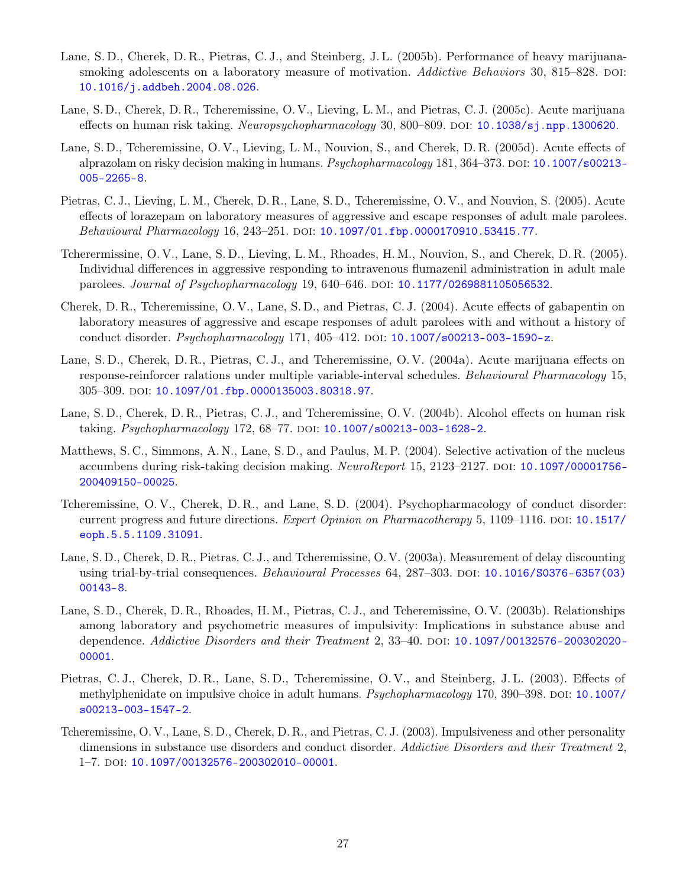- Lane, S. D., Cherek, D. R., Pietras, C. J., and Steinberg, J. L. (2005b). Performance of heavy marijuanasmoking adolescents on a laboratory measure of motivation. Addictive Behaviors 30, 815–828. DOI: [10.1016/j.addbeh.2004.08.026](https://doi.org/10.1016/j.addbeh.2004.08.026).
- Lane, S. D., Cherek, D. R., Tcheremissine, O. V., Lieving, L. M., and Pietras, C. J. (2005c). Acute marijuana effects on human risk taking. Neuropsychopharmacology 30, 800–809. DOI:  $10.1038/\text{s}$ j.npp.1300620.
- Lane, S. D., Tcheremissine, O. V., Lieving, L. M., Nouvion, S., and Cherek, D. R. (2005d). Acute effects of alprazolam on risky decision making in humans. *Psychopharmacology* 181, 364–373. DOI: [10.1007/s00213-](https://doi.org/10.1007/s00213-005-2265-8) [005-2265-8](https://doi.org/10.1007/s00213-005-2265-8).
- Pietras, C. J., Lieving, L. M., Cherek, D. R., Lane, S. D., Tcheremissine, O. V., and Nouvion, S. (2005). Acute effects of lorazepam on laboratory measures of aggressive and escape responses of adult male parolees. Behavioural Pharmacology 16, 243-251. DOI: [10.1097/01.fbp.0000170910.53415.77](https://doi.org/10.1097/01.fbp.0000170910.53415.77).
- Tcherermissine, O. V., Lane, S. D., Lieving, L. M., Rhoades, H. M., Nouvion, S., and Cherek, D. R. (2005). Individual differences in aggressive responding to intravenous flumazenil administration in adult male parolees. Journal of Psychopharmacology 19, 640–646. doi: [10.1177/0269881105056532](https://doi.org/10.1177/0269881105056532).
- Cherek, D. R., Tcheremissine, O. V., Lane, S. D., and Pietras, C. J. (2004). Acute effects of gabapentin on laboratory measures of aggressive and escape responses of adult parolees with and without a history of conduct disorder. *Psychopharmacology* 171, 405–412. DOI:  $10.1007/s00213$ -003-1590-z.
- Lane, S. D., Cherek, D. R., Pietras, C. J., and Tcheremissine, O. V. (2004a). Acute marijuana effects on response-reinforcer ralations under multiple variable-interval schedules. Behavioural Pharmacology 15, 305–309. doi: [10.1097/01.fbp.0000135003.80318.97](https://doi.org/10.1097/01.fbp.0000135003.80318.97).
- Lane, S. D., Cherek, D. R., Pietras, C. J., and Tcheremissine, O. V. (2004b). Alcohol effects on human risk taking. *Psychopharmacology* 172, 68–77. DOI: [10.1007/s00213-003-1628-2](https://doi.org/10.1007/s00213-003-1628-2).
- Matthews, S. C., Simmons, A. N., Lane, S. D., and Paulus, M. P. (2004). Selective activation of the nucleus accumbens during risk-taking decision making. NeuroReport 15, 2123–2127. DOI: [10.1097/00001756-](https://doi.org/10.1097/00001756-200409150-00025) [200409150-00025](https://doi.org/10.1097/00001756-200409150-00025).
- Tcheremissine, O. V., Cherek, D. R., and Lane, S. D. (2004). Psychopharmacology of conduct disorder: current progress and future directions. Expert Opinion on Pharmacotherapy 5, 1109–1116. DOI: [10.1517/](https://doi.org/10.1517/eoph.5.5.1109.31091) [eoph.5.5.1109.31091](https://doi.org/10.1517/eoph.5.5.1109.31091).
- Lane, S. D., Cherek, D. R., Pietras, C. J., and Tcheremissine, O. V. (2003a). Measurement of delay discounting using trial-by-trial consequences. Behavioural Processes 64, 287-303. DOI: [10.1016/S0376-6357\(03\)](https://doi.org/10.1016/S0376-6357(03)00143-8) [00143-8](https://doi.org/10.1016/S0376-6357(03)00143-8).
- Lane, S. D., Cherek, D. R., Rhoades, H. M., Pietras, C. J., and Tcheremissine, O. V. (2003b). Relationships among laboratory and psychometric measures of impulsivity: Implications in substance abuse and dependence. Addictive Disorders and their Treatment 2,  $33-40$ . DOI:  $10.1097/00132576 - 200302020$ [00001](https://doi.org/10.1097/00132576-200302020-00001).
- Pietras, C. J., Cherek, D. R., Lane, S. D., Tcheremissine, O. V., and Steinberg, J. L. (2003). Effects of methylphenidate on impulsive choice in adult humans. *Psychopharmacology* 170, 390–398. DOI: [10.1007/](https://doi.org/10.1007/s00213-003-1547-2) [s00213-003-1547-2](https://doi.org/10.1007/s00213-003-1547-2).
- Tcheremissine, O. V., Lane, S. D., Cherek, D. R., and Pietras, C. J. (2003). Impulsiveness and other personality dimensions in substance use disorders and conduct disorder. Addictive Disorders and their Treatment 2, 1–7. doi: [10.1097/00132576-200302010-00001](https://doi.org/10.1097/00132576-200302010-00001).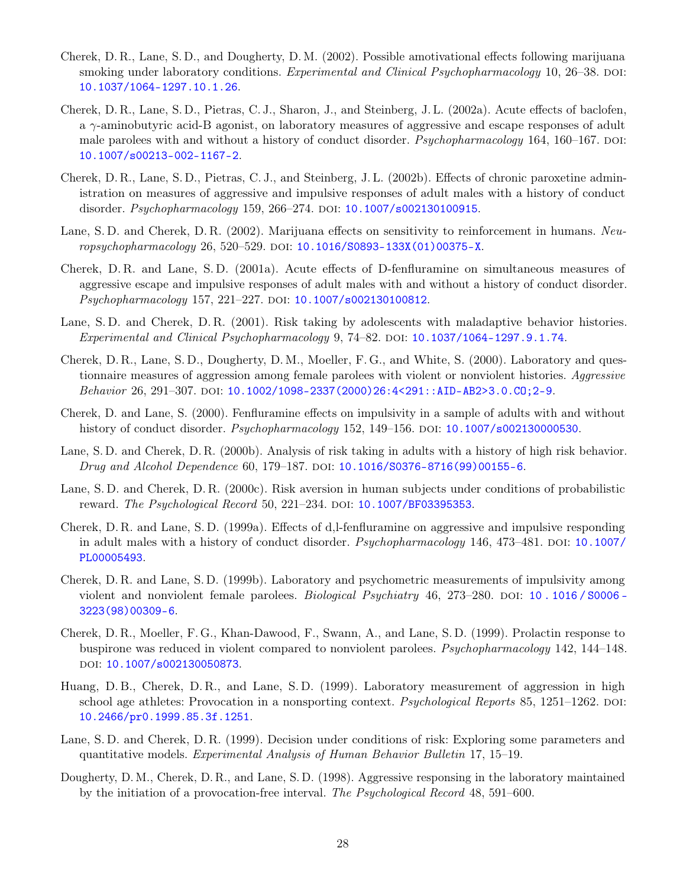- Cherek, D. R., Lane, S. D., and Dougherty, D. M. (2002). Possible amotivational effects following marijuana smoking under laboratory conditions. Experimental and Clinical Psychopharmacology 10, 26–38. DOI: [10.1037/1064-1297.10.1.26](https://doi.org/10.1037/1064-1297.10.1.26).
- Cherek, D. R., Lane, S. D., Pietras, C. J., Sharon, J., and Steinberg, J. L. (2002a). Acute effects of baclofen, a  $\gamma$ -aminobutyric acid-B agonist, on laboratory measures of aggressive and escape responses of adult male parolees with and without a history of conduct disorder. Psychopharmacology 164, 160-167. DOI: [10.1007/s00213-002-1167-2](https://doi.org/10.1007/s00213-002-1167-2).
- Cherek, D. R., Lane, S. D., Pietras, C. J., and Steinberg, J. L. (2002b). Effects of chronic paroxetine administration on measures of aggressive and impulsive responses of adult males with a history of conduct disorder. Psychopharmacology 159, 266-274. DOI: [10.1007/s002130100915](https://doi.org/10.1007/s002130100915).
- Lane, S. D. and Cherek, D. R. (2002). Marijuana effects on sensitivity to reinforcement in humans. Neu-ropsychopharmacology 26, 520-529. DOI: [10.1016/S0893-133X\(01\)00375-X](https://doi.org/10.1016/S0893-133X(01)00375-X).
- Cherek, D. R. and Lane, S. D. (2001a). Acute effects of D-fenfluramine on simultaneous measures of aggressive escape and impulsive responses of adult males with and without a history of conduct disorder. Psychopharmacology 157, 221-227. DOI: [10.1007/s002130100812](https://doi.org/10.1007/s002130100812).
- Lane, S. D. and Cherek, D. R. (2001). Risk taking by adolescents with maladaptive behavior histories. Experimental and Clinical Psychopharmacology  $9, 74-82$ . DOI:  $10.1037/1064-1297.9.1.74$ .
- Cherek, D. R., Lane, S. D., Dougherty, D. M., Moeller, F. G., and White, S. (2000). Laboratory and questionnaire measures of aggression among female parolees with violent or nonviolent histories. Aggressive Behavior 26, 291-307. DOI: [10.1002/1098-2337\(2000\)26:4<291::AID-AB2>3.0.CO;2-9](https://doi.org/10.1002/1098-2337(2000)26:4<291::AID-AB2>3.0.CO;2-9).
- Cherek, D. and Lane, S. (2000). Fenfluramine effects on impulsivity in a sample of adults with and without history of conduct disorder. *Psychopharmacology* 152, 149–156. DOI: [10.1007/s002130000530](https://doi.org/10.1007/s002130000530).
- Lane, S. D. and Cherek, D. R. (2000b). Analysis of risk taking in adults with a history of high risk behavior. Drug and Alcohol Dependence 60, 179–187. doi: [10.1016/S0376-8716\(99\)00155-6](https://doi.org/10.1016/S0376-8716(99)00155-6).
- Lane, S. D. and Cherek, D. R. (2000c). Risk aversion in human subjects under conditions of probabilistic reward. The Psychological Record 50, 221-234. DOI: [10.1007/BF03395353](https://doi.org/10.1007/BF03395353).
- Cherek, D. R. and Lane, S. D. (1999a). Effects of d,l-fenfluramine on aggressive and impulsive responding in adult males with a history of conduct disorder. *Psychopharmacology* 146, 473–481. DOI: [10.1007/](https://doi.org/10.1007/PL00005493) [PL00005493](https://doi.org/10.1007/PL00005493).
- Cherek, D. R. and Lane, S. D. (1999b). Laboratory and psychometric measurements of impulsivity among violent and nonviolent female parolees. *Biological Psychiatry* 46, 273–280. DOI: [10 . 1016 / S0006 -](https://doi.org/10.1016/S0006-3223(98)00309-6) [3223\(98\)00309-6](https://doi.org/10.1016/S0006-3223(98)00309-6).
- Cherek, D. R., Moeller, F. G., Khan-Dawood, F., Swann, A., and Lane, S. D. (1999). Prolactin response to buspirone was reduced in violent compared to nonviolent parolees. Psychopharmacology 142, 144–148. doi: [10.1007/s002130050873](https://doi.org/10.1007/s002130050873).
- Huang, D. B., Cherek, D. R., and Lane, S. D. (1999). Laboratory measurement of aggression in high school age athletes: Provocation in a nonsporting context. Psychological Reports 85, 1251–1262. DOI: [10.2466/pr0.1999.85.3f.1251](https://doi.org/10.2466/pr0.1999.85.3f.1251).
- Lane, S. D. and Cherek, D. R. (1999). Decision under conditions of risk: Exploring some parameters and quantitative models. Experimental Analysis of Human Behavior Bulletin 17, 15–19.
- Dougherty, D. M., Cherek, D. R., and Lane, S. D. (1998). Aggressive responsing in the laboratory maintained by the initiation of a provocation-free interval. The Psychological Record 48, 591–600.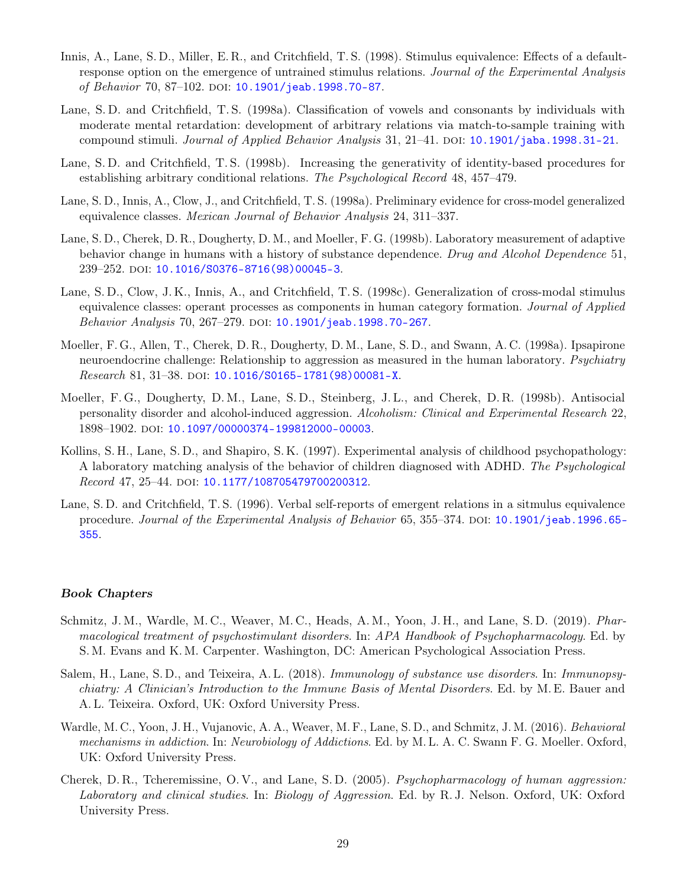- Innis, A., Lane, S. D., Miller, E. R., and Critchfield, T. S. (1998). Stimulus equivalence: Effects of a defaultresponse option on the emergence of untrained stimulus relations. Journal of the Experimental Analysis of Behavior 70, 87-102. DOI: [10.1901/jeab.1998.70-87](https://doi.org/10.1901/jeab.1998.70-87).
- Lane, S. D. and Critchfield, T. S. (1998a). Classification of vowels and consonants by individuals with moderate mental retardation: development of arbitrary relations via match-to-sample training with compound stimuli. Journal of Applied Behavior Analysis 31, 21–41. DOI: [10.1901/jaba.1998.31-21](https://doi.org/10.1901/jaba.1998.31-21).
- Lane, S. D. and Critchfield, T. S. (1998b). Increasing the generativity of identity-based procedures for establishing arbitrary conditional relations. The Psychological Record 48, 457–479.
- Lane, S. D., Innis, A., Clow, J., and Critchfield, T. S. (1998a). Preliminary evidence for cross-model generalized equivalence classes. Mexican Journal of Behavior Analysis 24, 311–337.
- Lane, S. D., Cherek, D. R., Dougherty, D. M., and Moeller, F. G. (1998b). Laboratory measurement of adaptive behavior change in humans with a history of substance dependence. Drug and Alcohol Dependence 51, 239–252. doi: [10.1016/S0376-8716\(98\)00045-3](https://doi.org/10.1016/S0376-8716(98)00045-3).
- Lane, S. D., Clow, J. K., Innis, A., and Critchfield, T. S. (1998c). Generalization of cross-modal stimulus equivalence classes: operant processes as components in human category formation. Journal of Applied Behavior Analysis 70, 267-279. DOI: [10.1901/jeab.1998.70-267](https://doi.org/10.1901/jeab.1998.70-267).
- Moeller, F. G., Allen, T., Cherek, D. R., Dougherty, D. M., Lane, S. D., and Swann, A. C. (1998a). Ipsapirone neuroendocrine challenge: Relationship to aggression as measured in the human laboratory. Psychiatry Research 81, 31-38. DOI: [10.1016/S0165-1781\(98\)00081-X](https://doi.org/10.1016/S0165-1781(98)00081-X).
- Moeller, F. G., Dougherty, D. M., Lane, S. D., Steinberg, J. L., and Cherek, D. R. (1998b). Antisocial personality disorder and alcohol-induced aggression. Alcoholism: Clinical and Experimental Research 22, 1898–1902. doi: [10.1097/00000374-199812000-00003](https://doi.org/10.1097/00000374-199812000-00003).
- Kollins, S. H., Lane, S. D., and Shapiro, S. K. (1997). Experimental analysis of childhood psychopathology: A laboratory matching analysis of the behavior of children diagnosed with ADHD. The Psychological Record 47, 25-44. DOI: [10.1177/108705479700200312](https://doi.org/10.1177/108705479700200312).
- Lane, S. D. and Critchfield, T. S. (1996). Verbal self-reports of emergent relations in a sitmulus equivalence procedure. Journal of the Experimental Analysis of Behavior 65, 355–374. DOI: [10.1901/jeab.1996.65-](https://doi.org/10.1901/jeab.1996.65-355) [355](https://doi.org/10.1901/jeab.1996.65-355).

#### Book Chapters

- Schmitz, J. M., Wardle, M. C., Weaver, M. C., Heads, A. M., Yoon, J. H., and Lane, S. D. (2019). Pharmacological treatment of psychostimulant disorders. In: APA Handbook of Psychopharmacology. Ed. by S. M. Evans and K. M. Carpenter. Washington, DC: American Psychological Association Press.
- Salem, H., Lane, S. D., and Teixeira, A. L. (2018). Immunology of substance use disorders. In: Immunopsychiatry: A Clinician's Introduction to the Immune Basis of Mental Disorders. Ed. by M. E. Bauer and A. L. Teixeira. Oxford, UK: Oxford University Press.
- Wardle, M. C., Yoon, J. H., Vujanovic, A. A., Weaver, M. F., Lane, S. D., and Schmitz, J. M. (2016). Behavioral mechanisms in addiction. In: Neurobiology of Addictions. Ed. by M. L. A. C. Swann F. G. Moeller. Oxford, UK: Oxford University Press.
- Cherek, D. R., Tcheremissine, O. V., and Lane, S. D. (2005). Psychopharmacology of human aggression: Laboratory and clinical studies. In: Biology of Aggression. Ed. by R. J. Nelson. Oxford, UK: Oxford University Press.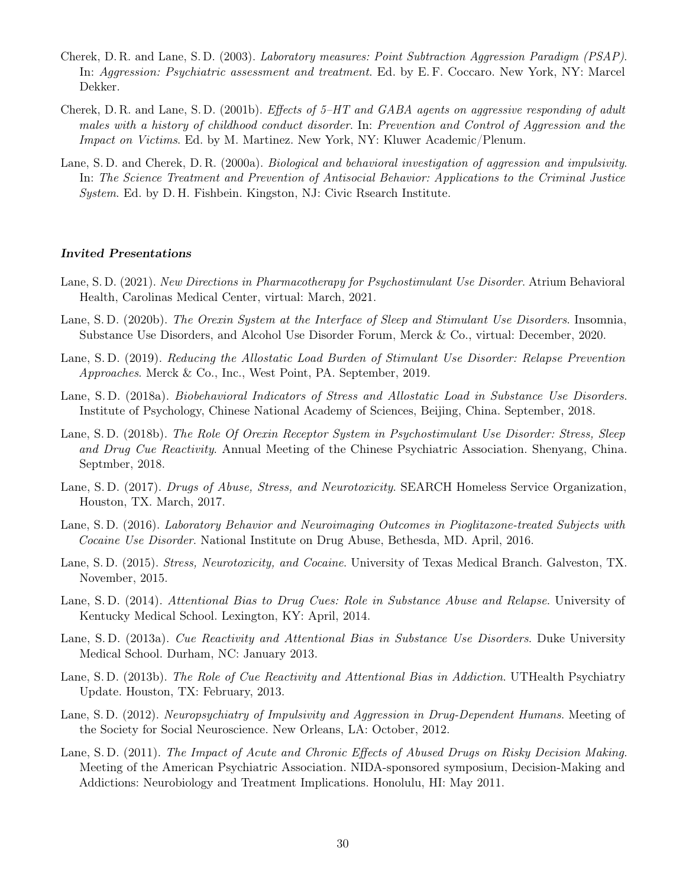- Cherek, D. R. and Lane, S. D. (2003). Laboratory measures: Point Subtraction Aggression Paradigm (PSAP). In: Aggression: Psychiatric assessment and treatment. Ed. by E. F. Coccaro. New York, NY: Marcel Dekker.
- Cherek, D. R. and Lane, S. D. (2001b). Effects of  $5-HT$  and  $GABA$  agents on aggressive responding of adult males with a history of childhood conduct disorder. In: Prevention and Control of Aggression and the Impact on Victims. Ed. by M. Martinez. New York, NY: Kluwer Academic/Plenum.
- Lane, S. D. and Cherek, D. R. (2000a). Biological and behavioral investigation of aggression and impulsivity. In: The Science Treatment and Prevention of Antisocial Behavior: Applications to the Criminal Justice System. Ed. by D. H. Fishbein. Kingston, NJ: Civic Rsearch Institute.

#### Invited Presentations

- Lane, S. D. (2021). New Directions in Pharmacotherapy for Psychostimulant Use Disorder. Atrium Behavioral Health, Carolinas Medical Center, virtual: March, 2021.
- Lane, S. D. (2020b). The Orexin System at the Interface of Sleep and Stimulant Use Disorders. Insomnia, Substance Use Disorders, and Alcohol Use Disorder Forum, Merck & Co., virtual: December, 2020.
- Lane, S. D. (2019). Reducing the Allostatic Load Burden of Stimulant Use Disorder: Relapse Prevention Approaches. Merck & Co., Inc., West Point, PA. September, 2019.
- Lane, S. D. (2018a). Biobehavioral Indicators of Stress and Allostatic Load in Substance Use Disorders. Institute of Psychology, Chinese National Academy of Sciences, Beijing, China. September, 2018.
- Lane, S. D. (2018b). The Role Of Orexin Receptor System in Psychostimulant Use Disorder: Stress, Sleep and Drug Cue Reactivity. Annual Meeting of the Chinese Psychiatric Association. Shenyang, China. Septmber, 2018.
- Lane, S. D. (2017). Drugs of Abuse, Stress, and Neurotoxicity. SEARCH Homeless Service Organization, Houston, TX. March, 2017.
- Lane, S. D. (2016). Laboratory Behavior and Neuroimaging Outcomes in Pioglitazone-treated Subjects with Cocaine Use Disorder. National Institute on Drug Abuse, Bethesda, MD. April, 2016.
- Lane, S. D. (2015). *Stress, Neurotoxicity, and Cocaine*. University of Texas Medical Branch. Galveston, TX. November, 2015.
- Lane, S. D. (2014). Attentional Bias to Drug Cues: Role in Substance Abuse and Relapse. University of Kentucky Medical School. Lexington, KY: April, 2014.
- Lane, S. D. (2013a). Cue Reactivity and Attentional Bias in Substance Use Disorders. Duke University Medical School. Durham, NC: January 2013.
- Lane, S. D. (2013b). The Role of Cue Reactivity and Attentional Bias in Addiction. UTHealth Psychiatry Update. Houston, TX: February, 2013.
- Lane, S. D. (2012). Neuropsychiatry of Impulsivity and Aggression in Drug-Dependent Humans. Meeting of the Society for Social Neuroscience. New Orleans, LA: October, 2012.
- Lane, S. D. (2011). The Impact of Acute and Chronic Effects of Abused Drugs on Risky Decision Making. Meeting of the American Psychiatric Association. NIDA-sponsored symposium, Decision-Making and Addictions: Neurobiology and Treatment Implications. Honolulu, HI: May 2011.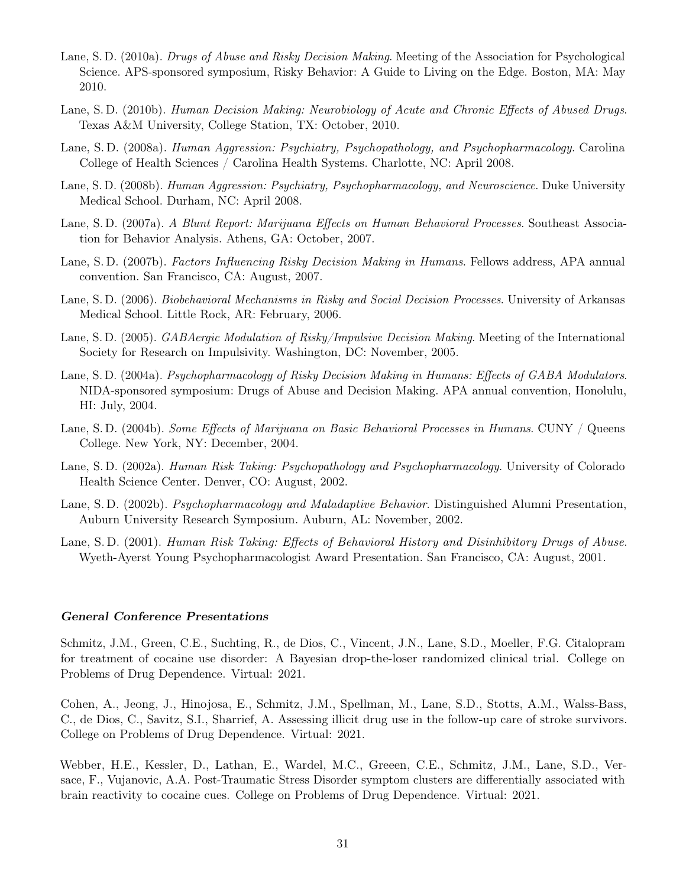- Lane, S. D. (2010a). Drugs of Abuse and Risky Decision Making. Meeting of the Association for Psychological Science. APS-sponsored symposium, Risky Behavior: A Guide to Living on the Edge. Boston, MA: May 2010.
- Lane, S. D. (2010b). Human Decision Making: Neurobiology of Acute and Chronic Effects of Abused Drugs. Texas A&M University, College Station, TX: October, 2010.
- Lane, S. D. (2008a). Human Aggression: Psychiatry, Psychopathology, and Psychopharmacology. Carolina College of Health Sciences / Carolina Health Systems. Charlotte, NC: April 2008.
- Lane, S. D. (2008b). Human Aggression: Psychiatry, Psychopharmacology, and Neuroscience. Duke University Medical School. Durham, NC: April 2008.
- Lane, S. D. (2007a). A Blunt Report: Marijuana Effects on Human Behavioral Processes. Southeast Association for Behavior Analysis. Athens, GA: October, 2007.
- Lane, S. D. (2007b). Factors Influencing Risky Decision Making in Humans. Fellows address, APA annual convention. San Francisco, CA: August, 2007.
- Lane, S. D. (2006). Biobehavioral Mechanisms in Risky and Social Decision Processes. University of Arkansas Medical School. Little Rock, AR: February, 2006.
- Lane, S. D. (2005). GABAergic Modulation of Risky/Impulsive Decision Making. Meeting of the International Society for Research on Impulsivity. Washington, DC: November, 2005.
- Lane, S. D. (2004a). Psychopharmacology of Risky Decision Making in Humans: Effects of GABA Modulators. NIDA-sponsored symposium: Drugs of Abuse and Decision Making. APA annual convention, Honolulu, HI: July, 2004.
- Lane, S. D. (2004b). Some Effects of Marijuana on Basic Behavioral Processes in Humans. CUNY / Queens College. New York, NY: December, 2004.
- Lane, S. D. (2002a). Human Risk Taking: Psychopathology and Psychopharmacology. University of Colorado Health Science Center. Denver, CO: August, 2002.
- Lane, S. D. (2002b). Psychopharmacology and Maladaptive Behavior. Distinguished Alumni Presentation, Auburn University Research Symposium. Auburn, AL: November, 2002.
- Lane, S. D. (2001). Human Risk Taking: Effects of Behavioral History and Disinhibitory Drugs of Abuse. Wyeth-Ayerst Young Psychopharmacologist Award Presentation. San Francisco, CA: August, 2001.

#### General Conference Presentations

Schmitz, J.M., Green, C.E., Suchting, R., de Dios, C., Vincent, J.N., Lane, S.D., Moeller, F.G. Citalopram for treatment of cocaine use disorder: A Bayesian drop-the-loser randomized clinical trial. College on Problems of Drug Dependence. Virtual: 2021.

Cohen, A., Jeong, J., Hinojosa, E., Schmitz, J.M., Spellman, M., Lane, S.D., Stotts, A.M., Walss-Bass, C., de Dios, C., Savitz, S.I., Sharrief, A. Assessing illicit drug use in the follow-up care of stroke survivors. College on Problems of Drug Dependence. Virtual: 2021.

Webber, H.E., Kessler, D., Lathan, E., Wardel, M.C., Greeen, C.E., Schmitz, J.M., Lane, S.D., Versace, F., Vujanovic, A.A. Post-Traumatic Stress Disorder symptom clusters are differentially associated with brain reactivity to cocaine cues. College on Problems of Drug Dependence. Virtual: 2021.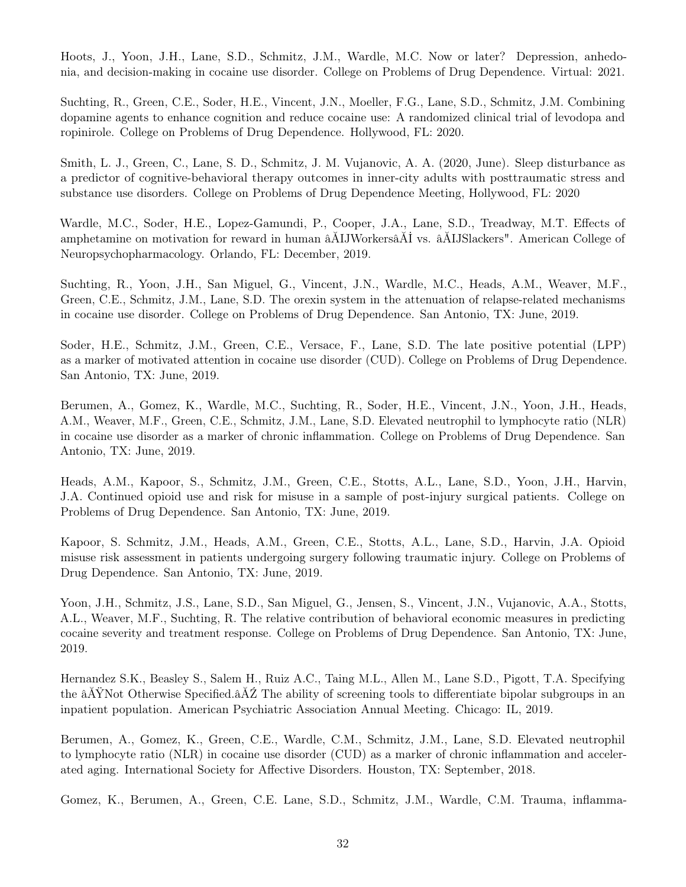Hoots, J., Yoon, J.H., Lane, S.D., Schmitz, J.M., Wardle, M.C. Now or later? Depression, anhedonia, and decision-making in cocaine use disorder. College on Problems of Drug Dependence. Virtual: 2021.

Suchting, R., Green, C.E., Soder, H.E., Vincent, J.N., Moeller, F.G., Lane, S.D., Schmitz, J.M. Combining dopamine agents to enhance cognition and reduce cocaine use: A randomized clinical trial of levodopa and ropinirole. College on Problems of Drug Dependence. Hollywood, FL: 2020.

Smith, L. J., Green, C., Lane, S. D., Schmitz, J. M. Vujanovic, A. A. (2020, June). Sleep disturbance as a predictor of cognitive-behavioral therapy outcomes in inner-city adults with posttraumatic stress and substance use disorders. College on Problems of Drug Dependence Meeting, Hollywood, FL: 2020

Wardle, M.C., Soder, H.E., Lopez-Gamundi, P., Cooper, J.A., Lane, S.D., Treadway, M.T. Effects of amphetamine on motivation for reward in human âĂIJWorkersâĂİ vs. âĂIJSlackers". American College of Neuropsychopharmacology. Orlando, FL: December, 2019.

Suchting, R., Yoon, J.H., San Miguel, G., Vincent, J.N., Wardle, M.C., Heads, A.M., Weaver, M.F., Green, C.E., Schmitz, J.M., Lane, S.D. The orexin system in the attenuation of relapse-related mechanisms in cocaine use disorder. College on Problems of Drug Dependence. San Antonio, TX: June, 2019.

Soder, H.E., Schmitz, J.M., Green, C.E., Versace, F., Lane, S.D. The late positive potential (LPP) as a marker of motivated attention in cocaine use disorder (CUD). College on Problems of Drug Dependence. San Antonio, TX: June, 2019.

Berumen, A., Gomez, K., Wardle, M.C., Suchting, R., Soder, H.E., Vincent, J.N., Yoon, J.H., Heads, A.M., Weaver, M.F., Green, C.E., Schmitz, J.M., Lane, S.D. Elevated neutrophil to lymphocyte ratio (NLR) in cocaine use disorder as a marker of chronic inflammation. College on Problems of Drug Dependence. San Antonio, TX: June, 2019.

Heads, A.M., Kapoor, S., Schmitz, J.M., Green, C.E., Stotts, A.L., Lane, S.D., Yoon, J.H., Harvin, J.A. Continued opioid use and risk for misuse in a sample of post-injury surgical patients. College on Problems of Drug Dependence. San Antonio, TX: June, 2019.

Kapoor, S. Schmitz, J.M., Heads, A.M., Green, C.E., Stotts, A.L., Lane, S.D., Harvin, J.A. Opioid misuse risk assessment in patients undergoing surgery following traumatic injury. College on Problems of Drug Dependence. San Antonio, TX: June, 2019.

Yoon, J.H., Schmitz, J.S., Lane, S.D., San Miguel, G., Jensen, S., Vincent, J.N., Vujanovic, A.A., Stotts, A.L., Weaver, M.F., Suchting, R. The relative contribution of behavioral economic measures in predicting cocaine severity and treatment response. College on Problems of Drug Dependence. San Antonio, TX: June, 2019.

Hernandez S.K., Beasley S., Salem H., Ruiz A.C., Taing M.L., Allen M., Lane S.D., Pigott, T.A. Specifying the âĂŸNot Otherwise Specified.âĂŹ The ability of screening tools to differentiate bipolar subgroups in an inpatient population. American Psychiatric Association Annual Meeting. Chicago: IL, 2019.

Berumen, A., Gomez, K., Green, C.E., Wardle, C.M., Schmitz, J.M., Lane, S.D. Elevated neutrophil to lymphocyte ratio (NLR) in cocaine use disorder (CUD) as a marker of chronic inflammation and accelerated aging. International Society for Affective Disorders. Houston, TX: September, 2018.

Gomez, K., Berumen, A., Green, C.E. Lane, S.D., Schmitz, J.M., Wardle, C.M. Trauma, inflamma-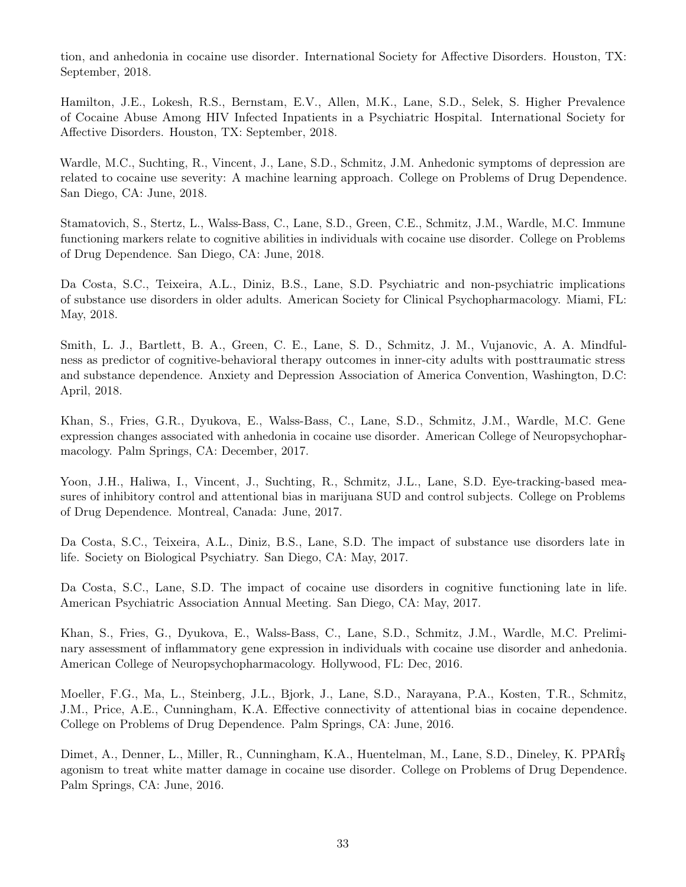tion, and anhedonia in cocaine use disorder. International Society for Affective Disorders. Houston, TX: September, 2018.

Hamilton, J.E., Lokesh, R.S., Bernstam, E.V., Allen, M.K., Lane, S.D., Selek, S. Higher Prevalence of Cocaine Abuse Among HIV Infected Inpatients in a Psychiatric Hospital. International Society for Affective Disorders. Houston, TX: September, 2018.

Wardle, M.C., Suchting, R., Vincent, J., Lane, S.D., Schmitz, J.M. Anhedonic symptoms of depression are related to cocaine use severity: A machine learning approach. College on Problems of Drug Dependence. San Diego, CA: June, 2018.

Stamatovich, S., Stertz, L., Walss-Bass, C., Lane, S.D., Green, C.E., Schmitz, J.M., Wardle, M.C. Immune functioning markers relate to cognitive abilities in individuals with cocaine use disorder. College on Problems of Drug Dependence. San Diego, CA: June, 2018.

Da Costa, S.C., Teixeira, A.L., Diniz, B.S., Lane, S.D. Psychiatric and non-psychiatric implications of substance use disorders in older adults. American Society for Clinical Psychopharmacology. Miami, FL: May, 2018.

Smith, L. J., Bartlett, B. A., Green, C. E., Lane, S. D., Schmitz, J. M., Vujanovic, A. A. Mindfulness as predictor of cognitive-behavioral therapy outcomes in inner-city adults with posttraumatic stress and substance dependence. Anxiety and Depression Association of America Convention, Washington, D.C: April, 2018.

Khan, S., Fries, G.R., Dyukova, E., Walss-Bass, C., Lane, S.D., Schmitz, J.M., Wardle, M.C. Gene expression changes associated with anhedonia in cocaine use disorder. American College of Neuropsychopharmacology. Palm Springs, CA: December, 2017.

Yoon, J.H., Haliwa, I., Vincent, J., Suchting, R., Schmitz, J.L., Lane, S.D. Eye-tracking-based measures of inhibitory control and attentional bias in marijuana SUD and control subjects. College on Problems of Drug Dependence. Montreal, Canada: June, 2017.

Da Costa, S.C., Teixeira, A.L., Diniz, B.S., Lane, S.D. The impact of substance use disorders late in life. Society on Biological Psychiatry. San Diego, CA: May, 2017.

Da Costa, S.C., Lane, S.D. The impact of cocaine use disorders in cognitive functioning late in life. American Psychiatric Association Annual Meeting. San Diego, CA: May, 2017.

Khan, S., Fries, G., Dyukova, E., Walss-Bass, C., Lane, S.D., Schmitz, J.M., Wardle, M.C. Preliminary assessment of inflammatory gene expression in individuals with cocaine use disorder and anhedonia. American College of Neuropsychopharmacology. Hollywood, FL: Dec, 2016.

Moeller, F.G., Ma, L., Steinberg, J.L., Bjork, J., Lane, S.D., Narayana, P.A., Kosten, T.R., Schmitz, J.M., Price, A.E., Cunningham, K.A. Effective connectivity of attentional bias in cocaine dependence. College on Problems of Drug Dependence. Palm Springs, CA: June, 2016.

Dimet, A., Denner, L., Miller, R., Cunningham, K.A., Huentelman, M., Lane, S.D., Dineley, K. PPARÎş agonism to treat white matter damage in cocaine use disorder. College on Problems of Drug Dependence. Palm Springs, CA: June, 2016.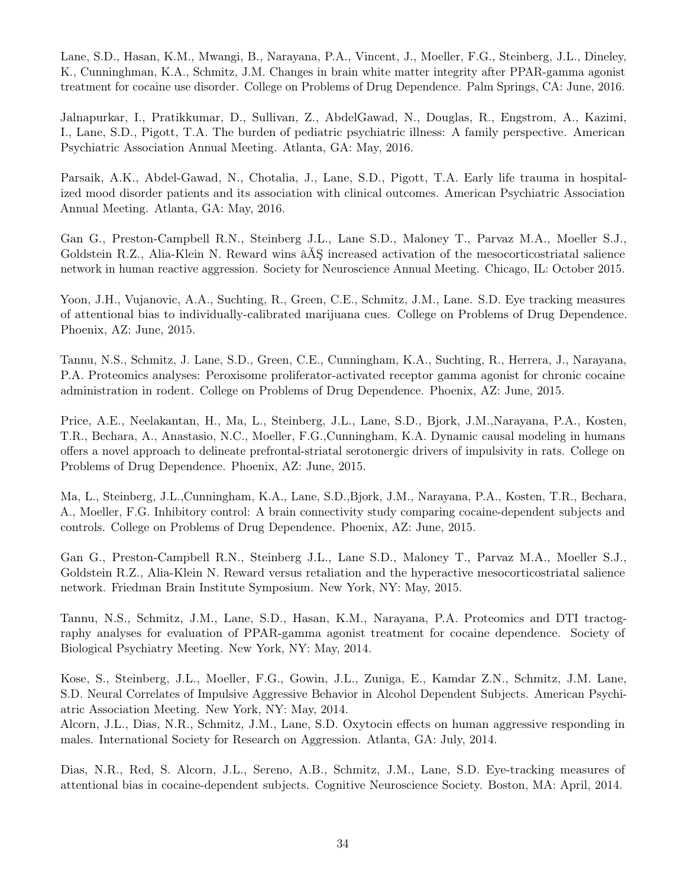Lane, S.D., Hasan, K.M., Mwangi, B., Narayana, P.A., Vincent, J., Moeller, F.G., Steinberg, J.L., Dineley, K., Cunninghman, K.A., Schmitz, J.M. Changes in brain white matter integrity after PPAR-gamma agonist treatment for cocaine use disorder. College on Problems of Drug Dependence. Palm Springs, CA: June, 2016.

Jalnapurkar, I., Pratikkumar, D., Sullivan, Z., AbdelGawad, N., Douglas, R., Engstrom, A., Kazimi, I., Lane, S.D., Pigott, T.A. The burden of pediatric psychiatric illness: A family perspective. American Psychiatric Association Annual Meeting. Atlanta, GA: May, 2016.

Parsaik, A.K., Abdel-Gawad, N., Chotalia, J., Lane, S.D., Pigott, T.A. Early life trauma in hospitalized mood disorder patients and its association with clinical outcomes. American Psychiatric Association Annual Meeting. Atlanta, GA: May, 2016.

Gan G., Preston-Campbell R.N., Steinberg J.L., Lane S.D., Maloney T., Parvaz M.A., Moeller S.J., Goldstein R.Z., Alia-Klein N. Reward wins âĂŞ increased activation of the mesocorticostriatal salience network in human reactive aggression. Society for Neuroscience Annual Meeting. Chicago, IL: October 2015.

Yoon, J.H., Vujanovic, A.A., Suchting, R., Green, C.E., Schmitz, J.M., Lane. S.D. Eye tracking measures of attentional bias to individually-calibrated marijuana cues. College on Problems of Drug Dependence. Phoenix, AZ: June, 2015.

Tannu, N.S., Schmitz, J. Lane, S.D., Green, C.E., Cunningham, K.A., Suchting, R., Herrera, J., Narayana, P.A. Proteomics analyses: Peroxisome proliferator-activated receptor gamma agonist for chronic cocaine administration in rodent. College on Problems of Drug Dependence. Phoenix, AZ: June, 2015.

Price, A.E., Neelakantan, H., Ma, L., Steinberg, J.L., Lane, S.D., Bjork, J.M.,Narayana, P.A., Kosten, T.R., Bechara, A., Anastasio, N.C., Moeller, F.G.,Cunningham, K.A. Dynamic causal modeling in humans offers a novel approach to delineate prefrontal-striatal serotonergic drivers of impulsivity in rats. College on Problems of Drug Dependence. Phoenix, AZ: June, 2015.

Ma, L., Steinberg, J.L.,Cunningham, K.A., Lane, S.D.,Bjork, J.M., Narayana, P.A., Kosten, T.R., Bechara, A., Moeller, F.G. Inhibitory control: A brain connectivity study comparing cocaine-dependent subjects and controls. College on Problems of Drug Dependence. Phoenix, AZ: June, 2015.

Gan G., Preston-Campbell R.N., Steinberg J.L., Lane S.D., Maloney T., Parvaz M.A., Moeller S.J., Goldstein R.Z., Alia-Klein N. Reward versus retaliation and the hyperactive mesocorticostriatal salience network. Friedman Brain Institute Symposium. New York, NY: May, 2015.

Tannu, N.S., Schmitz, J.M., Lane, S.D., Hasan, K.M., Narayana, P.A. Proteomics and DTI tractography analyses for evaluation of PPAR-gamma agonist treatment for cocaine dependence. Society of Biological Psychiatry Meeting. New York, NY: May, 2014.

Kose, S., Steinberg, J.L., Moeller, F.G., Gowin, J.L., Zuniga, E., Kamdar Z.N., Schmitz, J.M. Lane, S.D. Neural Correlates of Impulsive Aggressive Behavior in Alcohol Dependent Subjects. American Psychiatric Association Meeting. New York, NY: May, 2014.

Alcorn, J.L., Dias, N.R., Schmitz, J.M., Lane, S.D. Oxytocin effects on human aggressive responding in males. International Society for Research on Aggression. Atlanta, GA: July, 2014.

Dias, N.R., Red, S. Alcorn, J.L., Sereno, A.B., Schmitz, J.M., Lane, S.D. Eye-tracking measures of attentional bias in cocaine-dependent subjects. Cognitive Neuroscience Society. Boston, MA: April, 2014.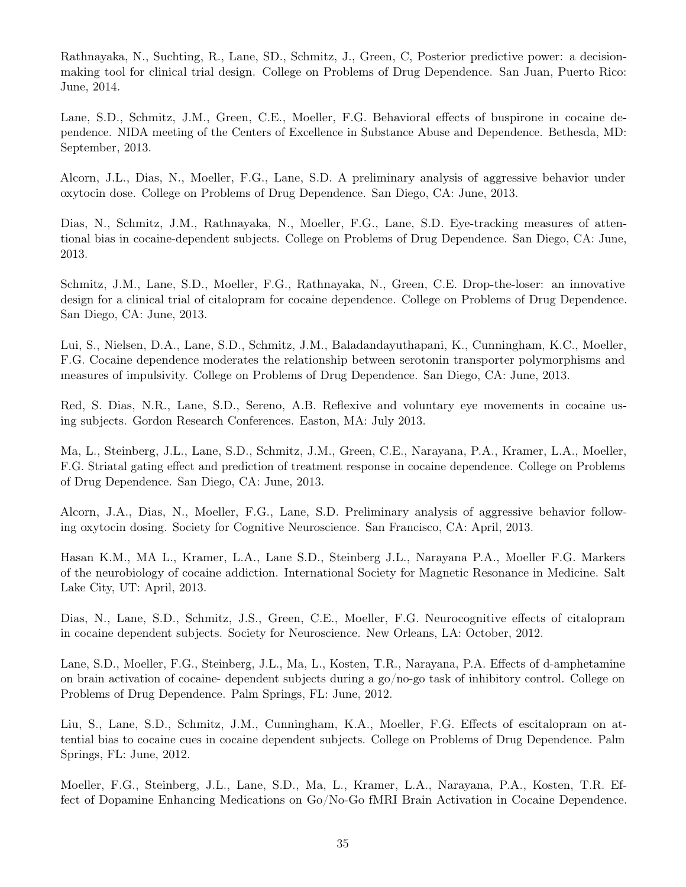Rathnayaka, N., Suchting, R., Lane, SD., Schmitz, J., Green, C, Posterior predictive power: a decisionmaking tool for clinical trial design. College on Problems of Drug Dependence. San Juan, Puerto Rico: June, 2014.

Lane, S.D., Schmitz, J.M., Green, C.E., Moeller, F.G. Behavioral effects of buspirone in cocaine dependence. NIDA meeting of the Centers of Excellence in Substance Abuse and Dependence. Bethesda, MD: September, 2013.

Alcorn, J.L., Dias, N., Moeller, F.G., Lane, S.D. A preliminary analysis of aggressive behavior under oxytocin dose. College on Problems of Drug Dependence. San Diego, CA: June, 2013.

Dias, N., Schmitz, J.M., Rathnayaka, N., Moeller, F.G., Lane, S.D. Eye-tracking measures of attentional bias in cocaine-dependent subjects. College on Problems of Drug Dependence. San Diego, CA: June, 2013.

Schmitz, J.M., Lane, S.D., Moeller, F.G., Rathnayaka, N., Green, C.E. Drop-the-loser: an innovative design for a clinical trial of citalopram for cocaine dependence. College on Problems of Drug Dependence. San Diego, CA: June, 2013.

Lui, S., Nielsen, D.A., Lane, S.D., Schmitz, J.M., Baladandayuthapani, K., Cunningham, K.C., Moeller, F.G. Cocaine dependence moderates the relationship between serotonin transporter polymorphisms and measures of impulsivity. College on Problems of Drug Dependence. San Diego, CA: June, 2013.

Red, S. Dias, N.R., Lane, S.D., Sereno, A.B. Reflexive and voluntary eye movements in cocaine using subjects. Gordon Research Conferences. Easton, MA: July 2013.

Ma, L., Steinberg, J.L., Lane, S.D., Schmitz, J.M., Green, C.E., Narayana, P.A., Kramer, L.A., Moeller, F.G. Striatal gating effect and prediction of treatment response in cocaine dependence. College on Problems of Drug Dependence. San Diego, CA: June, 2013.

Alcorn, J.A., Dias, N., Moeller, F.G., Lane, S.D. Preliminary analysis of aggressive behavior following oxytocin dosing. Society for Cognitive Neuroscience. San Francisco, CA: April, 2013.

Hasan K.M., MA L., Kramer, L.A., Lane S.D., Steinberg J.L., Narayana P.A., Moeller F.G. Markers of the neurobiology of cocaine addiction. International Society for Magnetic Resonance in Medicine. Salt Lake City, UT: April, 2013.

Dias, N., Lane, S.D., Schmitz, J.S., Green, C.E., Moeller, F.G. Neurocognitive effects of citalopram in cocaine dependent subjects. Society for Neuroscience. New Orleans, LA: October, 2012.

Lane, S.D., Moeller, F.G., Steinberg, J.L., Ma, L., Kosten, T.R., Narayana, P.A. Effects of d-amphetamine on brain activation of cocaine- dependent subjects during a go/no-go task of inhibitory control. College on Problems of Drug Dependence. Palm Springs, FL: June, 2012.

Liu, S., Lane, S.D., Schmitz, J.M., Cunningham, K.A., Moeller, F.G. Effects of escitalopram on attential bias to cocaine cues in cocaine dependent subjects. College on Problems of Drug Dependence. Palm Springs, FL: June, 2012.

Moeller, F.G., Steinberg, J.L., Lane, S.D., Ma, L., Kramer, L.A., Narayana, P.A., Kosten, T.R. Effect of Dopamine Enhancing Medications on Go/No-Go fMRI Brain Activation in Cocaine Dependence.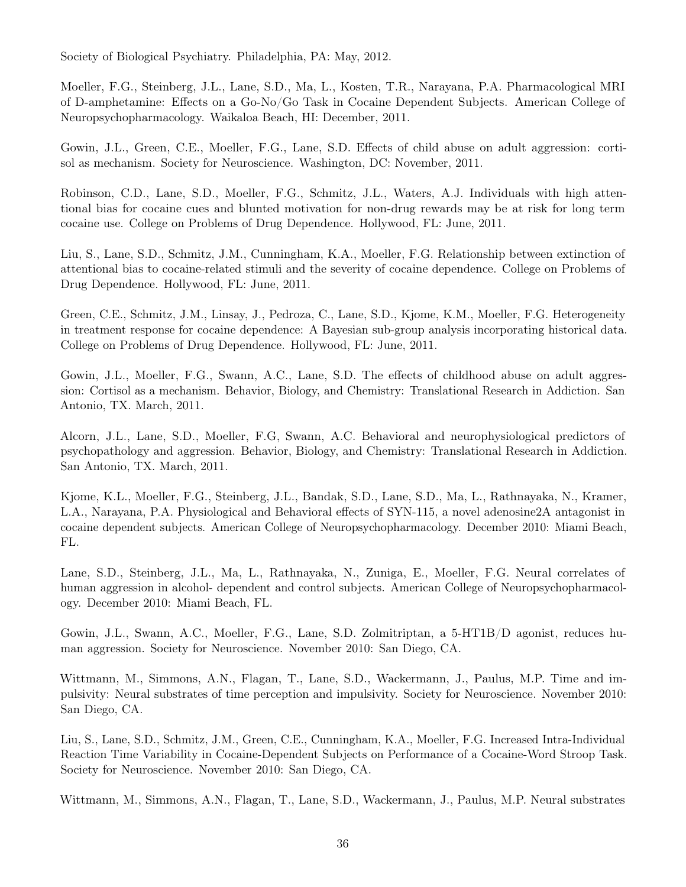Society of Biological Psychiatry. Philadelphia, PA: May, 2012.

Moeller, F.G., Steinberg, J.L., Lane, S.D., Ma, L., Kosten, T.R., Narayana, P.A. Pharmacological MRI of D-amphetamine: Effects on a Go-No/Go Task in Cocaine Dependent Subjects. American College of Neuropsychopharmacology. Waikaloa Beach, HI: December, 2011.

Gowin, J.L., Green, C.E., Moeller, F.G., Lane, S.D. Effects of child abuse on adult aggression: cortisol as mechanism. Society for Neuroscience. Washington, DC: November, 2011.

Robinson, C.D., Lane, S.D., Moeller, F.G., Schmitz, J.L., Waters, A.J. Individuals with high attentional bias for cocaine cues and blunted motivation for non-drug rewards may be at risk for long term cocaine use. College on Problems of Drug Dependence. Hollywood, FL: June, 2011.

Liu, S., Lane, S.D., Schmitz, J.M., Cunningham, K.A., Moeller, F.G. Relationship between extinction of attentional bias to cocaine-related stimuli and the severity of cocaine dependence. College on Problems of Drug Dependence. Hollywood, FL: June, 2011.

Green, C.E., Schmitz, J.M., Linsay, J., Pedroza, C., Lane, S.D., Kjome, K.M., Moeller, F.G. Heterogeneity in treatment response for cocaine dependence: A Bayesian sub-group analysis incorporating historical data. College on Problems of Drug Dependence. Hollywood, FL: June, 2011.

Gowin, J.L., Moeller, F.G., Swann, A.C., Lane, S.D. The effects of childhood abuse on adult aggression: Cortisol as a mechanism. Behavior, Biology, and Chemistry: Translational Research in Addiction. San Antonio, TX. March, 2011.

Alcorn, J.L., Lane, S.D., Moeller, F.G, Swann, A.C. Behavioral and neurophysiological predictors of psychopathology and aggression. Behavior, Biology, and Chemistry: Translational Research in Addiction. San Antonio, TX. March, 2011.

Kjome, K.L., Moeller, F.G., Steinberg, J.L., Bandak, S.D., Lane, S.D., Ma, L., Rathnayaka, N., Kramer, L.A., Narayana, P.A. Physiological and Behavioral effects of SYN-115, a novel adenosine2A antagonist in cocaine dependent subjects. American College of Neuropsychopharmacology. December 2010: Miami Beach, FL.

Lane, S.D., Steinberg, J.L., Ma, L., Rathnayaka, N., Zuniga, E., Moeller, F.G. Neural correlates of human aggression in alcohol- dependent and control subjects. American College of Neuropsychopharmacology. December 2010: Miami Beach, FL.

Gowin, J.L., Swann, A.C., Moeller, F.G., Lane, S.D. Zolmitriptan, a 5-HT1B/D agonist, reduces human aggression. Society for Neuroscience. November 2010: San Diego, CA.

Wittmann, M., Simmons, A.N., Flagan, T., Lane, S.D., Wackermann, J., Paulus, M.P. Time and impulsivity: Neural substrates of time perception and impulsivity. Society for Neuroscience. November 2010: San Diego, CA.

Liu, S., Lane, S.D., Schmitz, J.M., Green, C.E., Cunningham, K.A., Moeller, F.G. Increased Intra-Individual Reaction Time Variability in Cocaine-Dependent Subjects on Performance of a Cocaine-Word Stroop Task. Society for Neuroscience. November 2010: San Diego, CA.

Wittmann, M., Simmons, A.N., Flagan, T., Lane, S.D., Wackermann, J., Paulus, M.P. Neural substrates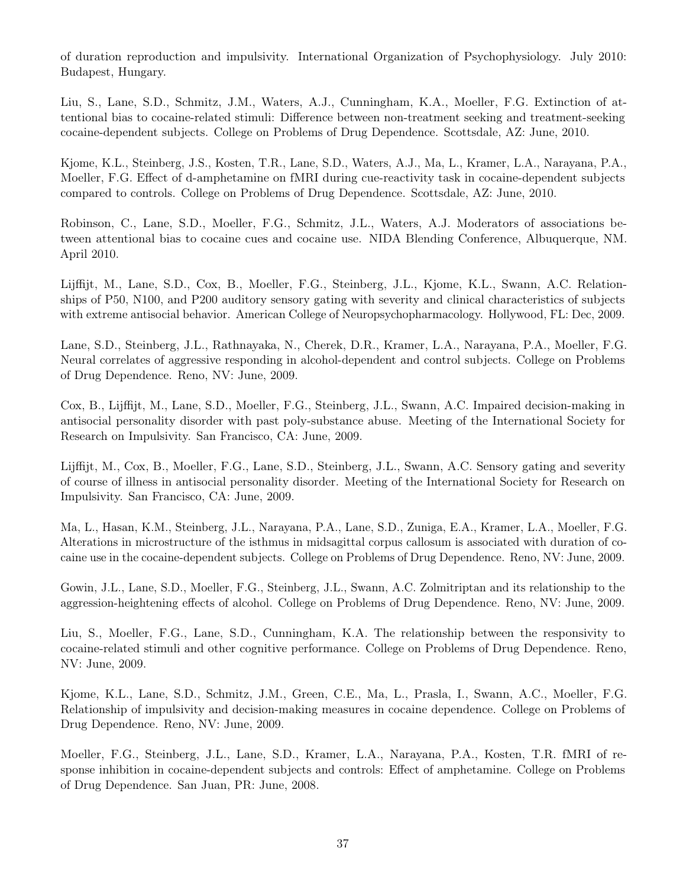of duration reproduction and impulsivity. International Organization of Psychophysiology. July 2010: Budapest, Hungary.

Liu, S., Lane, S.D., Schmitz, J.M., Waters, A.J., Cunningham, K.A., Moeller, F.G. Extinction of attentional bias to cocaine-related stimuli: Difference between non-treatment seeking and treatment-seeking cocaine-dependent subjects. College on Problems of Drug Dependence. Scottsdale, AZ: June, 2010.

Kjome, K.L., Steinberg, J.S., Kosten, T.R., Lane, S.D., Waters, A.J., Ma, L., Kramer, L.A., Narayana, P.A., Moeller, F.G. Effect of d-amphetamine on fMRI during cue-reactivity task in cocaine-dependent subjects compared to controls. College on Problems of Drug Dependence. Scottsdale, AZ: June, 2010.

Robinson, C., Lane, S.D., Moeller, F.G., Schmitz, J.L., Waters, A.J. Moderators of associations between attentional bias to cocaine cues and cocaine use. NIDA Blending Conference, Albuquerque, NM. April 2010.

Lijffijt, M., Lane, S.D., Cox, B., Moeller, F.G., Steinberg, J.L., Kjome, K.L., Swann, A.C. Relationships of P50, N100, and P200 auditory sensory gating with severity and clinical characteristics of subjects with extreme antisocial behavior. American College of Neuropsychopharmacology. Hollywood, FL: Dec, 2009.

Lane, S.D., Steinberg, J.L., Rathnayaka, N., Cherek, D.R., Kramer, L.A., Narayana, P.A., Moeller, F.G. Neural correlates of aggressive responding in alcohol-dependent and control subjects. College on Problems of Drug Dependence. Reno, NV: June, 2009.

Cox, B., Lijffijt, M., Lane, S.D., Moeller, F.G., Steinberg, J.L., Swann, A.C. Impaired decision-making in antisocial personality disorder with past poly-substance abuse. Meeting of the International Society for Research on Impulsivity. San Francisco, CA: June, 2009.

Lijffijt, M., Cox, B., Moeller, F.G., Lane, S.D., Steinberg, J.L., Swann, A.C. Sensory gating and severity of course of illness in antisocial personality disorder. Meeting of the International Society for Research on Impulsivity. San Francisco, CA: June, 2009.

Ma, L., Hasan, K.M., Steinberg, J.L., Narayana, P.A., Lane, S.D., Zuniga, E.A., Kramer, L.A., Moeller, F.G. Alterations in microstructure of the isthmus in midsagittal corpus callosum is associated with duration of cocaine use in the cocaine-dependent subjects. College on Problems of Drug Dependence. Reno, NV: June, 2009.

Gowin, J.L., Lane, S.D., Moeller, F.G., Steinberg, J.L., Swann, A.C. Zolmitriptan and its relationship to the aggression-heightening effects of alcohol. College on Problems of Drug Dependence. Reno, NV: June, 2009.

Liu, S., Moeller, F.G., Lane, S.D., Cunningham, K.A. The relationship between the responsivity to cocaine-related stimuli and other cognitive performance. College on Problems of Drug Dependence. Reno, NV: June, 2009.

Kjome, K.L., Lane, S.D., Schmitz, J.M., Green, C.E., Ma, L., Prasla, I., Swann, A.C., Moeller, F.G. Relationship of impulsivity and decision-making measures in cocaine dependence. College on Problems of Drug Dependence. Reno, NV: June, 2009.

Moeller, F.G., Steinberg, J.L., Lane, S.D., Kramer, L.A., Narayana, P.A., Kosten, T.R. fMRI of response inhibition in cocaine-dependent subjects and controls: Effect of amphetamine. College on Problems of Drug Dependence. San Juan, PR: June, 2008.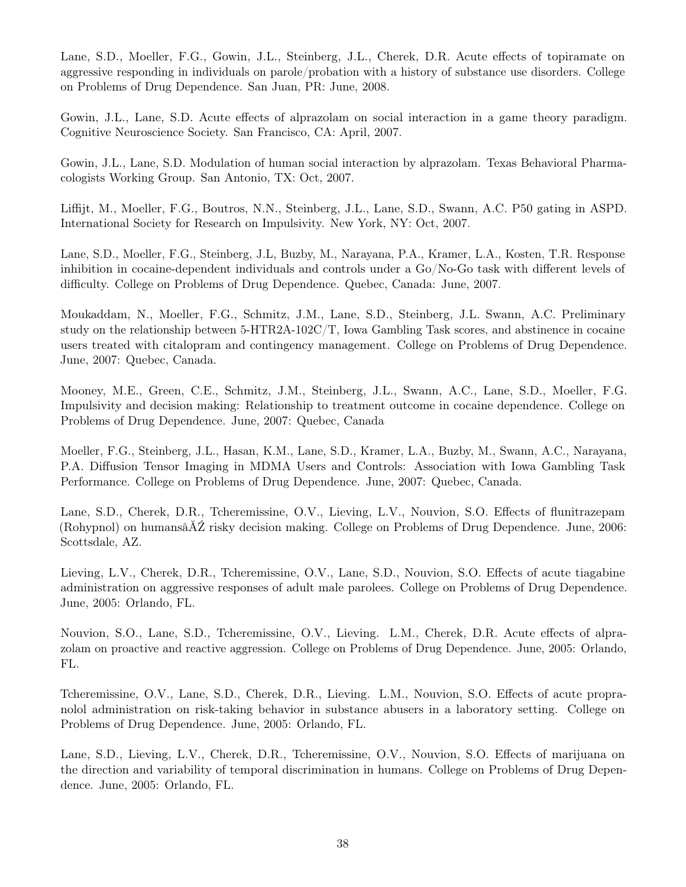Lane, S.D., Moeller, F.G., Gowin, J.L., Steinberg, J.L., Cherek, D.R. Acute effects of topiramate on aggressive responding in individuals on parole/probation with a history of substance use disorders. College on Problems of Drug Dependence. San Juan, PR: June, 2008.

Gowin, J.L., Lane, S.D. Acute effects of alprazolam on social interaction in a game theory paradigm. Cognitive Neuroscience Society. San Francisco, CA: April, 2007.

Gowin, J.L., Lane, S.D. Modulation of human social interaction by alprazolam. Texas Behavioral Pharmacologists Working Group. San Antonio, TX: Oct, 2007.

Liffijt, M., Moeller, F.G., Boutros, N.N., Steinberg, J.L., Lane, S.D., Swann, A.C. P50 gating in ASPD. International Society for Research on Impulsivity. New York, NY: Oct, 2007.

Lane, S.D., Moeller, F.G., Steinberg, J.L, Buzby, M., Narayana, P.A., Kramer, L.A., Kosten, T.R. Response inhibition in cocaine-dependent individuals and controls under a Go/No-Go task with different levels of difficulty. College on Problems of Drug Dependence. Quebec, Canada: June, 2007.

Moukaddam, N., Moeller, F.G., Schmitz, J.M., Lane, S.D., Steinberg, J.L. Swann, A.C. Preliminary study on the relationship between 5-HTR2A-102C/T, Iowa Gambling Task scores, and abstinence in cocaine users treated with citalopram and contingency management. College on Problems of Drug Dependence. June, 2007: Quebec, Canada.

Mooney, M.E., Green, C.E., Schmitz, J.M., Steinberg, J.L., Swann, A.C., Lane, S.D., Moeller, F.G. Impulsivity and decision making: Relationship to treatment outcome in cocaine dependence. College on Problems of Drug Dependence. June, 2007: Quebec, Canada

Moeller, F.G., Steinberg, J.L., Hasan, K.M., Lane, S.D., Kramer, L.A., Buzby, M., Swann, A.C., Narayana, P.A. Diffusion Tensor Imaging in MDMA Users and Controls: Association with Iowa Gambling Task Performance. College on Problems of Drug Dependence. June, 2007: Quebec, Canada.

Lane, S.D., Cherek, D.R., Tcheremissine, O.V., Lieving, L.V., Nouvion, S.O. Effects of flunitrazepam (Rohypnol) on humansâĂŹ risky decision making. College on Problems of Drug Dependence. June, 2006: Scottsdale, AZ.

Lieving, L.V., Cherek, D.R., Tcheremissine, O.V., Lane, S.D., Nouvion, S.O. Effects of acute tiagabine administration on aggressive responses of adult male parolees. College on Problems of Drug Dependence. June, 2005: Orlando, FL.

Nouvion, S.O., Lane, S.D., Tcheremissine, O.V., Lieving. L.M., Cherek, D.R. Acute effects of alprazolam on proactive and reactive aggression. College on Problems of Drug Dependence. June, 2005: Orlando, FL.

Tcheremissine, O.V., Lane, S.D., Cherek, D.R., Lieving. L.M., Nouvion, S.O. Effects of acute propranolol administration on risk-taking behavior in substance abusers in a laboratory setting. College on Problems of Drug Dependence. June, 2005: Orlando, FL.

Lane, S.D., Lieving, L.V., Cherek, D.R., Tcheremissine, O.V., Nouvion, S.O. Effects of marijuana on the direction and variability of temporal discrimination in humans. College on Problems of Drug Dependence. June, 2005: Orlando, FL.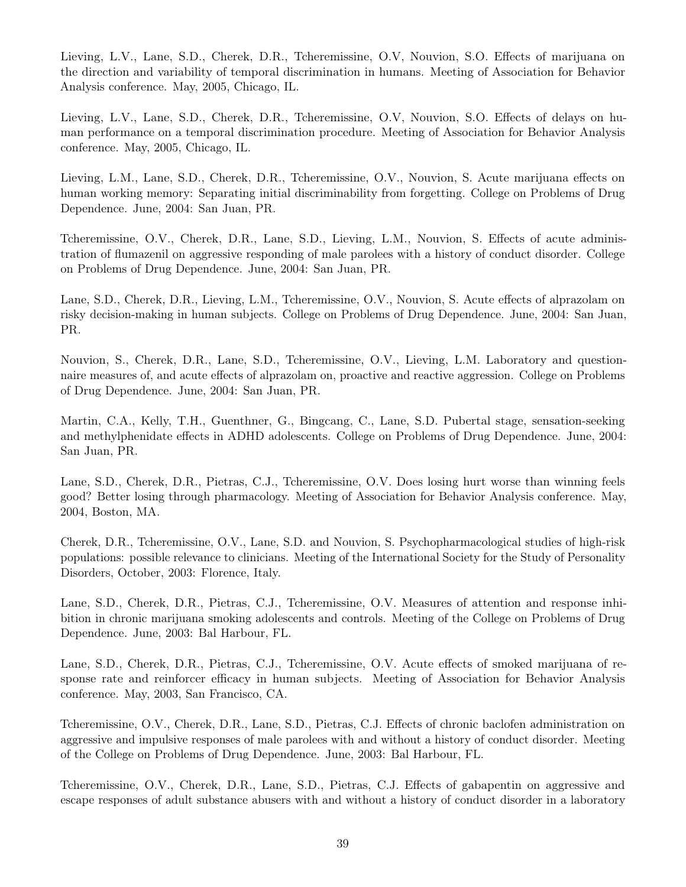Lieving, L.V., Lane, S.D., Cherek, D.R., Tcheremissine, O.V, Nouvion, S.O. Effects of marijuana on the direction and variability of temporal discrimination in humans. Meeting of Association for Behavior Analysis conference. May, 2005, Chicago, IL.

Lieving, L.V., Lane, S.D., Cherek, D.R., Tcheremissine, O.V, Nouvion, S.O. Effects of delays on human performance on a temporal discrimination procedure. Meeting of Association for Behavior Analysis conference. May, 2005, Chicago, IL.

Lieving, L.M., Lane, S.D., Cherek, D.R., Tcheremissine, O.V., Nouvion, S. Acute marijuana effects on human working memory: Separating initial discriminability from forgetting. College on Problems of Drug Dependence. June, 2004: San Juan, PR.

Tcheremissine, O.V., Cherek, D.R., Lane, S.D., Lieving, L.M., Nouvion, S. Effects of acute administration of flumazenil on aggressive responding of male parolees with a history of conduct disorder. College on Problems of Drug Dependence. June, 2004: San Juan, PR.

Lane, S.D., Cherek, D.R., Lieving, L.M., Tcheremissine, O.V., Nouvion, S. Acute effects of alprazolam on risky decision-making in human subjects. College on Problems of Drug Dependence. June, 2004: San Juan, PR.

Nouvion, S., Cherek, D.R., Lane, S.D., Tcheremissine, O.V., Lieving, L.M. Laboratory and questionnaire measures of, and acute effects of alprazolam on, proactive and reactive aggression. College on Problems of Drug Dependence. June, 2004: San Juan, PR.

Martin, C.A., Kelly, T.H., Guenthner, G., Bingcang, C., Lane, S.D. Pubertal stage, sensation-seeking and methylphenidate effects in ADHD adolescents. College on Problems of Drug Dependence. June, 2004: San Juan, PR.

Lane, S.D., Cherek, D.R., Pietras, C.J., Tcheremissine, O.V. Does losing hurt worse than winning feels good? Better losing through pharmacology. Meeting of Association for Behavior Analysis conference. May, 2004, Boston, MA.

Cherek, D.R., Tcheremissine, O.V., Lane, S.D. and Nouvion, S. Psychopharmacological studies of high-risk populations: possible relevance to clinicians. Meeting of the International Society for the Study of Personality Disorders, October, 2003: Florence, Italy.

Lane, S.D., Cherek, D.R., Pietras, C.J., Tcheremissine, O.V. Measures of attention and response inhibition in chronic marijuana smoking adolescents and controls. Meeting of the College on Problems of Drug Dependence. June, 2003: Bal Harbour, FL.

Lane, S.D., Cherek, D.R., Pietras, C.J., Tcheremissine, O.V. Acute effects of smoked marijuana of response rate and reinforcer efficacy in human subjects. Meeting of Association for Behavior Analysis conference. May, 2003, San Francisco, CA.

Tcheremissine, O.V., Cherek, D.R., Lane, S.D., Pietras, C.J. Effects of chronic baclofen administration on aggressive and impulsive responses of male parolees with and without a history of conduct disorder. Meeting of the College on Problems of Drug Dependence. June, 2003: Bal Harbour, FL.

Tcheremissine, O.V., Cherek, D.R., Lane, S.D., Pietras, C.J. Effects of gabapentin on aggressive and escape responses of adult substance abusers with and without a history of conduct disorder in a laboratory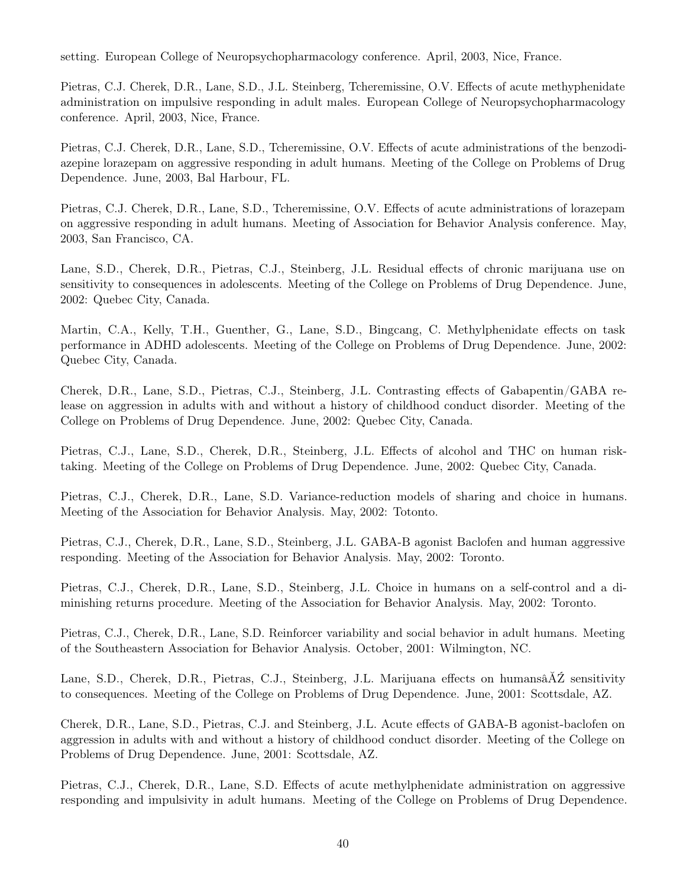setting. European College of Neuropsychopharmacology conference. April, 2003, Nice, France.

Pietras, C.J. Cherek, D.R., Lane, S.D., J.L. Steinberg, Tcheremissine, O.V. Effects of acute methyphenidate administration on impulsive responding in adult males. European College of Neuropsychopharmacology conference. April, 2003, Nice, France.

Pietras, C.J. Cherek, D.R., Lane, S.D., Tcheremissine, O.V. Effects of acute administrations of the benzodiazepine lorazepam on aggressive responding in adult humans. Meeting of the College on Problems of Drug Dependence. June, 2003, Bal Harbour, FL.

Pietras, C.J. Cherek, D.R., Lane, S.D., Tcheremissine, O.V. Effects of acute administrations of lorazepam on aggressive responding in adult humans. Meeting of Association for Behavior Analysis conference. May, 2003, San Francisco, CA.

Lane, S.D., Cherek, D.R., Pietras, C.J., Steinberg, J.L. Residual effects of chronic marijuana use on sensitivity to consequences in adolescents. Meeting of the College on Problems of Drug Dependence. June, 2002: Quebec City, Canada.

Martin, C.A., Kelly, T.H., Guenther, G., Lane, S.D., Bingcang, C. Methylphenidate effects on task performance in ADHD adolescents. Meeting of the College on Problems of Drug Dependence. June, 2002: Quebec City, Canada.

Cherek, D.R., Lane, S.D., Pietras, C.J., Steinberg, J.L. Contrasting effects of Gabapentin/GABA release on aggression in adults with and without a history of childhood conduct disorder. Meeting of the College on Problems of Drug Dependence. June, 2002: Quebec City, Canada.

Pietras, C.J., Lane, S.D., Cherek, D.R., Steinberg, J.L. Effects of alcohol and THC on human risktaking. Meeting of the College on Problems of Drug Dependence. June, 2002: Quebec City, Canada.

Pietras, C.J., Cherek, D.R., Lane, S.D. Variance-reduction models of sharing and choice in humans. Meeting of the Association for Behavior Analysis. May, 2002: Totonto.

Pietras, C.J., Cherek, D.R., Lane, S.D., Steinberg, J.L. GABA-B agonist Baclofen and human aggressive responding. Meeting of the Association for Behavior Analysis. May, 2002: Toronto.

Pietras, C.J., Cherek, D.R., Lane, S.D., Steinberg, J.L. Choice in humans on a self-control and a diminishing returns procedure. Meeting of the Association for Behavior Analysis. May, 2002: Toronto.

Pietras, C.J., Cherek, D.R., Lane, S.D. Reinforcer variability and social behavior in adult humans. Meeting of the Southeastern Association for Behavior Analysis. October, 2001: Wilmington, NC.

Lane, S.D., Cherek, D.R., Pietras, C.J., Steinberg, J.L. Marijuana effects on humansâĂŹ sensitivity to consequences. Meeting of the College on Problems of Drug Dependence. June, 2001: Scottsdale, AZ.

Cherek, D.R., Lane, S.D., Pietras, C.J. and Steinberg, J.L. Acute effects of GABA-B agonist-baclofen on aggression in adults with and without a history of childhood conduct disorder. Meeting of the College on Problems of Drug Dependence. June, 2001: Scottsdale, AZ.

Pietras, C.J., Cherek, D.R., Lane, S.D. Effects of acute methylphenidate administration on aggressive responding and impulsivity in adult humans. Meeting of the College on Problems of Drug Dependence.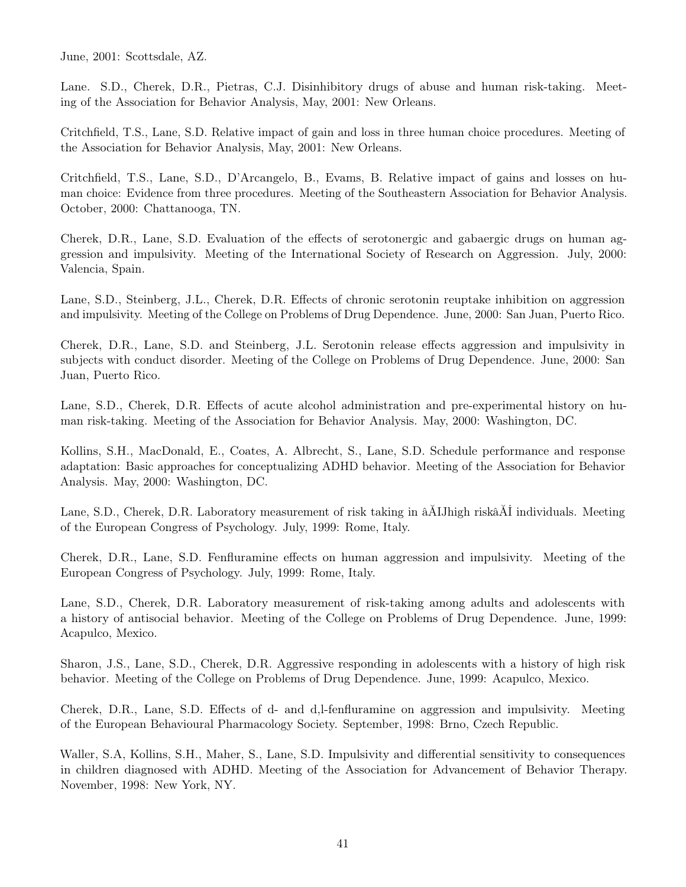June, 2001: Scottsdale, AZ.

Lane. S.D., Cherek, D.R., Pietras, C.J. Disinhibitory drugs of abuse and human risk-taking. Meeting of the Association for Behavior Analysis, May, 2001: New Orleans.

Critchfield, T.S., Lane, S.D. Relative impact of gain and loss in three human choice procedures. Meeting of the Association for Behavior Analysis, May, 2001: New Orleans.

Critchfield, T.S., Lane, S.D., D'Arcangelo, B., Evams, B. Relative impact of gains and losses on human choice: Evidence from three procedures. Meeting of the Southeastern Association for Behavior Analysis. October, 2000: Chattanooga, TN.

Cherek, D.R., Lane, S.D. Evaluation of the effects of serotonergic and gabaergic drugs on human aggression and impulsivity. Meeting of the International Society of Research on Aggression. July, 2000: Valencia, Spain.

Lane, S.D., Steinberg, J.L., Cherek, D.R. Effects of chronic serotonin reuptake inhibition on aggression and impulsivity. Meeting of the College on Problems of Drug Dependence. June, 2000: San Juan, Puerto Rico.

Cherek, D.R., Lane, S.D. and Steinberg, J.L. Serotonin release effects aggression and impulsivity in subjects with conduct disorder. Meeting of the College on Problems of Drug Dependence. June, 2000: San Juan, Puerto Rico.

Lane, S.D., Cherek, D.R. Effects of acute alcohol administration and pre-experimental history on human risk-taking. Meeting of the Association for Behavior Analysis. May, 2000: Washington, DC.

Kollins, S.H., MacDonald, E., Coates, A. Albrecht, S., Lane, S.D. Schedule performance and response adaptation: Basic approaches for conceptualizing ADHD behavior. Meeting of the Association for Behavior Analysis. May, 2000: Washington, DC.

Lane, S.D., Cherek, D.R. Laboratory measurement of risk taking in âĂIJhigh riskâĂİ individuals. Meeting of the European Congress of Psychology. July, 1999: Rome, Italy.

Cherek, D.R., Lane, S.D. Fenfluramine effects on human aggression and impulsivity. Meeting of the European Congress of Psychology. July, 1999: Rome, Italy.

Lane, S.D., Cherek, D.R. Laboratory measurement of risk-taking among adults and adolescents with a history of antisocial behavior. Meeting of the College on Problems of Drug Dependence. June, 1999: Acapulco, Mexico.

Sharon, J.S., Lane, S.D., Cherek, D.R. Aggressive responding in adolescents with a history of high risk behavior. Meeting of the College on Problems of Drug Dependence. June, 1999: Acapulco, Mexico.

Cherek, D.R., Lane, S.D. Effects of d- and d,l-fenfluramine on aggression and impulsivity. Meeting of the European Behavioural Pharmacology Society. September, 1998: Brno, Czech Republic.

Waller, S.A, Kollins, S.H., Maher, S., Lane, S.D. Impulsivity and differential sensitivity to consequences in children diagnosed with ADHD. Meeting of the Association for Advancement of Behavior Therapy. November, 1998: New York, NY.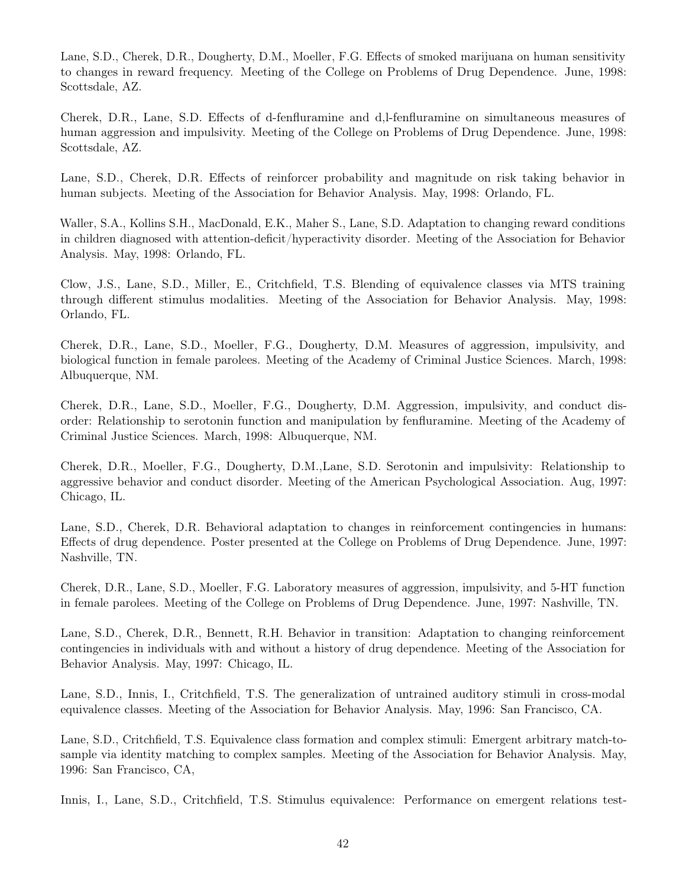Lane, S.D., Cherek, D.R., Dougherty, D.M., Moeller, F.G. Effects of smoked marijuana on human sensitivity to changes in reward frequency. Meeting of the College on Problems of Drug Dependence. June, 1998: Scottsdale, AZ.

Cherek, D.R., Lane, S.D. Effects of d-fenfluramine and d,l-fenfluramine on simultaneous measures of human aggression and impulsivity. Meeting of the College on Problems of Drug Dependence. June, 1998: Scottsdale, AZ.

Lane, S.D., Cherek, D.R. Effects of reinforcer probability and magnitude on risk taking behavior in human subjects. Meeting of the Association for Behavior Analysis. May, 1998: Orlando, FL.

Waller, S.A., Kollins S.H., MacDonald, E.K., Maher S., Lane, S.D. Adaptation to changing reward conditions in children diagnosed with attention-deficit/hyperactivity disorder. Meeting of the Association for Behavior Analysis. May, 1998: Orlando, FL.

Clow, J.S., Lane, S.D., Miller, E., Critchfield, T.S. Blending of equivalence classes via MTS training through different stimulus modalities. Meeting of the Association for Behavior Analysis. May, 1998: Orlando, FL.

Cherek, D.R., Lane, S.D., Moeller, F.G., Dougherty, D.M. Measures of aggression, impulsivity, and biological function in female parolees. Meeting of the Academy of Criminal Justice Sciences. March, 1998: Albuquerque, NM.

Cherek, D.R., Lane, S.D., Moeller, F.G., Dougherty, D.M. Aggression, impulsivity, and conduct disorder: Relationship to serotonin function and manipulation by fenfluramine. Meeting of the Academy of Criminal Justice Sciences. March, 1998: Albuquerque, NM.

Cherek, D.R., Moeller, F.G., Dougherty, D.M.,Lane, S.D. Serotonin and impulsivity: Relationship to aggressive behavior and conduct disorder. Meeting of the American Psychological Association. Aug, 1997: Chicago, IL.

Lane, S.D., Cherek, D.R. Behavioral adaptation to changes in reinforcement contingencies in humans: Effects of drug dependence. Poster presented at the College on Problems of Drug Dependence. June, 1997: Nashville, TN.

Cherek, D.R., Lane, S.D., Moeller, F.G. Laboratory measures of aggression, impulsivity, and 5-HT function in female parolees. Meeting of the College on Problems of Drug Dependence. June, 1997: Nashville, TN.

Lane, S.D., Cherek, D.R., Bennett, R.H. Behavior in transition: Adaptation to changing reinforcement contingencies in individuals with and without a history of drug dependence. Meeting of the Association for Behavior Analysis. May, 1997: Chicago, IL.

Lane, S.D., Innis, I., Critchfield, T.S. The generalization of untrained auditory stimuli in cross-modal equivalence classes. Meeting of the Association for Behavior Analysis. May, 1996: San Francisco, CA.

Lane, S.D., Critchfield, T.S. Equivalence class formation and complex stimuli: Emergent arbitrary match-tosample via identity matching to complex samples. Meeting of the Association for Behavior Analysis. May, 1996: San Francisco, CA,

Innis, I., Lane, S.D., Critchfield, T.S. Stimulus equivalence: Performance on emergent relations test-